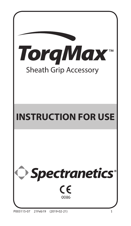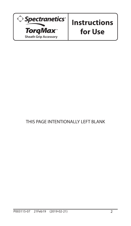

### THIS PAGE INTENTIONALLY LEFT BLANK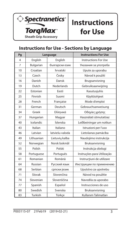

### **Instructions for Use - Sections by Language**

| Pg             | Language   |                 | <b>Instructions For Use</b> |
|----------------|------------|-----------------|-----------------------------|
| 4              | English    | English         | Instructions For Use        |
| $\overline{7}$ | Bulgarian  | български език  | Указания за употреба        |
| 10             | Croatian   | hrvatski        | Upute za uporabu            |
| 13             | Czech      | Česky           | Návod k použití             |
| 16             | Danish     | Dansk           | Brugsanvisning              |
| 19             | Dutch      | Nederlands      | Gebruiksaanwijzing          |
| 22             | Estonian   | Eesti           | Kasutusjuhis                |
| 25             | Finnish    | Suomi           | Käyttöohjeet                |
| 28             | French     | Française       | Mode d'emploi               |
| 31             | German     | Deutsch         | Gebrauchsanweisung          |
| 34             | Greek      | Ελληνικά        | Οδηγίες χρήσης              |
| 37             | Hungarian  | Magyar          | Használati útmutatóaz       |
| 40             | Icelandic  | Íslenska        | Leiðbeiningar um notkun     |
| 43             | Italian    | Italiano        | Istruzioni per l'uso        |
| 46             | Latvian    | latviešu valoda | Lietošanas pamācība         |
| 49             | Lithuanian | Lietuvių kalba  | Naudojimo instrukcija       |
| 52             | Norwegian  | Norsk bokmål    | Bruksanvisning              |
| 55             | Polish     | Polski          | Instrukcja obsługi          |
| 58             | Portuguese | Português       | Instruções para Utilização  |
| 61             | Romanian   | Română          | Instrucțiuni de utilizare   |
| 64             | Russian    | Русский язык    | Инструкции по применению    |
| 68             | Serbian    | српски језик    | Uputstvo za upotrebu        |
| 71             | Slovak     | Slovenčina      | Návod na použitie           |
| 74             | Slovenian  | Slovenščina     | Navodila za uporabo         |
| 77             | Spanish    | Español         | Instrucciones de uso        |
| 80             | Swedish    | Svenska         | Bruksanvisning              |
| 83             | Turkish    | Türkçe          | Kullanım Talimatları        |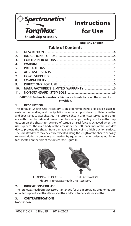

**English / English**

### **Table of Contents**

| 1.             |                                                                                                                                                                                                                               |  |
|----------------|-------------------------------------------------------------------------------------------------------------------------------------------------------------------------------------------------------------------------------|--|
| 2.             |                                                                                                                                                                                                                               |  |
| 3.             |                                                                                                                                                                                                                               |  |
| 4.             |                                                                                                                                                                                                                               |  |
| 5.             |                                                                                                                                                                                                                               |  |
| 6.             |                                                                                                                                                                                                                               |  |
| 7 <sup>1</sup> |                                                                                                                                                                                                                               |  |
| 8.             |                                                                                                                                                                                                                               |  |
| 9.             |                                                                                                                                                                                                                               |  |
| 10.            |                                                                                                                                                                                                                               |  |
| 11.            | the control of the control of the control of the control of the control of the control of the control of the control of the control of the control of the control of the control of the control of the control of the control |  |

**CAUTION: Federal law restricts this device to sale by or on the order of a physician.**

#### **1. DESCRIPTION**

The TorqMax Sheath Grip Accessory is an ergonomic hand grip device used to assist in the handling and manipulation of outer support sheaths, dilator sheaths, and Spectranetics laser sheaths. The TorqMax Sheath Grip Accessory is loaded onto a sheath from the side and remains in place on appropriately sized sheaths. Grip traction on the sheath for delivery of torque or axial force is achieved when the user squeezes the main body of the accessory. The soft inner liner of the TorqMax device protects the sheath from damage while providing a high traction surface. The TorqMax device may be easily relocated along the length of the sheath or easily removed during a procedure as needed by squeezing the logo-decorated finger tabs located on the side of the device (see Figure 1).



#### **2. INDICATIONS FOR USE**

The TorqMax Sheath Grip Accessory is intended for use in providing ergonomic grip on outer support sheaths, dilator sheaths, and Spectranetics laser sheaths.

#### **3. CONTRAINDICATIONS**

None known.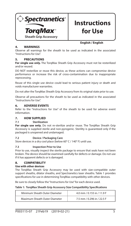

**English / English**

#### **4. WARNINGS**

Observe all warnings for the sheath to be used as indicated in the associated "Instructions for Use".

#### **5. PRECAUTIONS**

**For single use only.** The TorqMax Sheath Grip Accessory must not be resterilized and/or reused.

DO NOT resterilize or reuse this device, as these actions can compromise device performance or increase the risk of cross-contamination due to inappropriate reprocessing.

Reuse of this single use device could lead to serious patient injury or death and voids manufacturer warranties.

Do not alter the TorqMax Sheath Grip Accessory from its original state prior to use.

Observe all precautions for the sheath to be used as indicated in the associated "Instructions for Use".

#### **6. ADVERSE EVENTS**

Refer to the "Instructions for Use" of the sheath to be used for adverse event information.

#### **7. HOW SUPPLIED**

#### **7.1 Sterilization**

**For single use only.** Do not re-sterilize and/or reuse. The TorqMax Sheath Grip Accessory is supplied sterile and non-pyrogenic. Sterility is guaranteed only if the packaged is unopened and undamaged.

#### **7.2 Device / Packaging Care**

Store devices in a dry cool place (below 60° C / 140° F) until use.

#### **7.3 Inspection Prior to Use**

Prior to use, visually inspect the sterile package to ensure that seals have not been broken. The device should be examined carefully for defects or damage. Do not use if it has apparent defects or is damaged.

#### **8. COMPATIBILITY**

#### **Use with other devices**

The TorqMax Sheath Grip Accessory may be used with size-compatible outer support sheaths, dilator sheaths, and Spectranetics laser sheaths. Table 1 provides specifications for use in determining TorqMax compatibility with other devices.

Be sure to closely follow the "Instructions for Use" for each device used.

#### **Table 1: TorqMax Sheath Grip Accessory Size Compatibility Specifications**

| Minimum Sheath Outer Diameter | 4.0 mm / 0.155 in / 11.9 F |
|-------------------------------|----------------------------|
| Maximum Sheath Outer Diameter | 7.5 mm / 0.296 in / 22.5 F |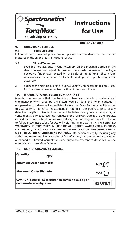

**English / English**

#### **9. DIRECTIONS FOR USE**

#### **9.1 Procedure Setup**

Follow all recommended procedure setup steps for the sheath to be used as indicated in the associated "Instructions for Use".

#### **9.2 Clinical Technique**

- 1. Load the TorqMax Sheath Grip Accessory on the proximal portion of the sheath in use and adjust its position more distal as needed. The logodecorated finger tabs located on the side of the TorgMax Sheath Grip Accessory can be squeezed to facilitate loading and repositioning of the accessory.
- 2. Squeeze the main body of the TorqMax Sheath Grip Accessory to apply force for rotation or advancement/retraction of the sheath in use.

#### **10. MANUFACTURER'S LIMITED WARRANTY**

Manufacturer warrants that the TorqMax is free from defects in material and workmanship when used by the stated "Use By" date and when package is unopened and undamaged immediately before use. Manufacturer's liability under this warranty is limited to replacement or refund of the purchase price of any defective TorqMax. Manufacturer will not be liable for any incidental, special, or consequential damages resulting from use of the TorqMax. Damage to the TorqMax caused by misuse, alteration, improper storage or handling, or any other failure to follow these Instructions for Use will void this limited warranty. **THIS LIMITED WARRANTY IS EXPRESSLY IN LIEU OF ALL OTHER WARRANTIES, EXPRESS OR IMPLIED, INCLUDING THE IMPLIED WARRANTY OF MERCHANTABILITY OR FITNESS FOR A PARTICULAR PURPOSE.** No person or entity, including any authorized representative or reseller of Manufacturer, has the authority to extend or expand this limited warranty and any purported attempt to do so will not be enforceable against Manufacturer.

#### **11. NON-STANDARD SYSMBOLS**

| Quantity                      | <b>OTY</b> |                                                          |                |
|-------------------------------|------------|----------------------------------------------------------|----------------|
| <b>Minimum Outer Diameter</b> |            |                                                          | <b>MIN</b>     |
| <b>Maximum Outer Diameter</b> |            |                                                          | MAX            |
| on the order of a physician.  |            | CAUTION: Federal law restricts this device to sale by or | <b>Rx ONLY</b> |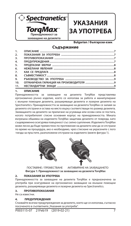

## **УКАЗАНИЯ ЗА УПОТРЕБА**

**Bulgarian / български език**

#### **Съдържание**

| 1.  |  |
|-----|--|
| 2.  |  |
| 3.  |  |
| 4.  |  |
| 5.  |  |
| 6.  |  |
| 7.  |  |
| 8.  |  |
| 9.  |  |
| 10. |  |
| 11. |  |
|     |  |

#### **1. ОПИСАНИЕ**

Принадлежността за захващане на дезилета TorqMax представлява ергономично ръчно изделие, което се използва за работа и манипулиране с външни помощни дезилета, разширяващи дезилета и лазерни дезилета на Spectranetics. Принадлежността за захващане на дезилета TorqMax се залавя за дезилето отстрани и остава на място върху съответстващи по размер дезилета. Захващането на дезилето за прилагане на усукваща или осова сила се постига, когато потребителят стисне основния корпус на принадлежността. Меката вътрешна обшивка на изделието TorqMax защитава дезилето от повреда, като същевременно осигурява повърхност със силно сцепление. Изделието TorqMax може лесно да бъде преместено по протежение на дезилето или да се отстрани по време на процедура, ако е необходимо, чрез стискане на украсените с лого гнезда за пръстите, разположени отстрани на изделието (вижте фигура 1).





 ПОСТАВЯНЕ / ПРЕМЕСТВАНЕ АКТИВИРАНЕ НА ЗАХВАЩАНЕТО **Фигура 1: Принадлежност за захващане на дезилета TorqMax**

#### **2. ПОКАЗАНИЯ ЗА УПОТРЕБА**

Принадлежността за захващане на дезилета TorqMax е предназначена за употреба при осигуряване на ергономично захващане на външни помощни дезилета, разширяващи дезилета и лазерни дезилета на Spectranetics.

#### **3. ПРОТИВОПОКАЗАНИЯ**

Не са известни.

#### **4. ПРЕДУПРЕЖДЕНИЯ**

Спазвайте всички предупреждения за дезилето, което ще се използва, съгласно посоченото в съответните "Указания за употреба".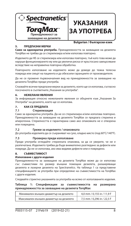

## **УКАЗАНИЯ ЗА УПОТРЕБА**

**Bulgarian / български език**

#### **5. ПРЕДПАЗНИ МЕРКИ**

**Само за еднократна употреба.** Принадлежността за захващане на дезилета TorqMax не трябва да се стерилизира и/или използва повторно.

Изделието да НЕ се стерилизира или използва повторно, тъй като това може да наруши функционирането му или да увеличи риска от кръстосано замърсяване вследствие на неправилна повторна обработка.

Повторното използване на изделието може да доведе до тежка телесна повреда или смърт на пациента и да обезсили гаранциите от производителя.

Да не се променя първоначалния вид на принадлежността за захващане на дезилета TorqMax преди употреба.

Спазвайте всички предпазни мерки за дезилето, което ще се използва, съгласно посоченото в съответните "Указания за употреба".

#### **6. НЕЖЕЛАНИ ЯВЛЕНИЯ**

За информация относно нежеланите явления се обърнете към "Указания За Употреба" на дезилето, което ще се използва.

#### **7. КАК СЕ ПРЕДЛАГА**

#### **7.1 Стерилизация**

Само за еднократна употреба. Да не се стерилизира и/или използва повторно. Принадлежността за захващане на дезилето TorqMax се предлага стерилна и апирогенна. Стерилността е гарантирана само ако опаковката не е отворена или повредена.

#### **7.2 Грижи за изделието / опаковката**

До употреба изделията да се съхраняват на сухо, хладно място (под 60°C/140°F).

#### **7.3 Проверка преди използване**

Преди употреба огледайте стерилната опаковка, за да се уверите, че не е разпечатана. Изделието трябва да бъде внимателно разгледано за дефекти или повреди. Да не се използва, ако има видими дефекти или е повредено.

#### **8. СЪВМЕСТИМОСТ**

#### **Използване с други изделия**

Принадлежността за захващане на дезилета TorqMax може да се използва със съвместими по размер външни помощни дезилета, разширяващи дезилета и лазерни дезилета на Spectranetics. На таблица 1 са представени спецификациите за употреба при определяне на съвместимостта на TorqMax с други изделия.

Следвайте стриктно указанията за употреба на всяко от използваните изделия.

**Таблица 1: Спецификации за съвместимостта на размерана принадлежността за захващане на дезилетa TorqMax**

| Минимален външен диаметър на дезилето  | 4,0 mm / 0,155 in / 11,9 F |
|----------------------------------------|----------------------------|
| Максимален външен диаметър на дезилето | 7,5 mm / 0,296 in / 22,5 F |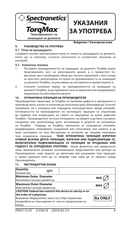



#### **Bulgarian / български език**

#### **9. РЪКОВОДСТВО ЗА УПОТРЕБА**

#### **9.1 План на процедурата**

Следвайте всички препоръчвани етапи от плана на процедурата за дезилето, което ще се използва, съгласно посоченото в съответните "Указания за употреба".

#### **9.2 Клинична техника**

- 1. Поставете принадлежността за захващане на дезилето TorqMax върху проксималната част на използваното дезиле и я преместете подистално, ако е необходимо. Може да стиснете украсените с лого гнезда за пръстите, разположени отстрани на принадлежността за захващане на дезилето TorqMax, за улесняване на поставянето и преместването й.
- 2. Стиснете основния корпус на принадлежността за захващане на дезилето TorqMax, за да приложите сила за завъртане или придвижване/ издърпване на използваното дезиле.

#### **10. ОГРАНИЧЕНА ГАРАНЦИЯ НА ПРОИЗВОДИТЕЛЯ**

Производителят гарантира, че TorqMax не проявява дефекти в материалите и производството, когато се използва до посочената дата "Използвай до" и когато опаковката не е отворена или повредена непосредствено преди употреба. Отговорността на производителя по настоящата гаранция се ограничава до подмяна или възвръщане на сумата за закупуване на всеки дефектен TorqMax. Производителят не носи отговорност за каквито и да било случайни, специални или произтичащи щети, възникващи в резултат на употребата на TorqMax. Повреда на TorqMax, причинена от неправилна употреба, модифициране, неправилно съхранение или използване, или каквото и да било неспазване на тези Инструкции за употреба ще направи невалидна тази ограничена гаранция. **ТАЗИ ОГРАНИЧЕНА ГАРАНЦИЯ ИЗРИЧНО ОТМЕНЯ ВСИЧКИ ДРУГИ ГАРАНЦИИ, ИЗРИЧНИ ИЛИ ПОДРАЗБИРАЩИ СЕ, ВКЛЮЧИТЕЛНО ПОДРАЗБИРАЩАТА СЕ ГАРАНЦИЯ ЗА ПРОДАЖБА ИЛИ ГОДНОСТ ЗА ОПРЕДЕЛЕНА УПОТРЕБА.** Никое физическо или юридическо лице, включително всякакви упълномощени представители или дилъри на Производителя, няма правото да увеличава или разширява тази гаранция, и никой умишлен опит да се направи това няма да се прилага срещу Производителя.

| Quantity<br>Количество        | <b>OTY</b> |                                                             |                |
|-------------------------------|------------|-------------------------------------------------------------|----------------|
| Minimum Outer Diameter        |            |                                                             | <b>MIN</b>     |
| Минимален външен диаметър     |            |                                                             |                |
| <b>Maximum Outer Diameter</b> |            |                                                             | MA)            |
| Максимален външен диаметър    |            |                                                             |                |
|                               |            | CAUTION: Federal law restricts this device to sale by or on |                |
| the order of a physician.     |            |                                                             |                |
|                               |            | Внимание: Федералният закон (на САЩ) ограничава             | <b>Rx ONLY</b> |
|                               |            | продажбата на това изделие от или по предписание на         |                |
| лекар.                        |            |                                                             |                |

#### **11. НЕСТАНДАРТНИ ЗНАЦИ**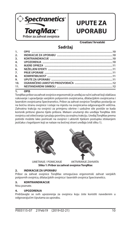

## **UPUTE ZA UPORABU**

**Croatian/ hrvatski**

### **Sadržaj**

| 1.               |                                                    |  |
|------------------|----------------------------------------------------|--|
| 2.               | INDIKACIJE ZA UPORABU managogo matematika na na 10 |  |
| $\overline{3}$ . |                                                    |  |
| 4.               |                                                    |  |
| 5.               |                                                    |  |
| 6.               |                                                    |  |
| $\overline{z}$   |                                                    |  |
| 8.               |                                                    |  |
| 9.               |                                                    |  |
| 10.              |                                                    |  |
| 11.              |                                                    |  |
|                  |                                                    |  |

#### **1. OPIS**

TorqMax pribor za zahvat ovojnice ergonomski je uređaj za ručni zahvat koji olakšava rukovanje i upravljanje vanjskim potpornim ovojnicama, dilatacijskim ovojnicama i laserskim ovojnicama Spectranetics. Pribor za zahvat ovojnice TorqMax postavlja se na bočnu stranu ovojnice i ostaje na mjestu na ovojnicama odgovarajućih veličina. Zahvatna trakcija na ovojnici za primjenu obrtne i uzdužne sile postiže se kada korisnik pritisne glavno tijelo pribora. Mekani unutarnji dio uređaja TorqMax štiti ovojnicu od oštećivanja i pružaju površinu za snažnu trakciju. Uređaj TorqMax prema potrebi možete lako pomicati na ovojnici i ukloniti tijekom postupka stiskanjem jezičaka s logotipom koji se nalaze na bočnoj strani uređaja (vidi sliku 1).





UMETANJE / POMICANJE AKTIVIRANJE ZAHVATA **Slika 1: Pribor za zahvat ovojnice TorqMax**

#### **2. INDIKACIJE ZA UPORABU**

Pribor za zahvat ovojnice TorqMax omogućava ergonomski zahvat vanjskih potpornih ovojnica, dilatacijskih ovojnica i laserskih ovojnica Spectranetics.

#### **3. KONTRAINDIKACIJE**

Nisu poznate.

#### **4. UPOZORENJA**

Pridržavajte se svih upozorenja za ovojnicu koju ćete koristiti navedenim u odgovarajućim Uputama za uporabu.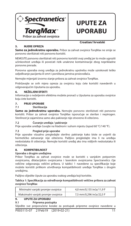

## **UPUTE ZA UPORABU**

#### **5. MJERE OPREZA**

#### **Croatian/ hrvatski**

**Samo za jednokratnu uporabu.** Pribor za zahvat ovojnice TorgMax ne smije se ponovno sterilizirati niti ponovno koristiti.

NEMOJTE ponovno sterilizirati niti ponovno koristiti ovaj uređaj jer to može ugroziti učinkovitost uređaja ili povećati rizik unakrsne kontaminacije zbog neprikladne ponovne prerade.

Ponovna uporaba ovog uređaja za jednokratnu upotrebu može uzrokovati teško ozljeđivanje pacijenta ili smrt i poništava jamstva proizvođača.

Nemojte mijenjati izvorno stanje pribora za zahvat ovojnice TorqMax.

Pridržavajte se svih mjera opreza za ovojnicu koju ćete koristiti navedenih u odgovarajućim Uputama za uporabu.

#### **6. NEŽELJENI EFEKTI**

Informacije o neželjenim efektima možete pronaći u Uputama za uporabu ovojnice koju ćete koristiti.

#### **7. PRIJE UPORABE**

#### **7.1 Sterilizacija**

Samo za jednokratnu uporabu. Nemojte ponovno sterilizirati niti ponovno koristiti. Pribor za zahvat ovojnice TorqMax isporučuje se sterilan i nepirogen. Sterilnost je zajamčena samo ako pakiranje nije otvoreno ili oštećeno.

#### **7.2 Čuvanje uređaja / pakiranje**

Prije uporabe uređaje čuvajte na hladnom i suhom mjestu (ispod 60 °C/140 °F).

#### **7.3 Pregled prije uporabe**

Prije uporabe vizualno pregledajte sterilno pakiranje kako biste se uvjerili da hermetičko zatvaranje nije oštećeno. Pažljivo pregledajte ima li na uređaju nedostataka ili oštećenja. Nemojte koristiti uređaj ako ima vidljivih nedostataka ili oštećenja.

#### **8. KOMPATIBILNOST**

#### **Uporaba s drugim uređajima**

Pribor TorqMax za zahvat ovojnice može se koristiti s vanjskim potpornim ovojnicama, dilatacijskim ovojnicama i laserskim ovojnicama Spectranetics čije veličine odgovaraju veličini pribora. U tablici 1 navedene su specifikacije koje možete koristiti prilikom utvrđivanja kompatibilnosti uređaja TorqMax s drugim uređajima.

Pažljivo slijedite Upute za uporabu svakog uređaja koji koristite.

Tablica 1: Specifikacija za određivanje kompatibilnosti veličine pribora za zahvat **ovojnice TorqMax**

| Minimalni vanjski promjer ovojnice  | 4.0 mm/0.155 inča/11.9 F |  |
|-------------------------------------|--------------------------|--|
| Maksimalni vanjski promjer ovojnice | 7,5 mm/0,296 inča/22,5 F |  |

#### **9. UPUTE ZA UPORABU**

#### **9.1 Priprema postupka**

Slijedite sve preporučene korake za postupak pripreme ovojnice navedene u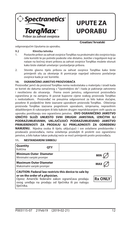

## **UPUTE ZA UPORABU**

**Croatian/ hrvatski**

odgovarajućim Uputama za uporabu.

#### **9.2 Klinička tehnika**

- 1. Postavite pribor za zahvat ovojnice TorqMax na proksimalni dio ovojnice koju ćete koristiti te po potrebi podesite više distalno. Jezičke s logotipom koji se nalaze na bočnoj strani pribora za zahvat ovojnice TorqMax možete stisnuti kako biste olakšali umetanje i postavljanje pribora.
- 2. Stisnite glavno tijelo pribora za zahvat ovojnice TorqMax kako biste primijenili silu za okretanje ili pomicanje naprijed odnosno povlačenje ovojnice kada je već koristite.

#### **10. OGRANIČENO JAMSTVO PROIZVOĐAČA**

Proizvođač jamči da proizvod TorqMax nema nedostataka u materijalu i izradi kada se koristi do datuma označenog s "Upotrebljivo do" i kada je pakiranje zatvoreno i neoštećeno do otvaranja. Prema ovom jamstvu, odgovornost proizvođača ograničena je na zamjenu ili povrat kupovne cijene svakog proizvoda TorqMax s nedostatkom. Proizvođač ne preuzima odgovornost za bilo kakve slučajne, posebne ili posljedične štete izazvane uporabom proizvoda TorqMax. Oštećenja proizvoda TorqMax izazvana pogrešnom uporabom, izmjenama, nepravilnim skladištenjem ili rukovanjem ili bilo kakvim drugim nepridržavanjem ovih uputa za uporabu poništavaju ovo ograničeno jamstvo. **OVO OGRANIČENO JAMSTVO IZRIČITO SLUŽI UMJESTO SVIH DRUGIH JAMSTAVA, IZRIČITIH ILI PODRAZUMIJEVANIH, UKLJUČUJUĆI PODRAZUMIJEVANO JAMSTVO PRIMJERENOSTI ZA PRODAJU ILI PRIKLADNOSTI ZA ODREĐENU NAMJENU.** Nijedna osoba ili tijelo, uključujući i sve ovlaštene predstavnike i prodavače proizvođača, nema ovlaštenja produljiti ili proširiti ovo ograničeno jamstvo, a bilo kakav takav pokušaj neće se moći primijeniti protiv proizvođača.

#### **Quantity** Količina **QTY Minimum Outer Diameter** Minimalni vanjski promjer **MIN Maximum Outer Diameter Maksimalni vanjski promjer CAUTION: Federal law restricts this device to sale by or on the order of a physician.** Oprez: Američki federalni zakon ograničava prodaju **Rx ONL** ovog uređaja na prodaju od liječnika ili po nalogu liječnika.

#### **11. NESTANDARDNI SIMBOLI**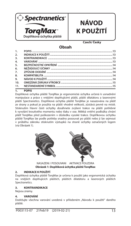

## **NÁVOD K POUŽITÍ**

**Czech/ Česky**

### **Obsah**

| 1.               |  |
|------------------|--|
| 2 <sub>1</sub>   |  |
| 3.               |  |
| $\overline{4}$   |  |
| 5.               |  |
| 6.               |  |
| $\overline{7}$ . |  |
| 8.               |  |
| 9.               |  |
| 10.              |  |
| 11.              |  |
|                  |  |

#### **1. POPIS**

Doplňková úchytka pláště TorqMax je ergonomická úchytka určená k usnadnění manipulace a práce s vnějšími doplňujícími plášti, plášti dilatátoru a laserovými plášti Spectranetics. Doplňková úchytka pláště TorqMax je nasazována na plášť ze strany a pokud je použita na plášti vhodné velikosti, zůstává pevně na místě. Stisknutím hlavní části úchytky dosáhnete zvýšení trakce na plášti potřebné k vyvolání kroutivého momentu nebo tlaku v ose. Měkká vnitřní podložka chrání plášť TorqMax před poškozením v důsledku vysoké trakce. Doplňkovou úchytku pláště TorqMax lze podle potřeby snadno posouvat po plášti nebo ji lze sejmout v průběhu zákroku stisknutím výstupků na straně úchytky označených logem (viz Obrázek 1).



NASAZENÍ / POSOUVÁNÍ AKTIVACE POUZDRA **Obrázek 1: Doplňková úchytka pláště TorqMax**

#### **2. INDIKACE K POUŽITÍ**

Doplňková úchytka pláště TorqMax je určena k použití jako ergonomická úchytka na vnějších doplňujících pláštích, pláštích dilatátoru a laserových pláštích Spectranetics.

#### **3. KONTRAINDIKACE**

Nejsou známy.

#### **4. VAROVÁNÍ**

Dodržujte všechna varování uvedená v přiloženém "Návodu k použití" daného pláště.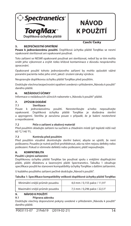

## **NÁVOD K POUŽITÍ**

#### **5. BEZPEČNOSTNÍ OPATŘENÍ**

#### **Czech/ Česky**

**Pouze k jednorázovému použití.** Doplňková úchytka pláště TorqMax se nesmí opakovaně sterilizovat ani opakovaně používat.

Toto zařízení se NESMÍ opakovaně používat ani sterilizovat, neboť by se tím mohla snížit jeho výkonnost a zvýšit riziko křížové kontaminace z důvodu nesprávného zpracování.

Opakované použití tohoto jednorázového zařízení by mohlo způsobit vážné poranění pacienta nebo jeho smrt, jakož i zrušení záruky výrobce.

Neupravujte doplňkovou úchytku pláště TorqMax před použitím.

Dodržujte všechna bezpečnostní opatření uvedená v přiloženém "Návodu k použití" daného pláště.

#### **6. NEŽÁDOUCÍ ÚČINKY**

Informace o nežádoucích účincích naleznete v "Návodu k použití" pláště.

#### **7. ZPŮSOB DODÁNÍ**

**7.1 Sterilizace<br>Pouze k jednorázovému použití.** Neresterilizujte a/nebo nepoužívejte opakovaně. Doplňková úchytka pláště TorqMax je dodávána sterilní a apyrogenní. Sterilita je zaručena pouze v případě, že je balení neotevřené a nepoškozené.

#### **7.2 Péče o zařízení a obalový materiál**

Před použitím skladujte zařízení na suchém a chladném místě (při teplotě nižší než 60 °C/140 °F).

#### **7.3 Kontrola před použitím**

Před použitím vizuálně zkontrolujte sterilní balení, abyste se ujistili, že není poškozeno. Pouzdro je nutné pečlivě prohlédnout, zda na něm nejsou defekty nebo poškození. Pokud si všimnete defektů nebo poškození, plášť nepoužívejte.

#### **8. KOMPATIBILITA**

#### **Použití s jinými zařízeními**

Doplňkovou úchytku pláště TorqMax lze používat spolu s vnějšími doplňujícími plášti, plášti dilatátoru a laserovými plášti Spectranetics. Tabulka 1 obsahuje specifikace použití ke stanovení kompatibility úchytky TorqMax s dalšími zařízeními.

U každého použitého zařízení pečlivě dodržujte "Návod k použití".

#### Tabulka 1: Specifikace kompatibility velikosti doplňkové úchytky pláště TorqMax

| Minimální vnější průměr pouzdra | 4,0 mm / 0,155 palce / 11,9 F |
|---------------------------------|-------------------------------|
| Maximální vnější průměr pouzdra | 7,5 mm / 0,296 palce / 22,5 F |

#### **9. NÁVOD K POUŽITÍ**

#### **9.1 Příprava zákroku**

Dodržujte všechny doporučené pokyny uvedené v přiloženém "Návodu k použití" daného pláště.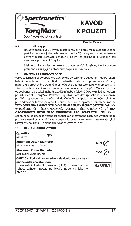

## **NÁVOD K POUŽITÍ**

#### **9.2 Klinický postup**

#### **Czech/ Česky**

- 1. Nasaďte doplňkovou úchytku pláště TorqMax na proximální část příslušného pláště a umístěte ji do požadované polohy. Výstupky na straně doplňkové úchytky pláště TorqMax označené logem lze stisknout a usnadnit tak nasazení a posouvání úchytky.
- 2. Stiskněte hlavní část doplňkové úchytky pláště TorqMax, čímž vyvinete potřebnou sílu k jejímu otočení nebo posunutí/retrakci.

#### **10. OMEZENÁ ZÁRUKA VÝROBCE**

Výrobce zaručuje, že výrobek TorqMax, pokud byl uzavřen v původním neporušeném balení, nebude mít při použití do uvedeného data (viz "Spotřebujte do") vady materiálu a zpracování. Odpovědnost výrobce v rámci této záruky je omezena na výměnu nebo vrácení kupní ceny u defektního výrobku TorqMax. Výrobce nenese odpovědnost za jakékoli náhodné, zvláštní nebo následné škody vzniklé následkem použití výrobku TorqMax. Poškození výrobku TorqMax způsobené nevhodným použitím, úpravou, nesprávným skladováním či manipulací nebo jiným selháním při dodržování těchto pokynů k použití způsobí zneplatnění omezené záruky. **TATO OMEZENÁ ZÁRUKA VÝSLOVNĚ NAHRAZUJE VŠECHNY OSTATNÍ ZÁRUKY, VYJÁDŘENÉ ČI PŘEDPOKLÁDANÉ, VČETNĚ PŘEDPOKLÁDANÉ ZÁRUKY OBCHODOVATELNOSTI NEBO VHODNOSTI PRO KONKRÉTNÍ ÚČEL.** Žádná osoba nebo společnost, včetně jakéhokoli autorizovaného zástupce výrobce nebo prodejce, nemá právo rozšiřovat nebo prodlužovat tuto omezenou záruku a jakýkoli zamýšlený pokus tak učinit není u výrobce vymahatelný.

#### **11. NESTANDARDNÍ SYMBOL**

| Quantity<br>Množství                                     | <b>OTY</b> |                                                                                                                                                                   |                |
|----------------------------------------------------------|------------|-------------------------------------------------------------------------------------------------------------------------------------------------------------------|----------------|
| l Minimum Outer Diameter<br>Minimální vnější průměr      |            |                                                                                                                                                                   | <b>MIN</b>     |
| <b>Maximum Outer Diameter</b><br>Maximální vnější průměr |            |                                                                                                                                                                   | <b>MAX</b>     |
| on the order of a physician.<br>předpis.                 |            | CAUTION: Federal law restricts this device to sale by or<br>Upozornění: Federální zákony (USA) omezují prodej<br>tohoto zařízení pouze na lékaře nebo na lékařský | <b>Rx ONLY</b> |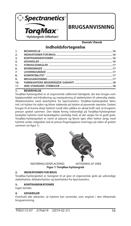

### **BRUGSANVISNING**

**Danish/ Dansk**

### **Indholdsfortegnelse**

| 11.              |  |
|------------------|--|
| 10.              |  |
| 9.               |  |
| 8.               |  |
| $\overline{z}$   |  |
| 6.               |  |
| 5.               |  |
| 4.               |  |
| $\overline{3}$ . |  |
| 2.               |  |
| 1.               |  |

#### **1. BESKRIVELSE**

TorqMax-hylstergrebet er et ergonomisk udformet håndgreb, der kan bruges som hjælpemiddel ved håndtering og manipulering af støttehylstre til udvendig støtte, dilatatorhylstre samt laserhylstre fra Spectranetics. TorqMax-hylstergrebet føres ind i et hylster fra siden og bliver siddende på hylstre af passende størrelse. Grebet bruges til at kunne dreje hylstret rundt eller påføre en aksial kraft ved, at brugeren presser grebet sammen. Den bløde foring indvendigt på TorqMax-hylstergrebet beskytter hylstret mod beskadigelse samtidig med, at det sørger for et godt greb. TorqMax-hylstergrebet er nemt at placere og fjerne igen efter behov langs med hylstret under indgrebet ved at presse fingertappene med logo på siden af grebet sammen (se figur 1).





 INDFØRING/GENPLACERING AKTIVERING AF GREB **Figur 1: TorqMax-hylstergreb**

#### **2. INDIKATIONER FOR BRUG**

TorqMax-hylstergrebet er beregnet til at give et ergonomisk greb på udvendige støttehylstre, dilatatorhylstre og laserhylstre fra Spectranetics.

#### **3. KONTRAINDIKATIONER**

Ingen kendte.

#### **4. ADVARSLER**

Overhold alle advarsler, så hylstret kan anvendes som angivet i den tilhørende brugsanvisning.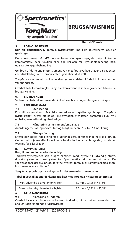

**Danish/ Dansk**

#### **5. FORHOLDSREGLER**

**Kun til engangsbrug.** TorqMax-hylstergrebet må ikke resteriliseres og/eller

genbruges. Dette instrument MÅ IKKE gensteriliseres eller genbruges, da dette vil kunne kompromitere dets funktion eller øge risikoen for krydskontaminering pga.

utilstrækkelig genbehandling. Genbrug af dette engangsinstrument kan medføre alvorlige skader på patienten eller dødsfald og sætter producentens garantier ud af kraft.

TorqMax-hylstergrebet må ikke ændres før anvendelsen i forhold til, hvordan det var oprindeligt.

Overhold alle forholdsregler, så hylstret kan anvendes som angivet i den tilhørende brugsanvisning.

#### **6. BIVIRKNINGER**

Se, hvordan hylstret kan anvendes i tilfælde af bivirkninger, i brugsanvisningen.

### **7. LEVERINGSMÅDE**<br>7.1 Sterilisering

#### **7.1 Sterilisering**

Kun til engangsbrug. Må ikke resteriliseres og/eller genbruges. TorqMaxhylstergrebet leveres sterilt og ikke-pyrogent. Steriliteten garanteres kun, hvis emballagen er uåbnet og ubeskadiget.

#### **7.2 Håndtering af instrument/emballage**

Anordningerne skal opbevares tørt og køligt (under 60 °C / 140 °F) indtil brug.

#### **7.3 Eftersyn før brug**

Efterse den sterile indpakning før brug for at sikre, at forseglingerne ikke er brudt. Grebet skal nøje ses efter for evt. fejl eller skader. Undlad at bruge det, hvis der er tydelige fejl eller skader.

#### **8. KOMPATIBILITET**

#### **Brug i kombination med andet udstyr**

TorqMax-hylstergrebet kan bruges sammen med hylstre til udvendig støtte, dilatatorhylstre og laserhylstre fra Spectranetics af samme størrelse. De specifikationer, der skal bruges for at se, hvornår TorgMax er kompatibel med andre instrumenter, er vist i tabel 1.

Sørg for at følge brugsanvisningerne for det enkelte instrument nøje.

#### **Tabel 1: Speci kationer for kompatibilitet med TorqMax-hylstergrebstørrelser**

| Min. udvendig diameter for hylster  | 4,0 mm / 0,155 in / 11,9 F |
|-------------------------------------|----------------------------|
| Maks. udvendig diameter for hylster | 7,5 mm / 0,296 in / 22,5 F |

#### **9. BRUGSANVISNING**

#### **9.1 Klargøring til indgreb**

Overhold alle anvisninger om anbefalet håndtering, så hylstret kan anvendes som angivet i den tilhørende brugsanvisning.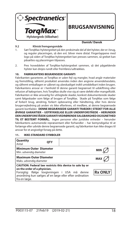

### **BRUGSANVISNING**

**Danish/ Dansk**

#### **9.2 Klinisk fremgangsmåde**

- 1. Sæt TorqMax-hylstergrebet på den proksimale del af det hylster, der er i brug, og reguler placeringen, så den evt. bliver mere distal. Fingertappene med logo på siden af TorqMax-hylstergrebet kan presses sammen, så grebet kan påsættes og placeringen tilpasses.
- 2. Pres hoveddelen af TorqMax-hylstergrebet sammen, så det pågældende hylster kan drejes rundt eller fremføres/udtrækkes.

#### **10. FABRIKANTENS BEGRÆNSEDE GARANTI**

Fabrikanten garanterer, at TorqMax er uden fejl og mangler, hvad angår materialer og fremstilling, såfremt produktet anvendes inden den angivne anvendelsesdato, og såfremt emballagen er uåbnet og ubeskadiget indtil umiddelbart inden brugen. Fabrikantens ansvar er i henhold til denne garanti begrænset til udskiftning eller refusion af købsprisen, hvis TorqMax skulle vise sig at være defekt eller mangelfuldt. Fabrikanten er ikke ansvarlig for utilsigtede skader, konkret dokumenterede skader samt følgeskader som følge af brugen af TorqMax. Skade på TorqMax som følge af forkert brug, ændring, forkert opbevaring eller håndtering, eller hvis denne brugervejledning på anden vis ikke efterleves, vil medføre, at denne begrænsede garanti bortfalder. **DENNE BEGRÆNSEDE GARANTI TRÆDER I STEDET FOR ALLE ØVRIGE GARANTIER – UDTRYKKELIGE ELLER UNDERFORSTÅEDE – HERUNDER DEN UNDERFORSTÅEDE GARANTI VEDRØRENDE SALGBARGHED OG EGNETHED TIL ET BESTEMT FORMÅL.** Ingen personer eller juridiske enheder – herunder fabrikantens autoriserede repræsentant eller forhandler – har bemyndigelse til at forlænge eller udvide denne begrænsede garanti, og fabrikanten kan ikke drages til ansvar for et angiveligt forsøg på dette.

#### **11. IKKE-STANDARD SYMBOLER**

| Quantity<br>Antal                                        | <b>OTY</b> |                                                                                                                                                                     |                |
|----------------------------------------------------------|------------|---------------------------------------------------------------------------------------------------------------------------------------------------------------------|----------------|
| <b>Minimum Outer Diameter</b><br>Min. udvendig diameter  |            |                                                                                                                                                                     | <b>MIN</b>     |
| <b>Maximum Outer Diameter</b><br>Maks. udvendig diameter |            |                                                                                                                                                                     | MAX            |
| on the order of a physician.<br>fra en læge.             |            | CAUTION: Federal law restricts this device to sale by or<br>Forsigtig: Ifølge lovgivningen i USA må denne<br>anordning kun sælges af en læge eller efter ordination | <b>Rx ONLY</b> |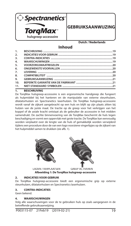

### **GEBRUIKSAANWIJZING**

**Dutch / Nederlands**

### **Inhoud**

| 1.               |  |
|------------------|--|
| 2.               |  |
| $\overline{3}$ . |  |
| 4.               |  |
| 5.               |  |
| 6.               |  |
| 7.               |  |
| 8.               |  |
| 9.               |  |
| 10.              |  |
| 11.              |  |
|                  |  |

#### **1. BESCHRIJVING**

De TorqMax hulsgreep-accessoire is een ergonomische handgreep die fungeert als hulpmiddel bij het hanteren en de manipulatie van externe steunhulzen, dilatatorhulzen en Spectranetics laserhulzen. De TorqMax hulsgreep-accessoire wordt vanaf de zijkant aangebracht op een huls en blijft op zijn plaats zitten bij hulzen van de juiste maat. De tractie op de greep voor het verkrijgen van het koppel of de axiale kracht ontstaat als de gebruiker de accessoire in het midden samendrukt. De zachte binnenvoering van de TorqMax beschermt de huls tegen beschadiging en vormt een oppervlak met grote tractie. De TorqMax kan eenvoudig worden verplaatst over de lengte van de huls of gemakkelijk worden verwijderd tijdens een procedure door de van een logo voorziene vingerlipjes op de zijkant van het hulpmiddel samen te drukken (zie afb. 1).





LADEN / VERPLAATSEN GREEP ACTIVEREN **Afbeelding 1: De TorqMax hulsgreep-accessoire** 

#### **2. INDICATIES VOOR GEBRUIK**

De TorqMax hulsgreep-accessoire biedt een ergonomische grip op externe steunhulzen, dilatatorhulzen en Spectranetics laserhulzen.

#### **3. CONTRA-INDICATIES**

Geen bekend.

#### **4. WAARSCHUWINGEN**

Volg alle waarschuwingen voor de te gebruiken huls op zoals aangegeven in de betreffende gebruiksaanwijzing.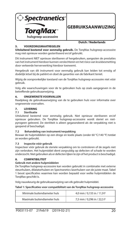

### **GEBRUIKSAANWIJZING**

#### **5. VOORZORGSMAATREGELEN**

#### **Dutch / Nederlands**

**Uitsluitend bestemd voor eenmalig gebruik.** De TorqMax hulsgreep-accessoire mag niet opnieuw worden gesteriliseerd en/of gebruikt.

Dit instrument NIET opnieuw steriliseren of hergebruiken, aangezien de prestaties van het instrument hierdoor kunnen verslechteren en het risico van kruisbesmetting door verkeerde herverwerking hierdoor toeneemt.

Hergebruik van dit instrument voor eenmalig gebruik kan leiden tot ernstig of dodelijk letsel bij de patiënt en doet de garanties van de fabrikant teniet.

Wijzig de oorspronkelijke toestand van de TorqMax hulsgreep-accessoire niet vóór gebruik.

Volg alle waarschuwingen voor de te gebruiken huls op zoals aangegeven in de betreffende gebruiksaanwijzing.

#### **6. ONGEWENSTE VOORVALLEN**

Raadpleeg de gebruiksaanwijzing van de te gebruiken huls voor informatie over ongewenste voorvallen.

### **7. LEVERING**

#### **7.1 Sterilisatie**

Uitsluitend bestemd voor eenmalig gebruik. Niet opnieuw steriliseren en/of opnieuw gebruiken. De TorqMax hulsgreep-accessoire wordt steriel en nietpyrogeen geleverd. De steriliteit is alleen gegarandeerd als de verpakking niet is geopend of beschadigd.

#### **7.2 Behandeling van instrument/verpakking**

Bewaar de hulpmiddelen op een droge en koele plaats (onder 60 °C/140 °F) totdat ze worden gebruikt.

#### **7.3 Inspectie vóór gebruik**

Inspecteer vóór gebruik de steriele verpakking om te controleren of de zegels niet zijn verbroken. Het hulpmiddel dient zorgvuldig op defecten of schade te worden onderzocht. Niet gebruiken als er defecten lijken te zijn of het product is beschadigd.

#### **8. COMPATIBILITEIT**

#### **Gebruik met andere hulpmiddelen**

De TorqMax hulsgreep-accessoire kan worden gebruikt in combinatie met externe steunhulzen, dilatatorhulzen en Spectranetics laserhulzen van de juiste maat. Tabel 1 bevat specificaties waarmee kan worden bepaald voor welke hulpmiddelen de TorqMax geschikt is.

Volg nauwkeurig de gebruiksaanwijzing van elk gebruikt hulpmiddel.

#### Tabel 1: Specificaties voor compatibliteit van de TorqMax hulsgreep-accessoire

| Minimale buitendiameter huls | 4.0 mm / 0.155 in / 11.9 F |
|------------------------------|----------------------------|
| Maximale buitendiameter huls | 7,5 mm / 0,296 in / 22,5 F |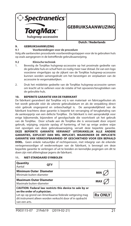

**GEBRUIKSAANWIJZING**

**Dutch / Nederlands**

#### **9. GEBRUIKSAANWIJZING**

#### **9.1 Voorbereidingen voor de procedure**

Volg alle aanbevolen procedurele voorbereidingsstappen voor de te gebruiken huls op zoals aangegeven in de betreffende gebruiksaanwijzing.

#### **9.2 Klinische techniek**

- 1. Bevestig de TorqMax hulsgreep-accessoire op het proximale gedeelte van de gebruikte huls en schuif hem zo nodig meer naar distaal. De van een logo voorziene vingerlipjes op de zijkant van de TorqMax hulsgreep-accessoire kunnen worden samengedrukt om het bevestigen en verplaatsen van de accessoire te vergemakkelijken.
- 2. Druk het middelste gedeelte van de TorqMax hulsgreep-accessoire samen om kracht uit te oefenen voor de rotatie of het opvoeren/terugtrekken van de gebruikte huls.

#### **10. BEPERKTE GARANTIE VAN DE FABRIKANT**

De fabrikant garandeert dat TorqMax vrij is van materiaal- en fabricagefouten als het wordt gebruikt vóór de uiterste gebruiksdatum en als de verpakking direct vóór gebruik ongeopend en onbeschadigd is. De aansprakelijkheid van de fabrikant krachtens deze garantie is beperkt tot vervanging of terugbetaling van de aankoopprijs van een defecte TorqMax. De fabrikant is niet aansprakelijk voor enige bijkomende, bijzondere of gevolgschade die voortvloeit uit het gebruik van de TorqMax. Door schade aan de TorqMax die is veroorzaakt door onjuist gebruik, wijziging, onjuiste opslag of hantering, of het op enige andere wijze niet opvolgen van deze gebruiksaanwijzing, vervalt deze beperkte garantie. **DEZE BEPERKTE GARANTIE VERVANGT UITDRUKKELIJK ALLE ANDERE GARANTIES, EXPLICIET DAN WEL IMPLICIET, WAARONDER DE IMPLICIETE GARANTIE VAN VERKOOPBAARHEID OF GESCHIKTHEID VOOR EEN BEPAALD DOEL.** Geen enkele natuurlijke of rechtspersoon, met inbegrip van de erkende vertegenwoordiger of wederverkoper van de fabrikant, is bevoegd om deze beperkte garantie te verlengen of uit te breiden en kennelijke pogingen om dit te doen zijn niet afdwingbaar jegens de fabrikant.

#### **Quantity** Aantal **QTY Minimum Outer Diameter Minimale buiten-diameter Maximum Outer Diameter** Maximale buiten-diameter **MAX CAUTION: Federal law restricts this device to sale by or on the order of a physician. Rx ONL** Let op: op grond van Amerikaanse federale wetgeving mag dit instrument alleen worden verkocht door of in opdracht

#### **11. NIET-STANDAARD SYMBOLEN**

van een arts.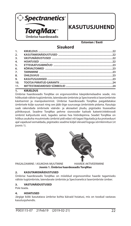

**Ümbrise haardeseadis**

### **KASUTUSJUHEND**

**Estonian / Eesti**

### **Sisukord**

#### **1. KIRJELDUS**

Ümbrise haardeseadis TorqMax on ergonoomiline käepidemelaadne seade, mis hõlbustab väliste tugiümbriste, laiendavate ümbriste ja Spectraneticsi laserümbriste käsitsemist ja manipuleerimist. Ümbrise haardeseadis TorqMax paigaldatakse ümbrisele külje suunast ning see jääb õige suurusega ümbristele pidama. Kasutaja saab rakendada ümbrisele väände- ja aksiaalset jõudu, pigistades lisaseadise põhikorpust. Seadme TorqMax pehme sisevooder kaitseb kateetri/elektroodi ümbrist kahjustuste eest, tagades samas hea hõõrdepinna. Seadet TorqMax on hõlbus asukoha muutmiseks ümbrist pidi edasi või tagasi liigutada ja ka protseduuri ajal vajadusel eemaldada, pigistades seadme küljel olevaid logoga sõrmkinnitusi (vt ioonis 1).





PAIGALDAMINE / ASUKOHA MUUTMINE HAARDE AKTIVEERIMINE **Joonis 1. Ümbrise haardeseadis TorqMax**

#### **2. KASUTAMISNÄIDUSTUSED**

Ümbrise haardeseadis TorqMax on mõeldud ergonoomilise haarde tagamiseks väliste tugiümbriste, laiendavate ümbriste ja Spectraneticsi laserümbriste ümber.

#### **3. VASTUNÄIDUSTUSED**

Pole teada.

#### **4. HOIATUSED**

Järgige kõiki kasutatava ümbrise kohta käivaid hoiatusi, mis on toodud vastavas kasutusjuhendis.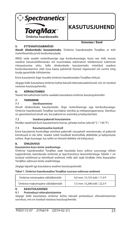

### **KASUTUSJUHEND**

**Estonian / Eesti**

#### **5. ETTEVAATUSABINÕUD**

**Ainult ühekordseks kasutamiseks.** Ümbrise haardeseadist TorqMax ei tohi resteriliseerida ja/või korduvkasutada.

ÄRGE seda seadet resteriliseerige ega korduvkasutage, kuna see võib muuta seadme kasutuskõlbmatuks või suurendada sobimatust töötlemisest tulenevat ristsaastumise ohtu. Selle ühekordseks kasutamiseks mõeldud seadme korduvkasutamine võib tuua kaasa patsiendi tõsised vigastused või surma ning tootja garantiide tühistamise.

Enne kasutamist ärge muutke ümbrise haardeseadise TorqMax ehitust.

Järgige kõiki kasutatava ümbrise kohta käivaid ettevaatusabinõusid, mis on toodud vastavas kasutusjuhendis.

#### **6. KÕRVALTOIMED**

Teavet kõrvaltoimete kohta vaadake kasutatava ümbrise kasutusjuhendist.

### **7. TARNIMINE**<br>7.1 Steril

#### **7.1 Steriliseerimine**

Ainult ühekordseks kasutamiseks. Ärge resteriliseerige ega korduvkasutage. Ümbrise haardeseadis TorqMax tarnitakse steriilse ja mittepürogeensena. Steriilsus on garanteeritud ainult siis, kui pakend on avamata ja kahjustamata.

#### **7.2 Seadme/pakendi hoiustamine**

Hoidke seadmeid kuni kasutamiseni kuivas, jahedas kohas (alla 60 °C / 140 °F).

#### **7.3 Kasutamiseelne kontroll**

Enne kasutamist kontrollige steriilset pakendit visuaalselt veendumaks, et pakendi kinnitused ei ole lahti. Seadet tuleb hoolikalt kontrollida defektide ja kahjustuste suhtes. Ärge kasutage, kui sellel on ilmseid defekte või kahjustusi.

#### **8. ÜHILDUVUS**

#### **Kasutamine koos teiste seadmetega**

Ümbrise haardeseadist TorqMax saab kasutada koos sobiva suurusega väliste tugiümbriste, laiendavate ümbriste ja Spectraneticsi laserümbristega. Tabelis 1 on toodud mõõtmed ja tehnilised andmed, mille abil saab kindlaks teha lisaseadise TorqMax sobivuse teiste seadmetega.

Järgige täpselt iga kasutatava seadme kasutusjuhendit.

#### **Tabel 1. Ümbrise haardeseadise TorqMax suuruse sobivuse andmed**

| Ümbrise minimaalne välisläbimõõt  | 4.0 mm / 0.155 tolli / 11.9 F |
|-----------------------------------|-------------------------------|
| Ümbrise maksimaalne välisläbimõõt | 7.5 mm / 0.296 tolli / 22.5 F |

#### **9. KASUTUSJUHISED**

#### **9.1 Protseduuri ettevalmistamine**

Järgige kõiki kasutatava ümbrise kohta käivaid protseduuri ettevalmistamise soovitusi, mis on toodud vastavas kasutusjuhendis.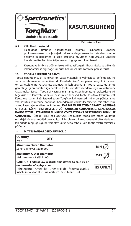

## **KASUTUSJ**

**Estonian / Eesti**

#### **9.2 Kliinilised meetodid**

- 1. Paigaldage ümbrise haardeseadis TorqMax kasutatava ümbrise proksimaalsesse ossa ja vajadusel kohandage asukohta distaalses suunas. Seadme paigaldamist ja selle asukoha muutmist hõlbustavad ümbrise haardeseadise TorqMax küljel olevad logoga sõrmkinnitused.
- 2. Kasutatava ümbrise pööramiseks või edasi/tagasi nihutamiseks vajaliku jõu rakendamiseks pigistage ümbrise haardeseadise TorqMax põhikorpust.

#### **10. TOOTJA PIIRATUD GARANTII**

Tootja garanteerib, et TorqMax on vaba materjali ja valmistuse defektidest, kui seda kasutatakse enne määratud Kasutada kuni" kuupäeva ning kui pakend on vahetult enne kasutamist avamata ja kahjustamata. Tootja vastutus antud garantii järgi on piiratud iga defektse toote TorqMax asendamisega või ostuhinna tagasimaksmisega. Tootja ei vastuta mis tahes ettenägematute, erakordsete või tegevusest tulenevate kahjude eest, mis tulenevad toote TorqMax kasutamisest. Käesoleva garantii tühistavad toote TorqMax kahjustused, mille on põhjustanud väärkasutus, muutmine, sobimatu hoiundamine või käsitsemine või mis tahes muu antud kasutusjuhendi mittejärgimine. **KÄESOLEV PIIRATUD GARANTII ASENDAB OTSESELT KÕIKI TEISI OTSESEID VÕI KAUDSEID GARANTIISID, SEALHULGAS KAUDSET TURUSTAMISKÕLBLIKKUSE VÕI TEATAVAKS OTSTARBEKS SOBIVUSE GARANTIID.** Ühelgi isikul ega asutusel, sealhulgas tootia kes tahes volitatud

esindajal või edasimüüjal pole volitust käesolevat piiratud garantiid pikendada ega laiendada ning igasugune väidetav katse seda teha ei ole tootja vastu täitmisele pööratav.

#### **11. MITTESTANDARDSED SÜMBOLID**

| Quantity<br>Hulk                                                                                                                                                                                    | <b>OTY</b>                    |            |                |
|-----------------------------------------------------------------------------------------------------------------------------------------------------------------------------------------------------|-------------------------------|------------|----------------|
| Minimaalne välisläbimõõt                                                                                                                                                                            | <b>Minimum Outer Diameter</b> |            | <b>MIN</b>     |
| <b>Maximum Outer Diameter</b><br>Maksimaalne välisläbimõõt                                                                                                                                          |                               | <b>MAX</b> |                |
| CAUTION: Federal law restricts this device to sale by or<br>on the order of a physician.<br>Tähelepanu! Ameerika Ühendriikide föderaalseadus<br>lubab seda seadet müüa arstil või arsti tellimusel. |                               |            | <b>Rx ONLY</b> |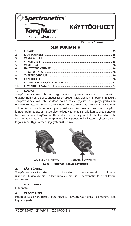

## **KÄYTTÖOHJEET**

#### **Finnish / Suomi**

### **Sisällysluettelo**

| 1.               |  |
|------------------|--|
| 2.               |  |
| $\overline{3}$ . |  |
| 4.               |  |
| 5.               |  |
| 6.               |  |
| 7.               |  |
| 8.               |  |
| 9.               |  |
| 10.              |  |
| 11.              |  |

#### **1. KUVAUS**

TorqMax-kahvalisävaruste on ergonominen apulaite ulkoisten tukiholkkien, dilaattoriholkkien ja Spectranetics-laserholkkien käsittelyn ja manipuloinnin avuksi. TorqMax-kahvalisävaruste ladataan holkin päälle kyljestä, ja se pysyy paikallaan oikein mitoitettujen holkkien päällä. Holkkiin tarttuminen vääntö- tai aksiaalivoiman välittämiseksi tapahtuu käyttäjän puristaessa lisävarusteen runkoa. TorqMaxlaitteen pehmeä sisäpinta suojelee holkkia vaurioilta samalla kun se antaa pitävän tarttumispinnan. TorqMax-laitetta voidaan siirtää helposti koko holkin pituudelta tai poistaa tarvittaessa toimenpiteen aikana puristamalla laitteen kyljessä olevia, logolla merkittyjä sormensijoja yhteen (ks. Kuva 1).





LATAAMINEN / SIIRTO KAHVAN AKTIVOINTI **Kuva 1: TorqMax -kahvalisävaruste** 

#### **2. KÄYTTÖAIHEET**

TorqMax-kahvalisävaruste on tarkoitettu ergonomiseksi pinnaksi ulkoisiin tukiholkkeihin, dilaattoriholkkeihin ja Spectranetics-laserholkkeihin tartuttaessa.

#### **3. VASTA-AIHEET**

Ei tunneta.

#### **4. VAROITUKSET**

Huomioi kaikki varoitukset, jotka koskevat käytettävää holkkia ja ilmenevät sen käyttöohjeista.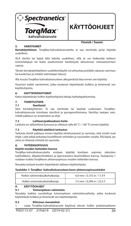



**KÄYTTÖOHJEET**

#### **5. VAROTOIMET**

**Kertakäyttöinen.** TorqMax-kahvalisävarustetta ei saa steriloida ja/tai käyttää uudelleen.

ÄLÄ steriloi tai käytä tätä laitetta uudelleen, sillä se voi heikentää laitteen toimintakykyä tai lisätä asiattomasta käsittelystä aiheutuvan ristisaastumisen vaaraa.

Tämän kertakäyttölaitteen uudelleenkäyttö voi aiheuttaa potilalle vakavan vamman tai kuoleman ja mitätöi valmistajan takuut.

Älä muuta TorqMax-kahvalisävarusteen alkuperäistä tilaa ennen sen käyttöä.

Huomioi kaikki varotoimet, jotka koskevat käytettävää holkkia ja ilmenevät sen käyttöohjeista.

#### **6. HAITTATAPAHTUMAT**

Katso käytettävän holkin käyttöohjeista tietoja haittatapahtumista.

#### **7. TOIMITUSTAPA**

#### **7.1 Sterilointi**

Vain kertakäyttöinen. Ei saa steriloida tai käyttää uudestaan. TorqMaxkahvalisävaruste toimitaan steriilinä ja pyrogeenittomana. Steriiliys taataan vain, mikäli pakkaus on avaamaton ja ehjä.

#### **7.2 Laitteen/pakkauksen hoito**

Laitteita on säilytettävä kuivassa ja viileässä (alle 60 °C / 140 °F) ennen käyttöä.

#### **7.3 Käyttöä edeltävä tarkastus**

Tarkasta steriili pakkaus ennen käyttöä silmävaraisesti ja varmista, että sinetit ovat ehjät. Laite pitää tarkastaa huolellisesti virheiden ja vaurioiden varalta. Älä käytä, jos siinä on ilmeisiä virheitä tai vaurioita.

#### **8. YHTEENSOPIVUUS**

#### **Käyttö muiden laitteiden kanssa**

TorqMax-kahvalisävarustetta voidaan käyttää kooltaan sopivien ulkoisten tukiholkkien, dilaattoriholkkien ja Spectranetics-laserholkkien kanssa. Taulukosta 1 voidaan todeta TorqMaxin yhteensopivuus muiden laitteiden kanssa.

Noudata tarkasti kunkin käytettävän laitteen käyttöohjeita.

#### **Taulukko 1: TorqMax -kahvalisävarusteen koon yhteensopivuustiedot**

| Holkin vähimmäisulkohalkaisija | 4,0 mm / 0,155 in / 11,9 F |
|--------------------------------|----------------------------|
| Holkin enimmäisulkohalkaisija  | 7,5 mm / 0,296 in / 22,5 F |

#### **9. KÄYTTÖOHJEET**

#### **9.1 Toimenpiteen valmistelu**

Noudata kaikkia suositeltuja toimenpiteen valmisteluvaiheita, jotka koskevat käytettävää holkkia ja ilmenevät sen käyttöohjeista.

#### **9.2 Kliininen menetelmä**

1. Lataa TorqMax-kahvalisävaruste käytössä olevan holkin proksimaaliseen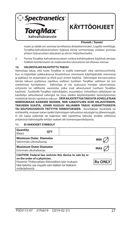



#### **Finnish / Suomi**

osaan ja säädä sen asemaa tarvittaessa distaalisemmaksi. Logolla merkittyjä, TorqMax-kahvalisävarusteen kyljessä olevia sormensijoja voidaan puristaa yhteen lisävarusteen latauksen ja siirron helpottamiseksi.

2. Purista TorqMax-kahvalisävarusteen runkoa kohdistaaksesi käytössä olevaan holkkiin kiertämiseen tai sisäänvientiin/ulosvetoon tarvittavaa voimaa.

#### **10. VALMISTAJAN RAJOITETTU TAKUU**

Valmistaja takaa, että tuote TorqMax ei sisällä materiaali- eikä valmistusvirheitä, kun se käytetään pakkauksessa ilmoitettuun viimeiseen käyttöpäivään mennessä ja pakkaus on avaamaton ja eheä juuri ennen käyttöä. Valmistajan korvausvastuu tämän takuun puitteissa rajoittuu viallisen tuotteen TorqMax vaihtoon tai sen ostohinnan hyvitykseen. Valmistaja ei ole vastuussa mistään satunnaisista, erityisistä tai välillisistä vaurioista, jotka ovat aiheutuneet tuotteen TorqMax käytöstä. Tuotteelle TorqMax väärinkäytön, muuntelun, virheellisen säilytyksen tai käsittelyn aiheuttamat vahingot tai muu näiden käyttöohjeiden laiminlyöminen mitätöivät tämän rajoitetun takuun. **TÄTÄ RAJOITETTUA TAKUUTA SOVELLETAAN NIMENOMAAN KAIKKIEN MUIDEN, NIIN ILMAISTUJEN KUIN HILJAISTENKIN, TAKUIDEN SIJASTA, JOIHIN KUULUU HILJAINEN TAKUU KURANTTIUDESTA TAI KELPOISUUDESTA TIETTYYN TARKOITUKSEEN.** Kenelläkään henkilöllä tai entiteetillä, mukaan lukien kaikki Valmistajan valtuutetut edustajat tai jälleenmyyjät, ei ole lupaa pidentää tai laajentaa tätä rajoitettua takuuta, eivätkä sellaisissa yrityksissä Valmistajalle tehdyt vaateet ole toimeenpanokelpoisia.

#### **11. EI-VAKIOISET SYMBOLIT**

| Quantity<br>Määrä                                                                                                                                    | <b>OTY</b> |                                                          |                |
|------------------------------------------------------------------------------------------------------------------------------------------------------|------------|----------------------------------------------------------|----------------|
| <b>Minimum Outer Diameter</b><br>Vähimmäis-ulkohalkaisija                                                                                            |            |                                                          | <b>MIN</b>     |
| <b>Maximum Outer Diameter</b><br>Enimmäis ulkohalkaisija                                                                                             |            |                                                          | <b>MAX</b>     |
| on the order of a physician.<br>Huomio: Yhdysvaltain liittovaltion lain mukaan<br>tätä laitetta saa myydä vain lääkäri tai lääkärin<br>määräyksestä. |            | CAUTION: Federal law restricts this device to sale by or | <b>Rx ONLY</b> |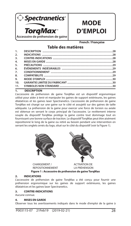

**MODE D'EMPLOI**

**French / Française**

### **Table des matières**

| 11. |  |
|-----|--|
| 10. |  |
| 9.  |  |
| 8.  |  |
| 7.  |  |
| 6.  |  |
| 5.  |  |
| 4.  |  |
| 3.  |  |
| 2.  |  |
| 1.  |  |

#### **1. DESCRIPTION**

L'accessoire de préhension de gaine TorqMax est un dispositif ergonomique utilisé pour aider à tenir et manipuler les gaines de support extérieures, les gaines dilatatrices et les gaines laser Spectranetics. L'accessoire de préhension de gaine TorqMax est chargé sur une gaine sur le côté et assujetti sur des gaines de taille adéquate. La préhension de la gaine pour exercer une force de torsion ou axiale est obtenue en serrant le corps principal de l'accessoire. Le revêtement interne souple du dispositif TorqMax protège la gaine contre tout dommage tout en fournissant une bonne surface de traction. Le dispositif TorqMax peut être aisément repositionné le long de la gaine ou retiré au besoin pendant une intervention en serrant les onglets ornés du logo, situé sur le côté du dispositif (voir la Figure 1).





CHARGEMENT / ACTIVATION DE<br>REPOSITIONNEMENT LA PRÉHENSION REPOSITIONNEMENT **Figure 1 : Accessoire de préhension de gaine TorqMax**

#### **2. INDICATIONS**

L'accessoire de préhension de gaine TorqMax a été conçu pour fournir une préhension ergonomique sur les gaines de support extérieures, les gaines dilatatrices et les gaines laser Spectranetics.

#### **3. CONTRE-INDICATIONS**

Aucune connue.

#### **4. MISES EN GARDE**

Observer tous les avertissements indiqués dans le mode d'emploi de la gaine à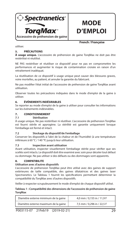

## **MODE D'EMPLOI**

**French / Française**

utiliser.

#### **5. PRÉCAUTIONS**

**À usage unique.** L'accessoire de préhension de gaine TorqMax ne doit pas être restérilisé ni réutilisé.

NE PAS restériliser et réutiliser ce dispositif pour ne pas en compromettre les performances et augmenter le risque de contamination croisée en raison d'un retraitement inadéquat.

La réutilisation de ce dispositif à usage unique peut causer des blessures graves, voire mortelles, au patient, et annuler la garantie du fabricant.

Ne pas modifier l'état initial de l'accessoire de préhension de gaine TorqMax avant utilisation.

Observer toutes les précautions indiquées dans le mode d'emploi de la gaine à utiliser.

#### **6. ÉVÉNEMENTS INDÉSIRABLES**

Se reporter au mode d'emploi de la gaine à utiliser pour consulter les informations sur les événements indésirables.

#### **7. CONDITIONNEMENT**

#### **7.1 Stérilisation**

À usage unique. Ne pas restériliser ni réutiliser. L'accessoire de préhension TorqMax est fourni stérile et apyrogène. La stérilité est garantie uniquement lorsque l'emballage est fermé et intact.

#### **7.2 Stockage du dispositif/de l'emballage**

Conserver les dispositifs à l'abri de la chaleur et de l'humidité (à une température inférieure à 60 °C / 140 °F) jusqu'à leur utilisation.

#### **7.3 Inspection avant utilisation**

Avant utilisation, inspecter visuellement l'emballage stérile pour vérifier que ses scellés sont intacts. Le dispositif doit être examiné avec soin pour déceler tout défaut ou dommage. Ne pas utiliser si des défauts ou des dommages sont apparents.

#### **8. COMPATIBILITE**

#### **Utilisation avec d'autres dispositifs**

L'accessoire de préhension TorqMax peut être utilisé avec des gaines de support extérieures de taille compatible, des gaines dilatatrices et des gaines laser Spectranetics. Le Tableau 1 fournit les spécifications permettant déterminer la compatibilité du TorqMax avec d'autres dispositifs.

Veiller à respecter scrupuleusement le mode d'emploi de chaque dispositif utilisé.

**Tableau 1 : Compatibilité des dimensions de l'accessoire de préhension de gaine TorqMax**

| Diamètre externe minimum de la gaine | 4,0 mm / 0,155 in / 11,9 F |
|--------------------------------------|----------------------------|
| Diamètre externe maximum de la gaine | 7,5 mm / 0,296 in / 22,5 F |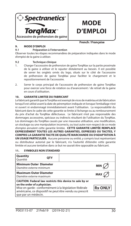

## **MODE D'EMPLOI**

**French / Française**

#### **9. MODE D'EMPLOI**

#### **9.1 Préparation à l'intervention**

Observer toutes les étapes recommandées de préparation indiquées dans le mode d'emploi de la gaine à utiliser.

#### **9.2 Technique clinique**

- 1. Charger l'accessoire de préhension de gaine TorqMax sur la partie proximale de la gaine à utiliser et le rajuster distalement au besoin. Il est possible de serrer les onglets ornés du logo, situés sur le côté de l'accessoire de préhension de gaine TorqMax pour faciliter le chargement et le repositionnement de l'accessoire.
- 2. Serrer le corps principal de l'accessoire de préhension de gaine TorqMax pour exercer une force de rotation ou d'avancement / de retrait de la gaine en cours d'utilisation.

#### **10. GARANTIE LIMITEE DU FABRICANT**

Le fabricant garantit que le TorqMax est exempt de vices de matériau et de fabrication lorsqu'il est utilisé avant la date de péremption indiquée et lorsque l'emballage n'est ni ouvert ni endommagé immédiatement avant l'utilisation. La responsabilité du fabricant dans le cadre de cette garantie se limite à l'échange ou au remboursement du prix d'achat du TorqMax défectueux. Le fabricant n'est pas responsable des dommages accessoires, spéciaux ou indirects résultant de l'utilisation du TorqMax. Les dommages du TorqMax causés par une mauvaise utilisation, une modification, un stockage ou une manipulation incorrects, ou tout autre non-respect de ce mode d'emploi annulent cette garantie limitée. **CETTE GARANTIE LIMITÉE REMPLACE EXPRESSÉMENT TOUTES LES AUTRES GARANTIES, EXPRESSES OU TACITES, Y COMPRIS LA GARANTIE TACITE DE QUALITÉ MARCHANDE OU D'ADAPTATION À UN USAGE PARTICULIER.** Aucune personne ou entité, y compris tout représentant ou distributeur autorisé par le fabricant, n'a l'autorité d'étendre cette garantie limitée et aucune tentative dans ce but ne saurait être opposable au fabricant.

#### **11. SYMBOLES NON STANDARD**

| Quantity<br>Ouantité                                                                                                                                                                                                                  | <b>OTY</b> |                |            |
|---------------------------------------------------------------------------------------------------------------------------------------------------------------------------------------------------------------------------------------|------------|----------------|------------|
| <b>Minimum Outer Diameter</b><br>Diamètre externe minimum                                                                                                                                                                             |            |                | <b>MIN</b> |
| <b>Maximum Outer Diameter</b><br>Diamètre externe maximum                                                                                                                                                                             |            |                | MAX        |
| CAUTION: Federal law restricts this device to sale by or<br>on the order of a physician.<br>Mise en garde : conformément à la législation fédérale<br>américaine, ce dispositif ne peut être vendu ou prescrit<br>que par un médecin. |            | <b>Rx ONLY</b> |            |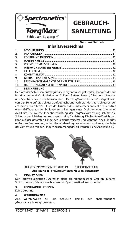

Schleusen-Zusatzgriff

## **GEBRAUCH-SANLEITUNG**

**German/ Deutsch**

### **Inhaltsverzeichnis**

|                 | 1. BESCHREIBUNG |  |
|-----------------|-----------------|--|
| 11.             |                 |  |
| 10 <sub>1</sub> |                 |  |
| 9.              |                 |  |
| 8.              |                 |  |
| 7.              |                 |  |
| 6.              |                 |  |
| 5.              |                 |  |
| 4.              |                 |  |
| 3.              |                 |  |
| 2.              |                 |  |
| 1.              |                 |  |

#### Der TorqMax-Schleusen-Zusatzgriff ist ein ergonomisch geformter Handgriff, der zur Handhabung und Manipulation von äußeren Stützschleusen, Dilatationsschleusen und Spectranetics-Laserschleusen dient. Der TorqMax-Schleusen-Zusatzgriff wird von der Seite auf die Schleuse aufgebracht und verbleibt dort auf Schleusen der entsprechenden Größe. Durch das Drücken des Griffkörpers erreicht der Benutzer einen Griffzug auf der Schleuse zum Erzeugen eines Drehmoments bzw. einer Axialkraft. Die weiche Innenbeschichtung der TorqMax-Vorrichtung schützt die Schleuse vor Schäden und sorgt gleichzeitig für Haftung. Die TorqMax-Vorrichtung kann auf der gesamten Länge der Schleuse versetzt und während eines Eingriffs einfach entfernt werden, indem die mit dem Logo versehenen Laschen an der Seite der Vorrichtung mit den Fingern zusammengedrückt werden (siehe Abbildung 1).





#### AUFSETZEN/ POSITION VERÄNDERN GRIFFAKTIVIERUNG **Abbildung 1: TorqMax Einführschleusen-Zusatzgriff**

#### **2. INDIKATIONEN**

Der TorgMax-Schleusen-Zusatzgriff dient als ergonomischer Griff an äußeren Stützschleusen, Dilatationsschleusen und Spectranetics-Laserschleusen.

#### **3. KONTRAINDIKATIONEN**

Keine bekannt.

### **4. WARNHINWEISE**<br>Alle Warnhinweise für

Alle Warnhinweise für die Schleuse gemäß der entsprechenden "Gebrauchsanleitung" beachten.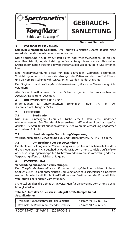

## **GEBRAUCH-SANLEITUNG**

#### **5. VORSICHTSMASSNAHMEN**

**German/ Deutsch**

Nur zum einmaligen Gebrauch. Der TorgMax-Schleusen-Zusatzgriff darf nicht resterilisiert und/oder wiederverwendet werden.

Diese Vorrichtung NICHT erneut sterilisieren oder wiederverwenden, da dies zu einer Beeinträchtigung der Leistung der Vorrichtung führen oder das Risiko einer Kreuzkontamination aufgrund unvorschriftsmäßiger Wiederaufbereitung erhöhen kann.

Eine Wiederverwendung dieser für den einmaligen Gebrauch bestimmten Vorrichtung kann zu schweren Verletzungen des Patienten oder zum Tod führen, und die vom Hersteller gewährten Garantien werden hierdurch nichtig.

Den Originalzustand des TorgMax-Schleusen-Zusatzgriffs vor der Verwendung nicht verändern.

Alle Vorsichtsmaßnahmen für die Schleuse gemäß der entsprechenden "Gebrauchsanleitung" beachten.

### **6. UNERWÜNSCHTE EREIGNISSE**<br>Informationen zu unerwünschter

zu unerwünschten Ereignissen finden sich in der "Gebrauchsanleitung" der Schleuse.

#### **7. LIEFERFORM**

#### **7.1 Sterilisation**

Nur zum einmaligen Gebrauch. Nicht erneut sterilisieren und/oder wiederverwenden. Der TorqMax-Schleusen-Zusatzgriff wird steril und pyrogenfrei geliefert. Die Sterilität ist nur dann gewährleistet, wenn die Verpackung ungeöffnet und unbeschädigt ist.

#### **7.2 Handhabung der Vorrichtung/Verpackung**

Vorrichtungen bis zur Verwendung kühl und trocken (unter 60 °C/140 °F) lagern.

#### **7.3 Untersuchung vor der Verwendung**

Die sterile Verpackung vor der Verwendung visuell prüfen, um sicherzustellen, dass die Versiegelungen nicht beschädigt wurden. Die Vorrichtung sorgfältig auf Defekte oder Beschädigungen überprüfen. Nicht verwenden, wenn die Vorrichtung oder die Verpackung offensichtlich beschädigt ist.

#### **8. KOMPATIBILITÄT**

#### **Verwendung mit anderen Vorrichtungen**

Der TorqMax-Schleusen-Zusatzgriff kann mit größenkompatiblen äußeren Stützschleusen, Dilatationsschleusen und Spectranetics-Laserschleusen eingesetzt werden. Tabelle 1 enthält die Spezifikationen zur Bestimmung der Kompatibilität von TorqMax mit anderen Vorrichtungen.

Sicherstellen, dass die Gebrauchsanweisungen für die jeweilige Vorrichtung genau befolgt werden.

#### Tabelle 1:TorqMax-Schleusen-Zusatzgriff Größe Kompatibilität **Spezi kationen**

| Mindest-Außendurchmesser der Schleuse   | 4.0 mm / 0.155 in / 11.9 F |  |
|-----------------------------------------|----------------------------|--|
| Maximaler Außendurchmesser der Schleuse | 7.5 mm / 0.296 in / 22.5 F |  |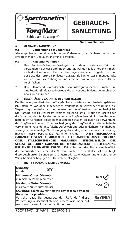

## **GEBRAUCH-SANLEITUNG**

**German/ Deutsch**

#### **9. GEBRAUCHSANWEISUNG**

#### **9.1 Vorbereitung des Verfahrens**

Alle empfohlenen Verfahrensschritte zur Vorbereitung der Schleuse gemäß der entsprechenden "Gebrauchsanleitung" befolgen.

#### **9.2 Klinisches Verfahren**

- 1. Den TorqMax-Schleusen-Zusatzgriff auf dem proximalen Teil der verwendeten Schleuse anbringen und die Position falls erforderlich mehr nach distal verändern. Die mit dem Logo versehenen Fingerlaschen auf der Seite des TorgMax-Schleusen-Zusatzgriffs können zusammengedrückt werden, um das Anbringen und erneute Positionieren des Griffs zu vereinfachen.
- 2. Den Griffkörper des TorqMax-Schleusen-Zusatzgriffs zusammendrücken, um eine Rotationskraft auszuüben oder die verwendete Schleuse vorzuschieben bzw. zurückzuziehen.

#### **10. BESCHRÄNKTE GARANTIE DES HERSTELLERS**

Der Hersteller garantiert, dass das TorqMax frei von Material- und Herstellungsfehlern ist, sofern es vor dem angegebenen Verfallsdatum verwendet wird und die Verpackung unmittelbar vor der Verwendung ungeöffnet und unbeschädigt ist. Die Haftung des Herstellers im Rahmen dieser Garantie ist auf den Ersatz oder die Erstattung des Kaufpreises für fehlerhafte TorqMax beschränkt. Der Hersteller haftet nicht für Neben-, Folge- oder besondere Schäden, die durch die Verwendung des TorqMax entstehen. Eine Beschädigung des TorqMax durch die fehlerhafte Verwendung, Veränderung, falsche Aufbewahrung oder fehlerhafte Handhabung sowie jede anderweitige Nichtbefolgung der vorliegenden Gebrauchsanweisung machen diese beschränkte Garantie nichtig. **DIESE BESCHRÄNKTE GARANTIE ERSETZT AUSDRÜCKLICH ALLE ANDEREN AUSDRÜCKLICHEN ODER STILLSCHWEIGENDEN GARANTIEN, EINSCHLIESSLICH DER STILLSCHWEIGENDEN GARANTIE DER MARKTGÄNGIGKEIT ODER EIGNUNG FÜR EINEN BESTIMMTEN ZWECK.** Keine Person oder Firma, einschließlich der autorisierten Vertreter oder Wiederverkäufer des Herstellers, ist berechtigt, diese beschränkte Garantie zu verlängern oder zu erweitern, und entsprechende Versuche sind nicht gegen den Hersteller einklagbar.

| Quantity<br>Anzahl                                   | <b>OTY</b> |                                                             |                |
|------------------------------------------------------|------------|-------------------------------------------------------------|----------------|
| Minimum Outer Diameter<br>minimaler Außendurchmesser |            |                                                             | <b>MIN</b>     |
| Maximum Outer Diameter<br>maximaler Außendurchmesser |            |                                                             | <b>MAX</b>     |
|                                                      |            | CAUTION: Federal law restricts this device to sale by or on |                |
| the order of a physician.                            |            | Vorsicht: Laut Bundesgesetz der USA darf diese              | <b>Rx ONLY</b> |
| Anordnung eines Arztes verkauft werden.              |            | Vorrichtung ausschließlich von einem Arzt oder auf          |                |

#### **11. NICHT-STANDARDISIERTE SYMBOLE**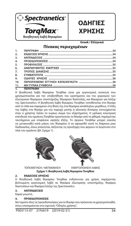

## **ΟΔΗΓΙΕΣ ΧΡΗΣΗΣ**

**Greek / Ελληνικά**

#### **Πίνακας περιεχομένων**

| 1.7.7            |                                                                                                                                                                                                                                                                                                                                                                                      |  |
|------------------|--------------------------------------------------------------------------------------------------------------------------------------------------------------------------------------------------------------------------------------------------------------------------------------------------------------------------------------------------------------------------------------|--|
| 2.               |                                                                                                                                                                                                                                                                                                                                                                                      |  |
| 3.               |                                                                                                                                                                                                                                                                                                                                                                                      |  |
| 4.               |                                                                                                                                                                                                                                                                                                                                                                                      |  |
| 5.               |                                                                                                                                                                                                                                                                                                                                                                                      |  |
| 6.               |                                                                                                                                                                                                                                                                                                                                                                                      |  |
| $\overline{7}$ . |                                                                                                                                                                                                                                                                                                                                                                                      |  |
| 8.               |                                                                                                                                                                                                                                                                                                                                                                                      |  |
| 9.               |                                                                                                                                                                                                                                                                                                                                                                                      |  |
| 10.              |                                                                                                                                                                                                                                                                                                                                                                                      |  |
|                  |                                                                                                                                                                                                                                                                                                                                                                                      |  |
|                  | $\overline{a}$ $\overline{a}$ $\overline{b}$ $\overline{c}$ $\overline{d}$ $\overline{d}$ $\overline{d}$ $\overline{d}$ $\overline{d}$ $\overline{d}$ $\overline{d}$ $\overline{d}$ $\overline{d}$ $\overline{d}$ $\overline{d}$ $\overline{d}$ $\overline{d}$ $\overline{d}$ $\overline{d}$ $\overline{d}$ $\overline{d}$ $\overline{d}$ $\overline{d}$ $\overline{d}$ $\overline{$ |  |

#### **1. ΠΕΡΙΓΡΑΦΗ**

Η βοηθητική λαβή θηκαρίου TorqMax είναι μια εργονομική συσκευή που χρησιμοποιείται για την υποβοήθηση του κρατήματος και του χειρισμού των εξωτερικών θηκαριών υποστήριξης, θηκαριών διαστολής, και θηκαριών για λέιζερ της Spectranetics. Η βοηθητική λαβή θηκαρίου TorqMax τοποθετείται στο θηκάρι από το πλάι και παραμένει στη θέση της στα θηκάρια κατάλληλου μεγέθους. Η έλξη της λαβής στο θηκάρι για την παροχή ροπής ή αξονικής δύναμης επιτυγχάνεται όταν ο χρήστης πιέσει το κυρίως σώμα του εξαρτήματος. Η μαλακή εσωτερική επένδυση του οργάνου TorqMax προστατεύει το θηκάρι από τη φθορά, παρέχοντας ταυτόχρονα μια επιφάνεια υψηλής έλξης. Το όργανο TorqMax μπορεί εύκολα να μετακινηθεί κατά μήκος του θηκαρίου ή να αφαιρεθεί κατά τη διάρκεια μιας διαδικασίας, όπως απαιτείται, πιέζοντας τις προεξοχές που φέρουν το λογότυπο στο πλάι του οργάνου (βλ. Σχήμα 1).





ΤΟΠΟΘΕΤΗΣΗ / ΜΕΤΑΚΙΝΗΣΗ ΕΝΕΡΓΟΠΟΙΗΣΗ ΛΑΒΗΣ

**Σχήμα 1: Βοηθητική λαβή θηκαρίου TorqMax** 

#### **2. ΕΝΔΕΙΞΕΙΣ ΧΡΗΣΗΣ**

Η Βοηθητική λαβή θηκαρίου TorqMax ενδείκνυται για χρήση παρέχοντας βελτιωμένη εργονομική λαβή σε θηκάρια εξωτερικής υποστήριξης, θηκάρια διαστολέων και θηκάρια λέιζερ της Spectranetics.

#### **3. ΑΝΤΕΝΔΕΙΞΕΙΣ**

Καμία γνωστή.

#### **4. ΠΡΟΕΙΔΟΠΟΙΗΣΕΙΣ**

Να τηρείτε όλες τις προειδοποιήσεις για το θηκάρι που πρόκειται να χρησιμοποιηθεί, όπως επισημαίνεται στις σχετικές "Οδηγίες χρήσης".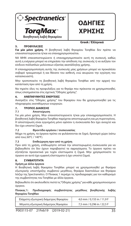

## **ΟΔΗΓΙΕΣ ΧΡΗΣΗΣ**

#### **5. ΠΡΟΦΥΛΑΞΕΙΣ**

## **Greek / Ελληνικά**

**Για μία μόνο χρήση.** Η βοηθητική λαβή θηκαρίου TorqMax δεν πρέπει να επαναποστειρώνεται ή/και να επαναχρησιμοποιείται.

ΝΑ ΜΗΝ επαναποστειρώνετε ή επαναχρησιμοποιείτε αυτή τη συσκευή, καθώς αυτή η ενέργεια μπορεί να επηρεάσει την απόδοση της συσκευής ή να αυξήσει τον κίνδυνο πολλαπλών μολύνσεων εξαιτίας ακατάλληλης χρήσης.

Η επαναχρησιμοποίηση αυτής της συσκευής μίας χρήσεων μπορεί να προκαλέσει σοβαρό τραυματισμό ή και θάνατο του ασθενή, ενώ ακυρώνει την εγγύηση του κατασκευαστή.

Μην τροποποιείτε τη βοηθητική λαβή θηκαρίου TorqMax από την αρχική του κατάσταση πριν από τη χρήση.

Να τηρείτε όλες τις προφυλάξεις για το θηκάρι που πρόκειται να χρησιμοποιηθεί, όπως επισημαίνεται στις σχετικές "Οδηγίες χρήσης".

#### **6. ΑΝΕΠΙΘΥΜΗΤΕΣ ΕΝΕΡΓΕΙΕΣ**

Ανατρέξτε στις "Οδηγίες χρήσης" του θηκαρίου που θα χρησιμοποιηθεί για τις πληροφορίες ανεπιθύμητων ενεργειών.

### **7. ΤΡΟΠΟΣ ΔΙΑΘΕΣΗΣ**

#### **7.1 Αποστείρωση**

Για μία μόνο χρήση. Μην επαναποστειρώνετε ή/και μην επαναχρησιμοποιείτε. Η βοηθητική λαβή θηκαρίου TorqMax παρέχεται αποστειρωμένη και μη πυρετογόνος. Η αποστείρωση είναι εγγυημένη μόνο εφόσον η συσκευασία δεν έχει ανοιχτεί και δεν έχει υποστεί ζημιά.

#### **7.2 Φροντίδα οργάνου / συσκευασίας**

Μέχρι τη χρήση, τα όργανα πρέπει να φυλάσσονται σε ξηρό, δροσερό χώρο (κάτω από τους 60°C / 140°F).

#### **7.3 Επιθεώρηση πριν από τη χρήση**

Πριν από τη χρήση, επιθεωρήστε οπτικά την αποστειρωμένη συσκευασία για να βεβαιωθείτε ότι δεν έχουν παραβιαστεί τα σφραγίσματα. Το όργανο πρέπει να εξετάζεται προσεκτικά για τυχόν ελαττώματα ή ζημιά. Μην χρησιμοποιείτε το όργανο αν αυτό έχει εμφανή ελαττώματα ή έχει υποστεί ζημιά.

#### **8. ΣΥΜΒΑΤΟΤΗΤΑ**

#### **Χρήση με άλλα όργανα**

Η Βοηθητική λαβή θηκαρίου TorqMax μπορεί να χρησιμοποιηθεί με θηκάρια εξωτερικής υποστήριξης συμβατού μεγέθους, θηκάρια διαστολέων και θηκάρια λέιζερ της Spectranetics. Ο Πίνακας 1 περιέχει τις προδιαγραφές για τον καθορισμό της συμβατότητας του TorqMax με άλλα όργανα.

Βεβαιωθείτε ότι ακολουθείτε πιστά τις "Οδηγίες χρήσης" για κάθε χρησιμοποιούμενο όργανο.

**Πίνακας 1: Προδιαγραφές συμβατότητας μεγέθους βοηθητικής λαβής θηκαρίου TorqMax**

| Ελάχιστη εξωτερική διάμετρος θηκαρίου | 4,0 mm / 0,155 in / 11,9 F |  |
|---------------------------------------|----------------------------|--|
| Μέγιστη εξωτερική διάμετρος θηκαρίου  | 7,5 mm / 0,296 in / 22,5 F |  |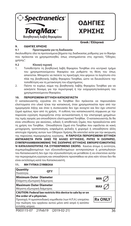

## **ΟΔΗΓΙΕΣ ΧΡΗΣΗΣ**

#### **9. ΟΔΗΓΙΕΣ ΧΡΗΣΗΣ**

#### **Greek / Ελληνικά**

#### **9.1 Προετοιμασία για τη διαδικασία**

Ακολουθήστε όλα τα προτεινόμενα βήματα της διαδικασίας ρύθμισης για το θηκάρι που πρόκειται να χρησιμοποιηθεί, όπως επισημαίνεται στις σχετικές "Οδηγίες χρήσης".

#### **9.2 Κλινική τεχνική**

- 1. Τοποθετήστε τη βοηθητική λαβή θηκαρίου TorqMax στο κεντρικό τμήμα του χρησιμοποιούμενου θηκαρίου και ρυθμίστε τη θέση του όπως απαιτείται. Μπορείτε να πιέσετε τις προεξοχές που φέρουν το λογότυπο στο πλάι της βοηθητικής λαβής θηκαρίου TorqMax, ώστε να διευκολύνετε την τοποθέτηση και τη μετακίνηση του εξαρτήματος.
- 2. Πιέστε το κυρίως σώμα της βοηθητικής λαβής θηκαρίου TorqMax για να ασκήσετε δύναμη για την περιστροφή ή την εισχώρηση/ανάσυρση του χρησιμοποιούμενου θηκαρίου.

#### **10. ΠΕΡΙΟΡΙΣΜΕΝΗ ΕΓΓΥΗΣΗ ΚΑΤΑΣΚΕΥΑΣΤΗ**

Ο κατασκευαστής εγγυάται ότι το TorqMax δεν πρόκειται να παρουσιάσει ελαττώματα στο υλικό ή/και την κατασκευή, όταν χρησιμοποιείται πριν από την ημερομηνία λήξης και όταν η συσκευασία δεν έχει ανοιχτεί και δεν έχει υποστεί ζημιά αμέσως πριν από τη χρήση. Η ευθύνη του κατασκευαστή σύμφωνα με την παρούσα εγγύηση περιορίζεται στην αντικατάσταση ή την επιστροφή χρημάτων της τιμής αγοράς για οποιοδήποτε ελαττωματικό TorqMax. Ο κατασκευαστής δε θα είναι υπεύθυνος για ακούσιες, ειδικές ή αποθετικές ζημίες που προκαλούνται από τη χρήση του TorqMax. Οποιαδήποτε ζημιά στο TorqMax που οφείλεται σε κακή μεταχείριση, τροποποίηση, εσφαλμένη φύλαξη ή χειρισμό ή οποιαδήποτε άλλη αποτυχία τήρησης αυτών των Οδηγιών Χρήσης θα αποτελεί αιτία για την ακύρωση της παρούσας περιορισμένης εγγύησης. **Η ΠΑΡΟΥΣΑ ΠΕΡΙΟΡΙΣΜΕΝΗ ΕΓΓΥΗΣΗ ΑΝΤΙΚΑΘΙΣΤΑ ΡΗΤΑ ΟΛΕΣ ΤΙΣ ΑΛΛΕΣ ΕΓΓΥΗΣΕΙΣ, ΡΗΤΕΣ Ή ΣΙΩΠΗΡΕΣ, ΣΥΜΠΕΡΙΛΑΜΒΑΝΟΜΕΝΗΣ ΤΗΣ ΣΙΩΠΗΡΗΣ ΕΓΓΥΗΣΗΣ ΕΜΠΟΡΕΥΣΙΜΟΤΗΤΑΣ Ή ΚΑΤΑΛΛΗΛΟΤΗΤΑΣ ΓΙΑ ΣΥΓΚΕΚΡΙΜΕΝΟ ΣΚΟΠΟ.** Κανένα άτομο ή οντότητα, συμπεριλαμβανομένων των εξουσιοδοτημένων αντιπροσώπων ή μεταπωλητών του Κατασκευαστή δεν έχει την εξουσιοδότηση να μεταθέσει ή να επεκτείνει αυτήν την περιορισμένη εγγύηση και οποιαδήποτε προσπάθεια να γίνει κάτι τέτοιο δεν θα είναι εκτελέσιμη κατά του Κατασκευαστή.

| <b>Quantity</b><br>Ποσότητα                                                                                                                                                                                                      | <b>OTY</b> |  |                |
|----------------------------------------------------------------------------------------------------------------------------------------------------------------------------------------------------------------------------------|------------|--|----------------|
| <b>Minimum Outer Diameter</b><br>Ελάχιστη εξωτερική διάμετρος                                                                                                                                                                    |            |  |                |
| <b>Maximum Outer Diameter</b><br>Μέγιστη εξωτερική διάμετρος                                                                                                                                                                     |            |  | <b>MA</b>      |
| CAUTION: Federal law restricts this device to sale by or on<br>the order of a physician.<br>Προσοχή: Η ομοσπονδιακή νομοθεσία (των Η.Π.Α.) επιτρέπει<br>την πώληση του οργάνου αυτού μόνο από ιατρό ή κατόπιν<br>εντολής ιατρού. |            |  | <b>Rx ONLY</b> |

#### **11. ΜΗ ΤΥΠΙΚΑ ΣΥΜΒΟΛΑ**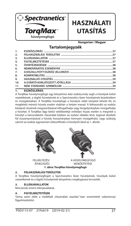

## **HASZNÁLATI UTASÍTÁS**

**Hungarian / Magyar**

### **Tartalomjegyzék**

| 11.              |  |
|------------------|--|
| 10.              |  |
| 9.               |  |
| 8.               |  |
| $\overline{7}$ . |  |
| 6.               |  |
| 5.               |  |
| 4.               |  |
| $\overline{3}$ . |  |
| 2.               |  |
| 1.               |  |

#### **1. ESZKÖZLEÍRÁS**

A TorqMax hüvelymegfogó egy kényelmes kézi eszköz,mely segít a hüvelyek külső vezetékének, a tágító hüvelyének és a Spectranetics lézer hüvelyének kezelésében és mozgatásában. A TorqMax hüvelyfogó a hüvelyre oldal irányból tehető fel, és megfelelő méretű hüvely esetén stabilan a helyén marad. A felhasználó az eszköz középső részének megszorításával elforgathatja vagy tengelyirányban mozgathatja a hüvelyt. A TorqMax lágy belső védőbetétje erőteljes húzás esetén is megvédi a hüvelyt a károsodástól. Használat közben az eszköz oldalán lévő, logóval díszített fül összenyomásával a hüvely hosszirányban könnyen mozgatható, vagy szükség szerint az eszköz egyszerűen eltávolítható a hüvelyről (lásd az 1. ábrát).





FELHELYEZÉS/ A HÜVELYMEGFOGÓ MŰKÖDTETÉSE **1. ábra: TorqMax hüvelymegfogó** 

#### **2. FELHASZNÁLÁSI TERÜLETEK**

A TorqMax hüvelymegfogót a Spectranetics lézer hüvelyének, hüvelyek külső vezetékének és a tágító hüvelyének kényelmes megfogására tervezték.

#### **3. ELLENJAVALLATOK**

Nincsenek ismert ellenjavallatok.

#### **4. FIGYELMEZTETÉSEK**

Tartsa szem előtt a mellékelt "Használati utasítás"-ban ismertetett valamennyi figyelmeztetést.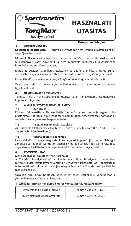

## **HASZNÁLATI UTASÍTÁS**

#### **5. ÓVINTÉZKEDÉSEK**

**Hungarian / Magyar**

**Egyszeri felhasználásra.** A TorqMax hüvelyfogót nem szabad újrasterilizálni és/ vagy újrafelhasználni.

NE sterilizálja újra vagy használja újra ezt az eszközt, mert ezek csökkenthetik teljesítményét, vagy növelhetik a nem megfelelő újrakezelés következtében létrejövő keresztfertőzés kockázatát.

Ennek az egyszer használatos eszköznek az újrafelhasználása a beteg súlyos sérüléséhez vagy halálához vezethet, és érvénytelenné teszi a gyártó garanciáját.

Használat előtt ne változtassa meg a TorqMax hüvelyfogó eredeti állapotát.

Tartsa szem előtt a mellékelt "Használati utasítás"-ban ismertetett valamennyi figyelmeztetést.

#### **6. NEMKÍVÁNATOS ESEMÉNYEK**

Tekintse meg a hüvely "Használati utasítás"-ának nemkívánatos eseményekkel kapcsolatos fejezetét.

### **7. A KISZALLITOTT ESZKÖZ JELLEMZOI**

#### **7.1 Sterilizálás**

Egyszeri felhasználásra. Ne sterilizálja újra és/vagy ne használja egynél több alkalommal. A TorqMax hüvelyfogó steril, nem pirogén. A sterilitás csak bontatlan és sértetlen csomagolás esetén garantálható.

#### **7.2 Az eszköz/csomagolás kezelése**

Az eszközöket felhasználásukig hűvös, száraz helyen tárolja (60 °C / 140 °F -nál alacsonyabb hőmérsékleten).

#### **7.3 Használat előtti ellenőrzés**

Használat előtt vizsgálja meg a steril csomagolást és győződjön meg arról, hogy a zárjegyek sértetlenek. Gondosan vizsgálja meg az eszközt, hogy van-e rajta hiba vagy sérülés. Ha látható hibát vagy sérülést észlel, ne használja az eszközt.

#### **8. KOMPATIBILITÁS**

#### **Más eszközökkel együtt történő használat**

A TorqMax hüvelymegfogó a Spectranetics lézer hüvelyével,, mérethelyes hüvelyek külső vezetékével és a tágító hüvelyével használható. Az 1. táblázatban feltüntetett műszaki adatok alapján meghatározható a TorqMax kompatibilitása más eszközökkel.

Ügyeljen arra, hogy pontosan kövesse az egyes eszközökre vonatkozóan a "Használati utasítás" részben leírtakat.

#### **1. táblázat: TorqMax hüvelyfogó Méret Kompatibilitás Műszaki adatok**

| Hüvely minimális külső átmérője | 4.0 mm / 0.155 in / 11.9 F |
|---------------------------------|----------------------------|
| Hüvely maximális külső átmérője | 7,5 mm / 0,296 in / 22,5 F |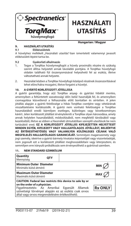

## **HASZNÁLATI UTASÍTÁS**

**Hungarian / Magyar**

#### **9. HASZNÁLATI UTASÍTÁS**

#### **9.1 Előkészületek**

A hüvelyhez mellékelt "Használati utasítás"-ban ismertetett valamennyi javasolt előkészületi lépést tartsa be.

#### **9.2 Gyakorlati alkalmazás**

- 1. Tegye a TorqMax hüvelymegfogót a hüvely proximális részére és szükség szerint állítsa helyzetét annak távolabbi pontjára. A TorqMax hüvelyfogó oldalán található fül összenyomásával helyezhető fel az eszköz, illetve változtatható annak helyzete.
- 2. Használat közben a TorqMax hüvelyfogó középső részének összeszorításával lehet előre/hátra mozgatni, illetve forgatni a hüvelyt.

#### **10. A GYÁRTÓ KORLÁTOZOTT JÓTÁLLÁSA**

A gyártó garantálja, hogy a(z) TorqMax anyag- és gyártási hibától mentes, amennyiben a feltüntetett szavatossági időn belül használják fel, és amennyiben csomagolása közvetlenül a felhasználás előtt bontatlan és sértetlen. A jelen jótállás alapján a gyártó felelőssége a hibás TorqMax cseréjére vagy vételárának visszafizetésére korlátozódik. A gyártó nem vonható felelősségre a TorqMax használatából eredő bármilyen esetleges, különleges vagy következményes kárért. Jelen korlátozott jótállást érvényteleníti a TorqMax olyan károsodása, amely annak helytelen használatából, módosításából, nem megfelelő tárolásából vagy kezeléséből, illetve az ebben a Használati útmutatóban szereplő utasítások be nem tartásából ered. **EZ A KORLÁTOZOTT JÓTÁLLÁS KIFEJEZETTEN HELYETTESÍT MINDEN EGYÉB, KIFEJEZETT VAGY HALLGATÓLAGOS JÓTÁLLÁST, BELEÉRTVE AZ ÉRTÉKESÍTHETŐSÉG VAGY VALAMILYEN KÜLÖNLEGES CÉLNAK VALÓ MEGFELELÉS HALLGATÓLAGOS GARANCIÁJÁT.** Semmilyen magánszemély vagy jogi személy, ideértve a gyártó bármely hivatalos képviselőjét vagy viszonteladóját, nem jogosult ezt a korlátozott jótállást meghosszabbítani vagy kiterjeszteni, és semmilyen erre irányuló próbálkozás sem érvényesíthető a gyártóval szemben.

#### **11. NEM STANDARD SZIMBÓLUM**

| Quantity<br>Mennyiség                                                                                                                                                                                                                              | <b>OTY</b> |  |                |
|----------------------------------------------------------------------------------------------------------------------------------------------------------------------------------------------------------------------------------------------------|------------|--|----------------|
| <b>Minimum Outer Diameter</b><br>Minimális külső átmérő                                                                                                                                                                                            |            |  | <b>MIN</b>     |
| <b>Maximum Outer Diameter</b><br>Maximális külső átmérő                                                                                                                                                                                            |            |  | <b>MAX</b>     |
| CAUTION: Federal law restricts this device to sale by or<br>on the order of a physician.<br>Figyelmeztetés: Az Amerikai Egyesült Államok<br>szövetségi törvényei alapján ez az eszköz csak orvos<br>által vagy orvos megrendelésére értékesíthető. |            |  | <b>Rx ONLY</b> |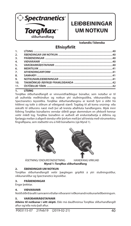

### **LEIÐBEININGAR UM NOTKUN**

**Icelandic/ Íslenska**

### **Efnisyfirlit**

| 1.               |  |
|------------------|--|
| 2.               |  |
| $\overline{3}$ . |  |
| 4.               |  |
| 5.               |  |
| 6.               |  |
| $\overline{7}$ . |  |
| 8.               |  |
| 9.               |  |
| 10.              |  |
| 11.              |  |

#### **1. LÝSING**

TorqMax slíðurhandfangið er vinnuvistfræðilegur búnaður, sem notaður er til að auðvelda meðhöndlun og notkun ytri stuðningsslíðra, víkkunarslíðra og Spectranetics leysislíðra. TorqMax slíðurhandfanginu er komið fyrir á slíðri frá hliðinni og tollir á slíðrum af viðeigandi stærð. Togálag til að koma snúning- eða áskrafti til slíðursins næst með því að kreista aðalhluta handfangsins. Mjúk innri fóðring TorqMax búnaðarins verndar slíðrið gegn skemmdum en yfirborð hennar veitir mikið tog. TorqMax búnaðinn er auðvelt að endurstaðsetja á slíðrinu og arlægja meðan á aðgerð stendur eftir þörfum með því að kreista með vörumerkinu fingraflipana, sem staðsettir eru á hlið búnaðarins (sjá Mynd 1).





ÁSETNING/ ENDURSTAÐSETNING HANDFANG VIRKJAÐ

**Mynd 1: TorqMax slíðurhandfang**

#### **2. ÁBENDINGAR UM NOTKUN**

TorqMax slíðurhandfangið veitir þægilegan gripflöt á ytri stuðningsslíður, víkkunarslíður og Spectranetics leysislíður.

#### **3. FRÁBENDINGAR**

Engar þekktar.

#### **4. VIÐVARANIR**

Notið slíðrið ávallt í samræmi við allar viðvaranir í viðkomandi notkunarleiðbeiningum.

#### **5. VARÚÐARRÁÐSTAFANIR**

**Aðeins til notkunar í eitt skipti.** Ekki má dauðhreinsa TorqMax slíðurhandfangið aftur og/eða nota það aftur.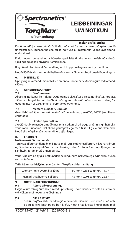

### **LEIÐBEININGAR UM NOTKUN**

#### **Icelandic/ Íslenska**

Dauðhreinsið þennan búnað EKKI aftur eða notið aftur þar sem það getur dregið úr afkastagetu búnaðarins eða aukið hættuna á krosssmitun vegna óviðeigandi endurvinnslu.

Endurnotkun þessa einnota búnaðar gæti leitt til alvarlegra meiðsla eða dauða sjúklings og ógildir ábyrgðir framleiðanda.

Breytið ekki TorqMax slíðurhandfanginu frá upprunalegu ástandi fyrir notkun.

Notið slíðrið ávallt í samræmi við allar viðvaranir í viðkomandi notkunarleiðbeiningum.

#### **6. MEINTILVIK**

Upplýsingar varðandi meintilvik er að finna í notkunarleiðbeiningum viðkomandi slíðurs.

### **7. AFHENDINGARFORM**

#### **7.1 Dauðhreinsun**

Aðeins til notkunar í eitt skipti. Dauðhreinsið ekki aftur og/eða notið aftur. TorqMax slíðurhandfangið kemur dauðhreinsað og sótthitavarið. Aðeins er veitt ábyrgð á dauðhreinsun ef pakkningin er óopnuð og óskemmd.

#### **7.2 Meðferð búnaðar / umbúða**

Geymið búnað á þurrum, svölum stað (við lægra hitastig en 60°C / 140°F) þar til hann er notaður.

#### **7.3 Skoðun fyrir notkun**

Skoðið dauðhreinsuðu umbúðirnar fyrir notkun til að tryggja að innsigli hafi ekki verið rofin. Búnaðinn skal skoða gaumgæfilega með tilliti til galla eða skemmda. Notið ekki ef gallar eða skemmdir eru sjáanlegar.

#### **8. SAMHÆFI**

#### **Notkun með öðrum búnaði**

TorqMax slíðurhandfangið má nota með ytri stuðningsslíðrum, víkkunarslíðrum og Spectranetics leysislíðrum af sambærilegri stærð. Í töflu 1 eru upplýsingar um samhæfni TorqMax við annan búnað.

Verið viss um að fylgja notkunarleiðbeiningunum nákvæmlega fyrir allan búnað sem notaður er.

#### Tafla 1:Samhæfnislýsing stærðar fyrir TorqMax slíðurhandfang

| Lágmark innra þvermáls slíðurs | 4.0 mm / 0.155 tommur / 11.9 F |
|--------------------------------|--------------------------------|
| Hámark ytra þvermáls slíðurs   | 7,5 mm / 0,296 tommur / 22,5 F |

#### **9. NOTKUNARLEIÐBEININGAR**

#### **9.1 Aðferð við uppsetningu**

Fylgið öllum ráðlögðum skrefum við uppsetningu fyrir slíðrið sem nota á í samræmi við viðkomandi notkunarleiðbeiningar.

#### **9.2 Klínísk aðferð**

1. Setjið TorqMax slíðurhandfangið á nærenda slíðursins sem verið er að nota og stillið eins langt frá og þörf krefur. Hægt er að kreista fingraflipana með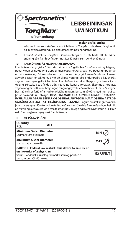

### **LEIÐBEININGAR UM NOTKUN**

#### **Icelandic/ Íslenska**

vörumerkinu, sem staðsettir eru á hliðinni á TorqMax slíðurhandfanginu, til að auðvelda ásetningu og endurstaðsetningu handfangsins.

2. Kreistið aðalhluta TorgMax slíðurhandfangsins til að beita afli til að fá snúning eða framhreyfingu/inndrátt slíðursins sem verið er að nota.

#### **10. TAKMÖRKUÐ ÁBYRGÐ FRAMLEIÐANDA**

Framleiðandi ábyrgist að TorqMax sé laus við galla hvað varðar efni og frágang þegar varan er notuð fyrir uppgefinn "síðasta notkunardag" og þegar umbúðirnar eru óopnaðar og óskemmdar rétt fyrir notkun. Ábyrgð framleiðanda samkvæmt ábyrgð þessari er takmörkuð við að skipta vörunni eða endurgreiðslu kaupverðs vegna hvers kyns galla í TorqMax. Framleiðandi er ekki ábyrgur fyrir hvers kyns óbeinu, sérstöku eða afleiddu tjóni vegna notkunar á TorqMax. Skemmd á TorqMax vegna rangrar notkunar, breytingar, rangrar geymslu eða meðhöndlunar eða vegna þess að ekki er farið eftir notkunarleiðbeiningum þessum að öðru leyti mun ógilda þessa takmörkuðu ábyrgð. **ÞESSI TAKMARKAÐA ÁBYRGÐ KEMUR Í STAÐINN FYRIR ALLAR AÐRAR BEINAR OG ÓBEINAR ÁBYRGÐIR, Þ.M.T. ÓBEINA ÁBYRGÐ UM SÖLUHÆFI EÐA HÆFI TIL ÁKVEÐINS TILGANGS.** Engum einstaklingi eða aðila, þ.m.t. hvers kyns viðurkenndum fulltrúa eða endursöluaðila framleiðanda, er heimilt að framlengja eða auka við þessa takmörkuðu ábyrgð og hvers kyns tilraun til slíks er ekki framfylgjanleg gagnvart framleiðanda.

| Quantity<br>Fiöldi                                       | OTY |                                                                                                                   |                |
|----------------------------------------------------------|-----|-------------------------------------------------------------------------------------------------------------------|----------------|
| <b>Minimum Outer Diameter</b><br>Lágmark ytra bvermáls   |     |                                                                                                                   | MIN            |
| <b>Maximum Outer Diameter</b><br>Hámark ytra bvermáls    |     |                                                                                                                   | MA)            |
| on the order of a physician.<br>bessum búnaði við lækna. |     | CAUTION: Federal law restricts this device to sale by or<br>Varúð: Bandarísk alríkislög takmarka sölu og pöntun á | <b>Rx ONLY</b> |

#### **11. ÓSTÖÐLUÐ TÁKN**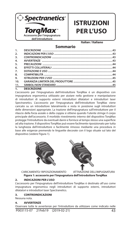

## **ISTRUZIONI PER L'USO**

**Italian / Italiano**

|                 | <b>Sommario</b>    |  |
|-----------------|--------------------|--|
| 1.              |                    |  |
| 2.              |                    |  |
| 3.              |                    |  |
| 4.              |                    |  |
| 5.              |                    |  |
| 6.              |                    |  |
| 7.              |                    |  |
| 8.              |                    |  |
| 9.              |                    |  |
| 10 <sub>1</sub> |                    |  |
| 11.             |                    |  |
| $\overline{1.}$ | <b>DESCRIZIONE</b> |  |

#### L'accessorio per l'impugnatura dell'introduttore TorqMax è un dispositivo con impugnatura ergonomica utilizzato per aiutare nella gestione e manipolazione di introduttori di supporto esterni introduttori dilatatori e introduttori laser Spectranetics. L'accessorio per l'impugnatura dell'introduttore TorqMax viene caricato su un introduttore lateralmente e resta in posizione sugli introduttori delle dimensioni appropriate. La trazione dell'impugnatura sull'introduttore per il rilascio della forza assiale o della coppia si ottiene quando l'utente stringe il corpo principale dell'accessorio. Il morbido rivestimento interno del dispositivo TorqMax protegge l'introduttore da eventuali danni e fornisce al tempo stesso una superficie ad alta trazione. Il dispositivo TorqMax può essere facilmente riposizionato per tutta la lunghezza dell'introduttore o facilmente rimosso mediante una procedura in base alle esigenze premendo le linguette decorate con il logo situate sul lato del

dispositivo (vedere Figura 1).





CARICAMENTO/ RIPOSIZIONAMENTO ATTIVAZIONE DELL'IMPUGNATURA

**Figura 1: accessorio per l'impugnatura dell'introduttore TorqMax**

#### **2. INDICAZIONI PER L'USO**

L'accessorio per l'impugnatura dell'introduttore TorqMax è destinato all'uso come impugnatura ergonomica negli introduttori di supporto esterni, introduttori dilatatori e introduttori laser Spectranetics.

#### **3. CONTROINDICAZIONI**

Nessuna nota.

#### **4. AVVERTENZE**

P003115-07 21Feb19 (2019-02-21) 43 Osservare tutte le avvertenze per l'introduttore da utilizzare come indicato nelle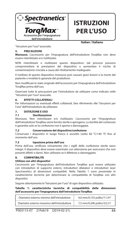

## **ISTRUZIONI PER L'USO**

**Italian / Italiano**

"Istruzioni per l'uso" associate.

#### **5. PRECAUZIONI**

**Monouso.** L'accessorio per l'impugnatura dell'introduttore TorqMax non deve essere risterilizzato e/o riutilizzato.

NON risterilizzare o riutilizzare questo dispositivo: tali processi possono compromettere le prestazioni del dispositivo o aumentare il rischio di contaminazione crociata a causa del ritrattamento inadeguato.

Il riutilizzo di questo dispositivo monouso può causare gravi lesioni o la morte del paziente e invalida le garanzie del produttore.

Non modificare lo stato originale dell'accessorio per l'impugnatura dell'introduttore TorqMax prima dell'uso.

Osservare tutte le precauzioni per l'introduttore da utilizzare come indicato nelle "Istruzioni per l'uso" associate.

#### **6. EFFETTI COLLATERALI**

Per informazioni su eventuali effetti collaterali, fare riferimento alle "Istruzioni per l'uso" dell'introduttore da utilizzare.

#### **7. DOTAZIONE E USO**

#### **7.1 Sterilizzazione**

Monouso. Non risterilizzare e/o riutilizzare. L'accessorio per l'impugnatura dell'introduttore TorqMax viene fornito sterile e apirogeno. La sterilità del contenuto è garantita solo se la confezione non è aperta o danneggiata.

#### **7.2 Conservazione del dispositivo/confezione**

Conservare i dispositivi in luogo fresco e asciutto (sotto 60 °C/140 °F) fino al momento dell'uso.

#### **7.3 Ispezione prima dell'uso**

Prima dell'uso, verificare visivamente che i sigilli della confezione sterile siano integri. Il dispositivo deve essere esaminato con attenzione per assicurarsi che non presenti difetti o danni. Non utilizzare se è difettoso o danneggiato.

#### **8. COMPATIBILITÀ**

#### **Utilizzo con altri dispositivi**

L'accessorio per l'impugnatura dell'introduttore TorqMax può essere utilizzato con introduttori di supporto esterni, introduttori dilatatori e introduttori laser Spectranetics di dimensioni compatibili. Nella Tabella 1 sono presentate le caratteristiche tecniche per determinare la compatibilità di TorqMax con altri dispositivi.

Seguire attentamente le "Istruzioni per l'uso" di ogni dispositivo utilizzato.

**Tabella 1: caratteristiche tecniche di compatibilità delle dimensioni dell'accessorio per l'impugnatura dell'introduttore TorqMax**

| Diametro esterno minimo dell'introduttore  | 4,0 mm/0,155 pollici/11,9 F |
|--------------------------------------------|-----------------------------|
| Diametro esterno massimo dell'introduttore | 7,5 mm/0,296 pollici/22,5 F |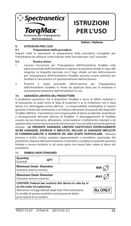

## **ISTRUZIONI PER L'USO**

**Italian / Italiano**

#### **9. ISTRUZIONI PER L'USO**

#### **9.1 Preparazione della procedura**

Seguire tutte le operazioni di preparazione della procedura consigliate per l'introduttore da utilizzare come indicato nelle "Istruzioni per l'uso" associate.

#### **9.2 Tecnica clinica**

- 1. Caricare l'accessorio per l'impugnatura dell'introduttore TorqMax sulla parte prossimale dell'introduttore e regolare la posizione distale in base alle esigenze. Le linguette decorate con il logo situate sul lato dell'accessorio per l'impugnatura dell'introduttore TorqMax possono essere premute per facilitare il caricamento e il riposizionamento dell'accessorio.
- 2. Premere il corpo principale dell'accessorio per l'impugnatura dell'introduttore TorqMax in modo da applicare forza per la rotazione o avanzamento/retrazione dell'introduttore in uso.

#### **10. GARANZIA LIMITATA DEL PRODUTTORE**

Il produttore garantisce che il dispositivo TorqMax è privo di difetti materiali e di lavorazione se usato entro la "data di scadenza" e se la confezione non è stata aperta e/o danneggiata prima dell'uso. La responsabilità contemplata in questa garanzia si limita alla sostituzione o al rimborso del prezzo di acquisto dei dispositivi TorqMax difettosi. Il produttore non è responsabile di danni accidentali, straordinari o consequenziali derivanti dall'uso di TorqMax Il danneggiamento di TorqMax causato da uso improprio, alterazione, conservazione o trattamento impropri o da qualsiasi altra inosservanza di queste istruzioni per l'uso annulla la presente garanzia limitata. **LA PRESENTE GARANZIA LIMITATA SOSTITUISCE ESPRESSAMENTE ALTRE GARANZIE, ESPRESSE O IMPLICITE, INCLUSE LE GARANZIE IMPLICITE DI COMMERCIABILITÀ O IDONEITÀ AD UNO SCOPO PARTICOLARE.** Nessuna persona o entità, incluso qualsiasi rappresentante o rivenditore autorizzato del produttore, dispone dell'autorizzazione a estendere o ampliare la presente garanzia limitata e nessun tentativo in tal senso potrà mai essere fatto valere ai danni del produttore.

| Quantity<br>Ouantità                                       | OTY                                                 |                                                                                                                         |                |
|------------------------------------------------------------|-----------------------------------------------------|-------------------------------------------------------------------------------------------------------------------------|----------------|
| <b>Minimum Outer Diameter</b><br>Diametro esterno minimo   |                                                     |                                                                                                                         | MIN            |
| <b>Maximum Outer Diameter</b><br>Diametro esterno massimo  |                                                     |                                                                                                                         | MA)            |
| on the order of a physician.<br>prescrizione di un medico. | la vendita di questo prodotto esclusivamente dietro | CAUTION: Federal law restricts this device to sale by or<br>Attenzione: le leggi federali degli Stati Uniti autorizzano | <b>Rx ONLY</b> |

#### **11. SIMBOLI NON STANDARD**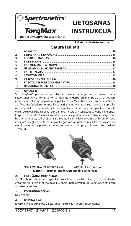

## **LIETOŠANAS INSTRUKCIJA**

**Latvian / latviešu valoda**

### **Satura rādītājs**

| 1.               |  |
|------------------|--|
| 2.               |  |
| $\overline{3}$ . |  |
| 4.               |  |
| 5.               |  |
| 6.               |  |
| $\overline{7}$ . |  |
| 8.               |  |
| 9.               |  |
| 10 <sub>1</sub>  |  |
| 11.              |  |

#### **1. APRAKSTS**

Šis "TorqMax" piederums apvalka satveršanai ir ergonomiska rokā turama satveršanas ierīce, ko izmanto, lai atvieglotu darbu un manipulācijas ar ārējiem atbalsta apvalkiem, paplašinātājapvalkiem un "Spectranetics" lāzera apvalkiem. Šo "TorqMax" piederumu apvalka satveršanai no vienas puses novieto uz apvalka, un tas paliek uz piemērota lieluma apvalkiem. Satveršana, lai apvalkam nodotu vilcējspēku vai aksiālu spēku, tiek panākta, lietotājam saspiežot galveno palīgierīces korpusu. "TorqMax" ierīces mīkstais iekšējais pārklājums apvalku aizsargā pret bojājumiem laikā, kad tā virsma ir pakļauta lielam vilcējspēkam. Šo "TorqMax" ierīci iespējams viegli pārvietot visā apvalka garumā vai procedūras laikā pēc vajadzības viegli noņemt, saspiežot ar logotipu rotātās spiedpogas ierīces sānos (skatīt 1. attēlu).





 NOVIETOŠANA (PĀRVIETOŠANA) SATVĒRĒJA AKTIVĀCIJA **1. attēls. "TorqMax" piederums apvalka satveršanai**

#### **2. LIETOŠANAS INDIKĀCIJAS**

Šo "TorqMax" piederumu apvalka satveršanai paredzēts lietot, lai nodrošinātu ergonomisku ārējo atbalsta apvalku, paplašinātājapvalku un "Spectranetics" lāzera apvalku satveršanu.

#### **3. KONTRINDIKĀCIJAS**

Nav zināmas.

#### **4. BRĪDINĀJUMI**

Ievērojiet visus atbilstošajā lietošanas instrukcijā minētos brīdinājumus.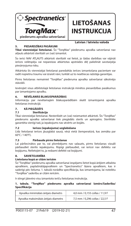

## **LIETOŠANAS INSTRUKCIJA**

#### **5. PIESARDZĪBAS PASĀKUMI**

#### **Latvian / latviešu valoda**

**Tikai vienreizējai lietošanai.** Šo "TorqMax" piederumu apvalka satveršanai nav atļauts atkārtoti sterilizēt un (vai) izmantot.

Šo ierīci NAV ATĻAUTS atkārtoti sterilizēt vai lietot, jo šādas darbības var vājināt ierīces veiktspēju vai nepareizas atkārtotas apstrādes dēļ palielināt savstarpēja piesārņojuma risku.

Atkārtota šīs vienreizējai lietošanai paredzētās ierīces izmantošana pacientam var radīt nopietnu traumu vai izraisīt nāvi, turklāt uz to neattiecas ražotāja garantijas.

Pirms lietošanas nemainiet "TorqMax" piederuma apvalka satveršanai sākotnējo stāvokli.

Ievērojiet visus atbilstošajā lietošanas instrukcijā minētos piesardzības pasākumus par izmantojamo apvalku.

#### **6. NEVĒLAMĀS BLAKUSPARĀDĪBAS**

Informāciju par nevēlamajām blakusparādībām skatīt izmantojamā apvalka lietošanas instrukcijā.

### **7. KĀ PIEGĀDĀTS**

#### **7.1 Sterilizācija**

Tikai vienreizējai lietošanai. Nesterilizēt un (vai) neizmantot atkārtoti. Šis "TorqMax" piederums apvalka satveršanai tiek piegādāts sterils un apirogēns. Sterilitāte garantēta vienīgi tad, ja iepakojums nav atvērts un bojāts.

#### **7.2 Ierīces (iepakojuma) uzglabāšana**

Līdz lietošanai ierīces jāuzglabā sausā, vēsā vietā (temperatūrā, kas zemāka par 60°C / 140°F).

#### **7.3 Pārbaude pirms lietošanas**

Lai pārliecinātos par to, vai plombējums nav salauzts, pirms lietošanas vizuāli pārbaudiet sterilo iepakojumu. Rūpīgi pārbaudiet, vai ierīcei nav defektu vai bojājumu. Nelietojiet to, ja redzami defekti vai bojājumi.

#### **8. SAVIETOJAMĪBA**

#### **Lietošana kopā ar citām ierīcēm**

Šo "TorqMax" piederumu apvalka satveršanai iespējams lietot kopā ārējiem atbalsta apvalkiem, paplašinātājapvalkiem un "Spectranetics" lāzera apvalkiem, kas ir saderīgi pēc lieluma. 1. tabulā norādīta specifikācija, kas izmantojama, lai noteiktu "TorqMax" saderību ar citām ierīcēm.

Ir stingri jāievēro visu izmantoto ierīču lietošanas instrukcija.

#### **1. tabula. "TorqMax" piederums apvalka satveršanai Izmērs/Saderība/ Speci kācija**

| Apvalka minimālais ārējais diametrs  | 4,0 mm / 0,155 collas / 11,9 F |
|--------------------------------------|--------------------------------|
| Apvalka maksimālais ārējais diametrs | 7,5 mm / 0,296 collas / 22,5 F |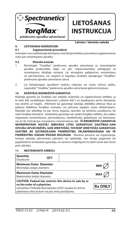

## **LIETOŠANAS INSTRUKCIJA**

**Latvian / latviešu valoda**

#### **9. LIETOŠANAS NORĀDĪJUMI**

#### **9.1 Sagatavošanās procedūrai**

Ievērojiet visus atbilstošajā lietošanas instrukcijā ieteiktos procedūras sagatavošanas soļus par izmantojamo apvalku.

#### **9.2 Klīniskā metode**

- 1. Novietojiet "TorqMax" piederumu apvalka satveršanai uz izmantojamā apvalka proksimālās daļas un pēc nepieciešamības pielāgojiet tā novietojumu distālajā virzienā. Lai atvieglotu palīgierīces novietošanu un pārvietošanu, var saspiest ar logotipu izrotātās spiedpogas "TorqMax" piederuma apvalka satveršanai sānos.
- 2. Lai lietojamajam apvalkam nodotu rotācijas vai virzes (vilces) spēku, saspiediet "TorqMax" piederuma apvalka satveršanai galveno korpusu.

#### **10. RAŽOTĀJA IEROBEŽOTĀ GARANTIJA**

Ražotājs garantē, ka TorqMax nav nekādu materiālu un izgatavošanas defektu, ja to lieto līdz norādītajam datumam ("izlietot līdz") un iepakojums pirms lietošanas nav atvērts un bojāts. Atbilstoši šai garantijai ražotāja atbildība attiecas tikai uz jebkura defektīva TorqMax nomaiņu vai pirkuma iegādes cenas atlīdzināšanu. Ražotājs nav atbildīgs ne par vienu nejaušu, speciālu vai izrietošu zaudējumu, ko rada TorqMax lietošana. Ierobežotā garantija nav spēkā TorqMax defektu, kas radies nepareizas izmantošanas, pārveidojumu, neatbilstošas glabāšanas vai lietošanas, vai arī šīs instrukcijas nosacījumu neievērošanas dēļ. **ŠĪ IEROBEŽOTĀ GARANTIJA NEPĀRPROTAMI AIZSTĀJ JEBKURAS CITAS GARANTIJAS SAISTĪBAS–GAN OFICIĀLI APLIECINĀTĀS, GAN IZRIETOŠĀS, TOSTARP IZRIETOŠĀS GARANTIJAS SAISTĪBĀ AR IZSTRĀDĀJUMA PIEMĒROTĪBU TĀLĀKPĀRDOŠANAI VAI TĀ PIEMĒROTĪBU KĀDAM ĪPAŠAM NOLŪKAM.** Neviena persona vai organizācija, tostarp ražotāja pilnvarotais pārstāvis vai izplatītājs, nav tiesīgs pagarināt vai paplašināt šo ierobežoto garantiju, un neviens mēģinājums to darīt nevar būt vērsts pret ražotāju.

#### **11. NESTANDARTA SIMBOLI**

| Quantity<br>Daudzums                                                             | OTY |                                                                                                                                       |
|----------------------------------------------------------------------------------|-----|---------------------------------------------------------------------------------------------------------------------------------------|
| <b>Minimum Outer Diameter</b><br>Minimālais ārējais diametrs                     |     | MIN                                                                                                                                   |
| <b>Maximum Outer Diameter</b><br>Maksimālais ārējais diametrs                    |     | MA)                                                                                                                                   |
| on the order of a physician.<br>pārdošanu tikai ārstam vai pēc ārsta pasūtījuma. |     | CAUTION: Federal law restricts this device to sale by or<br><b>Rx ONLY</b><br>Uzmanību! Federālā likumdošana (ASV) nosaka šīs ierīces |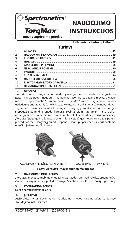

## **NAUDOJIMO INSTRUKCIJOS**

**Lithuanian / Lietuvių kalba**

### **Turinys**

| 2.  |  |
|-----|--|
| 3.  |  |
| 4.  |  |
| 5.  |  |
| 6.  |  |
| 7.  |  |
| 8.  |  |
| 9.  |  |
| 10. |  |
| 11. |  |

#### **1. APRAŠAS**

"TorqMax" movos sugriebimo priedas yra ergonomiškas rankenos sugriebimo įtaisas, skirtas padėti naudoti ir manipuliuoti išorinio palaikymo movas, plėtiklio movas ir "Spectranetics" lazerio movas. "TorqMax" movos sugriebimo priedas uždedamas ant movos iš šono ir lieka toje vietoje ant tinkamo dydžio movų. Movos sugriebimo traukimas norint sukti ar išgauti ašinę jėgą pasiekiamas, kai naudotojas suspaudžia pagrindinį priedo korpusą. Švelnus vidinis "TorqMax" įtaiso dėklas apsaugo movą nuo pažeidimų, tuo pat metu suteikdamas didelį traukimo paviršių. "TorqMax" įtaisą galima lengvai perkelti į kitą vietą išilgai movos arba pagal poreikį procedūros metu lengvai jį nuimti suspaudus logotipu pažymėtus žiedus pirštams, esančius įtaiso šone (žr. 1 pav.).





UŽDĖJIMAS / PERKĖLIMAS Į KITĄ VIETĄ SUGRIEBIMO AKTYVINIMAS

#### **1 pav.: "TorqMax" movos sugriebimo priedas**

#### **2. NAUDOJIMO INDIKACIJOS**

"TorqMax" movos sugriebimo priedas skirtas naudoti tam, kad suteiktų ergonomišką išorinių palaikymo movų, plėtiklio movų ir "Spectranetics" lazerio movų sugriebimą.

#### **3. KONTRAINDIKACIJOS**

Nėra žinomų kontraindikacijų.

#### **4. ĮSPĖJIMAI**

Atsižvelkite į visus įspėjimus dėl naudojamos movos, kaip nurodyta susijusiose "Naudojimo instrukcijose".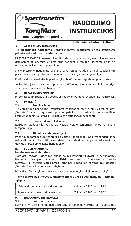

## **NAUDOJIMO INSTRUKCIJOS**

**Lithuanian / Lietuvių kalba**

#### **5. ATSARGUMO PRIEMONĖS**

Tik vienkartinio naudojimo. "TorgMax" movos sugriebimo priedą draudžiama pakartotinai sterilizuoti ir / arba naudoti.

NESTERILIZUOKITE ir nenaudokite šio prietaiso pakartotinai, nes tokie veiksmai gali pabloginti prietaiso veikimą arba padidinti kryžminio užteršimo riziką dėl netinkamo pakartotinio apdorojimo.

Šio vienkartinio naudojimo prietaiso pakartotinis naudojimas gali sukelti rimtų paciento sužeidimų arba mirtį ir anuliuoti prietaiso gamintojo garantijas.

Prieš naudodami nekeiskite pradinės "TorqMax" movos sugriebimo priedo būklės.

Atsižvelkite į visas atsargumo priemones dėl naudojamos movos, kaip nurodyta susijusiose "Naudojimo instrukcijose".

#### **6. NEPALANKUS POVEIKIS**

Informacijos apie nepalankų poveikį žr. naudojamos movos "Naudojimo instrukcijas".

#### **7. PAKUOTĖ**

#### **7.1 Sterilizavimas**

Tik vienkartinio naudojimo. Draudžiama pakartotinai sterilizuoti ir / arba naudoti. "TorqMax" movos sugriebimo priedas pateikiamas sterilus ir nepirogeniškas. Sterilumas garantuojamas, tik jei pakuotė neatidaryta ir nepažeista.

#### **7.2 Įtaiso / pakuotės laikymas**

Įtaisus iki naudojant laikyti sausoje, vėsioje vietoje (žemesnėje nei 60 °C / 140 °F temperatūroje).

#### **7.3 Tikrinimas prieš naudojant**

Prieš naudodami apžiūrėkite sterilią pakuotę ir įsitikinkite, kad ji yra sandari. Įtaisą reikia atidžiai apžiūrėti dėl galimų defektų ar pažeidimų. Jei pastebėsite matomų defektų ar pažeidimų, įtaiso nenaudokite.

#### **8. SUDERINAMUMAS**

#### **Naudojimas su kitais įtaisais**

"TorqMax" movos sugriebimo priedą galima naudoti su dydžiu suderinamomis išorinėmis palaikymo movomis, plėtiklio movomis ir "Spectranetics" lazerio movomis. 1 lentelėje pateikiamos techninės naudojimo sąlygos, nustatančios "TorqMax" suderinamumą su kitais įtaisais.

Būtinai atidžiai laikykitės kiekvieno naudojamo įtaiso "Naudojimo instrukcijų".

#### **1 lentelė: "TorqMax" movos sugriebimo priedas Dydis Suderinamumas Techninės sąlygos**

| Minimalus movos išorinis skersmuo  | 4,0 mm / 0,155 col. / 11,9 F |
|------------------------------------|------------------------------|
| Maksimalus movos išorinis skersmuo | 7,5 mm / 0,296 col. / 22,5 F |

#### **9. NAUDOJIMO INSTRUKCIJA**

#### **9.1** Procedūros sąranka

Laikykitės visų rekomenduojamų procedūros sąrankos veiksmų dėl naudojamos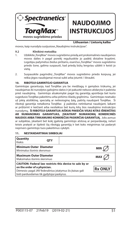

## **NAUDOJIMO INSTRUKCIJOS**

#### **Lithuanian / Lietuvių kalba**

movos, kaip nurodyta susijusiose "Naudojimo instrukcijose".

#### **9.2 Klinikinė metodika**

- 1. Uždėkite "TorqMax" movos sugriebimo priedą ant proksimalinės naudojamos movos dalies ir pagal poreikį reguliuokite jo padėtį distaline kryptimi. Logotipu pažymėtus žiedus pirštams, esančius "TorqMax" movos sugriebimo priedo šone, galima suspausti, kad priedą būtų lengviau uždėti ir keisti jo vietą.
- 2. Suspauskite pagrindinį "TorqMax" movos sugriebimo priedo korpusą, jei reikia jėgos naudojamai movai sukti arba įstumti / ištraukti.

#### **10. RIBOTOJI GAMINTOJO GARANTIJA**

Gamintojas garantuoja, kad TorqMax yra be medžiagų ir gamybos trūkumų, jei naudojamas iki nurodytos galiojimo datos ir jei pakuotė nebuvo atidaryta ir pažeista prieš naudojimą. Gamintojo atsakomybė pagal šią garantiją apsiriboja bet kurio sugedusio TorqMax pakeitimu arba pirkimo išlaidų grąžinimu. Gamintojas neatsako už jokią atsitiktinę, specialią ar netiesioginę žalą, patirtą naudojant TorqMax. Ši ribotoji garantija netaikoma TorqMax jį pažeidus netinkamai naudojant, laikant ar prižiūrint ir keičiant arba nesilaikius bet kurių kitų šios naudojimo instrukcijos nurodymų. **ŠI RIBOTOJI GARANTIJA AIŠKIAI PAKEIČIA VISAS KITAS IŠREIKŠTAS AR NUMANOMAS GARANTIJAS, ĮSKAITANT NUMANOMĄ KOMERCINĖS NAUDOS ARBA TINKAMUMO KONKREČIAI PASKIRČIAI GARANTIJĄ.** Joks asmuo ar subjektas, įskaitant bet kokį įgaliotą gamintojo atstovą ar perpardavėją, neturi teisės pratesti ar išplėsti šią ribotają garantiją ir bet koks mėginimas tai padaryti neprivers gamintojo tuos pakeitimus vykdyti.

#### **11. NESTANDARTINIAI SIMBOLIAI**

| Quantity<br>Kiekis                                                       | OTY |                                                                                                                        |                |
|--------------------------------------------------------------------------|-----|------------------------------------------------------------------------------------------------------------------------|----------------|
| <b>Minimum Outer Diameter</b><br>Minimalus išorinis skersmuo             |     |                                                                                                                        | MIN            |
| <b>Maximum Outer Diameter</b><br>Maksimalus išorinis skersmuo            |     |                                                                                                                        | <b>MAX</b>     |
| on the order of a physician.<br>būti parduodamas tik gydytojui paskyrus. |     | CAUTION: Federal law restricts this device to sale by or<br>Dėmesio: pagal JAV federalinius įstatymus šis įtaisas gali | <b>Rx ONLY</b> |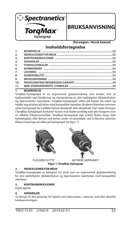

### **BRUKSANVISNING**

**Norwegian / Norsk bokmål**

### **Innholdsfortegnelse**

| 1.               |  |
|------------------|--|
| 2.               |  |
| $\overline{3}$ . |  |
| 4.               |  |
| 5.               |  |
| 6.               |  |
| 7.               |  |
| 8.               |  |
| 9.               |  |
| 10.              |  |
| 11.              |  |
|                  |  |

#### **1. BESKRIVELSE**

TorqMax-hylsegrepet er en ergonomisk gripeanordning som brukes som et hjelpemiddel ved håndtering og manipulering av ytre støttehylser, dilatatorhylser og Spectranetics laserhylser. TorqMax-hylsegrepet settes på hylsen fra siden og holder seg på plass på hylser med kompatible størrelser. Brukeren klemmer sammen selve hylsegrepet for å påføre hylsen dreiekraft eller aksialkraft. Den myke fôringen i TorqMax-hylsegrepet beskytter hylsen mot skade samtidig som den fungerer som en effektiv friksjonsoverflate. TorgMax-hylsegrepet kan enkelt flyttes langs hele hylselengden eller fjernes ved behov under en prosedyre, ved å klemme sammen flatene med logo på siden på hylsegrepet (se figur 1).





PLASSERE/FLYTTE AKTIVERE GRIPEKRAFT

**Figur 1: TorqMax hylsegrep** 

#### **2. INDIKASJONER FOR BRUK**

TorqMax-hylsegrepet er beregnet for bruk som en ergonomisk gripeanordning for ytre støttehylser, dilatatorhylser og Spectranetics laserhylser med kompatible størrelser.

#### **3. KONTRAINDIKASJONER**

Ingen kjente.

#### **4. ADVARSLER**

Ta hensyn til alle advarsler for hylsen som skal brukes, i samsvar med den aktuelle bruksanvisningen.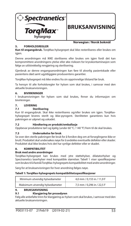

### **BRUKSANV**

#### **Norwegian / Norsk bokmål**

#### **5. FORHOLDSREGLER**

**Kun til engangsbruk.** TorqMax-hylsegrepet skal ikke resteriliseres eller brukes om igjen.

Denne anordningen må IKKE steriliseres eller brukes om igjen fordi det kan kompromittere anordningens ytelse eller øke risikoen for krysskontaminasjon som følge av utilstrekkelig rengjøring og sterilisering.

Gjenbruk av denne engangsanordningen kan føre til alvorlig pasientskade eller pasientens død samt ugyldiggjøre produsentens garantier.

TorqMax-hylsegrepet må ikke endres fra sin opprinnelige tilstand før bruk.

Ta hensyn til alle forholdsregler for hylsen som skal brukes, i samsvar med den aktuelle bruksanvisningen.

#### **6. BIVIRKNINGER**

I bruksanvisningen for hylsen som skal brukes, finner du informasjon om bivirkninger.

### **7. LEVERING**

#### **7.1 Sterilisering**

Kun til engangsbruk. Skal ikke resteriliseres og/eller brukes om igjen. TorqMaxhylsegrepet leveres sterilt og ikke-pyrogent. Steriliteten garanteres kun hvis pakningen er uåpnet og uskadet.

#### **7.2 Håndtering av produkt/emballasje**

Oppbevar produktene tørt og kjølig (under 60 °C / 140 °F) frem til de skal brukes.

#### **7.3 Undersøkelse før bruk**

Se over den sterile pakningen før bruk for å forsikre deg om at forseglingene ikke er brutt. Produktet skal undersøkes nøye for å avdekke eventuelle defekter eller skader. Produktet skal ikke brukes hvis det har synlige defekter eller er skadet.

#### **8. KOMPATIBILITET**

#### **Bruk med andre anordninger**

TorqMax-hylsegrepet kan brukes med ytre støttehylser, dilatatorhylser og Spectranetics laserhylser med kompatible størrelser. Tabell 1 viser spesifikasjoner som brukes til å fastslå TorqMax-hylsegrepets kompatibilitet med andre anordninger.

Sørg for at bruksanvisningen for hver anordning følges nøye.

#### Tabell 1: TorqMax-hylsegrepets kompatibilitetsspesifikasjoner

| Minimum utvendig hylsediameter  | 4,0 mm / 0,155 in / 11,9 F |
|---------------------------------|----------------------------|
| Maksimum utvendig hylsediameter | 7,5 mm / 0,296 in / 22,5 F |

#### **9. BRUKSANVISNING**

#### **9.1 Klargjøring før prosedyren**

Følg alle anbefalte trinn for klargjøring av hylsen som skal brukes, i samsvar med den aktuelle bruksanvisningen.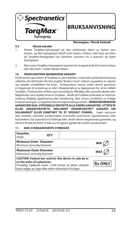

### **BRUKSANI**

#### **9.2 Klinisk teknikk**

#### **Norwegian / Norsk bokmål**

- 1. Plasser TorqMax-hylsegrepet på den proksimale delen av hylsen som brukes, og flytt hylsegrepet distalt etter behov. Flatene med logo på siden på TorqMax-hylsegrepet kan klemmes sammen for å plassere og flytte hylsegrepet.
- 2. Klem selve TorqMax-hylsegrepet sammen for å oppnå kraft til å rotere hylsen eller føre frem / trekke tilbake hylsen.

#### **10. PRODUSENTENS BEGRENSEDE GARANTI**

Produsenten garanterer at TorqMax er uten defekter i materiale og håndverksmessig utførelse når det brukes før den angitte "Brukes innen"-datoen og pakken er uåpnet og uskadet umiddelbart før bruk. Produsentens ansvar under denne garantien er begrenset til erstatning av eller tilbakebetaling av kjøpsprisen for et/en defekt TorqMax. Produsenten vil ikke være ansvarlig for tilfeldige eller spesielle skader eller følgeskader som skyldes bruk av TorqMax. Skade på TorqMax forårsaket av misbruk, endring, feilaktig oppbevaring eller håndtering, eller annen unnlatelse av å følge bruksanvisningen, vil oppheve denne begrensede garantien. **DENNE BEGRENSEDE GARANTIEN SKAL UTRYKKELIG ERSTATTE ALLE ANDRE GARANTIER, UTTRYKTE ELLER UNDERFORSTÅTTE, INKLUDERT UNDERFORSTÅTT GARANTI OM SALGBARHET ELLER EGNETHET TIL ET SPESIELT FORMÅL.** Ingen personer eller enheter, inkludert produsentens eventuelle autoriserte representanter eller forhandlere, har autoritet til å forlenge eller utvide denne begrensede garantien, og ethvert forsøk på dette vil ikke kunne gjøres gjeldende overfor produsenten.

| Quantity<br>Antall                                          | OTY                                                   |                                                                                                                      |                |
|-------------------------------------------------------------|-------------------------------------------------------|----------------------------------------------------------------------------------------------------------------------|----------------|
| <b>Minimum Outer Diameter</b><br>Minimum utvendig diameter  |                                                       |                                                                                                                      | <b>MIN</b>     |
| <b>Maximum Outer Diameter</b><br>Maksimum utvendig diameter |                                                       |                                                                                                                      | <b>MAX</b>     |
| on the order of a physician.                                | bare selges av lege eller etter rekvisisjon fra lege. | CAUTION: Federal law restricts this device to sale by or<br>Forsiktig: Føderale lover i USA krever at dette utstyret | <b>Rx ONLY</b> |

#### **11. IKKE-STANDARDISERTE SYMBOLER**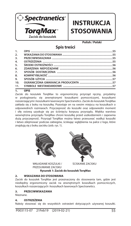

### **INSTRUKCJA STOSOWANIA**

**Polish / Polski**

### **Spis treści**

| 8.<br>9.         |  |
|------------------|--|
| $\overline{7}$ . |  |
| 6.               |  |
| 5.               |  |
| 4.               |  |
| $\overline{3}$ . |  |
| 2.               |  |
| 1.               |  |

#### **1. OPIS**

Zacisk do koszulek TorqMax to ergonomiczny przyrząd ręczny, przydatny w posługiwaniu się zewnętrznymi koszulkami pomocniczymi, koszulkami rozszerzającymi i koszulkami laserowymi Spectranetics. Zacisk do koszulek TorqMax zakłada się z boku na koszulkę. Pozostaje on na swoim miejscu na koszulkach o odpowiednich rozmiarach. Przyczepność do koszulki oraz odpowiedni moment i siłę osiową uzyskuje się po ściśnięciu korpusu przyrządu. Miękka warstwa wewnętrzna przyrządu TorqMax chroni koszulkę przed uszkodzeniem i zapewnia dużą przyczepność. Przyrząd TorqMax można łatwo przesuwać wzdłuż koszulki i łatwo zdejmować podczas zabiegów, ściskając wgłębienia na palce z logo, które znajdują się z boku zacisku (zob. rys. 1).





WKŁADANIE KOSZULKI / ŚCISKANIE ZACISKU PRZESUWANIE ZACISKU

#### **Rysunek 1: Zacisk do koszulek TorqMax**

#### **2. WSKAZANIA DO STOSOWANIA**

Zacisk do koszulek TorqMax jest przeznaczony do stosowania tam, gdzie jest niezbędny ergonomiczny zacisk na zewnętrznych koszulkach pomocniczych, koszulkach rozszerzających i koszulkach laserowych Spectranetics.

#### **3. PRZECIWWSKAZANIA**

Nieznane.

#### **4. OSTRZEŻENIA**

Należy stosować się do wszystkich ostrzeżeń dotyczących używanej koszulki.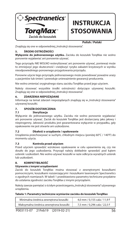

## **INSTRUKCJA STOSOWANIA**

#### **Polish / Polski**

Znajdują się one w odpowiedniej "Instrukcji stosowania".

#### **5. ŚRODKI OSTROŻNOŚCI**

**Wyłącznie do jednorazowego użytku.** Zacisku do koszulek TorqMax nie wolno ponownie wyjaławiać ani ponownie używać.

Tego przyrządu NIE WOLNO resterylizować ani ponownie używać, ponieważ może to zmniejszyć jego skuteczność i zwiększyć ryzyko zakażeń krzyżowych w wyniku nieodpowiedniego ponownego przygotowania przyrządu.

Ponowne użycie tego przyrządu jednorazowego może powodować poważne urazy u pacjentów lub śmierć i powoduje unieważnienie gwarancji producenta.

Nie wolno zmieniać oryginalnego stanu zacisku TorqMax przed jego użyciem.

Należy stosować wszystkie środki ostrożności dotyczące używanej koszulki. Znajdują się one w odpowiedniej "Instrukcji stosowania".

#### **6. ZDARZENIA NIEPOŻĄDANE**

Informacje na temat zdarzeń niepożądanych znajdują się w "Instrukcii stosowania" używanej koszulki.

### **7. SPOSÓB DOSTARCZENIA**

#### **7.1 Sterylizacja**

Wyłącznie do jednorazowego użytku. Zacisku nie wolno ponownie wyjaławiać ani ponownie używać. Zacisk do koszulek TorqMax jest dostarczany jako jałowy i niepirogenny. Jałowość produktu jest gwarantowana wyłącznie w przypadku, gdy opakowanie nie jest otwarte ani uszkodzone.

#### **7.2 Dbałość o urządzenie / opakowanie**

Urządzenia przechowywać w suchym, chłodnym miejscu (poniżej 60°C / 140°F) do momentu użycia.

#### **7.3 Kontrola przed użyciem**

Przed użyciem sprawdzić wzrokowo opakowanie w celu upewnienia się, czy nie doszło do jego uszkodzenia. Przyrząd należy dokładnie sprawdzić pod kątem usterek i uszkodzeń. Nie wolno używać koszulki w razie odkrycia wyraźnych usterek lub uszkodzeń.

#### **8. KOMPATYBILNOŚĆ**

#### **Używanie z innymi urządzeniami**

Zacisk do koszulek TorqMax można stosować z zewnętrznymi koszulkami pomocniczymi, koszulkami rozszerzającymi i koszulkami laserowymi Spectranetics o zgodnych rozmiarach. W tabeli 1 przedstawiono parametry techniczne przydatne do ustalania zgodności zacisku TorqMax z innymi przyrządami.

Należy zawsze pamiętać o ścisłym przestrzeganiu "Instrukcji stosowania" używanego urządzenia.

#### **Tabela 1: Parametry techniczne wymiarów zacisku do koszulek TorqMax**

| Minimalna średnica zewnętrzna koszulki  | 4,0 mm / 0,155 cala / 11,9 F |
|-----------------------------------------|------------------------------|
| Maksymalna średnica zewnętrzna koszulki | 7,5 mm / 0,296 cala / 22,5 F |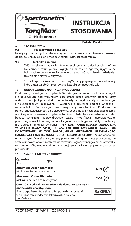

## **INSTRUKCJA STOSOWAI**

**Polish / Polski**

### **9. SPOSÓB UŻYCIA**

#### **9.1 Przygotowanie do zabiegu**

Należy wykonać wszystkie zalecane czynności związane z przygotowaniem koszulki do użycia. Znajdują się one w odpowiedniej "Instrukcji stosowania".

#### **9.2 Technika kliniczna**

- 1. Załóż zacisk do koszulek TorqMax na proksymalny koniec koszulki i jeśli to konieczne, przesuń go dalej. Wgłębienia na palce z logo znajdujące się na boku zacisku do koszulek TorqMax można ścisnąć, aby ułatwić zakładanie i zmienianie położenia przyrządu.
- 2. Ściśnij korpus zacisku do koszulek TorqMax, aby przyłożyć odpowiednią siłę, która umożliwi obrót i przesuwanie koszulki do przodu/do tyłu.

#### **10. OGRANICZONA GWARANCJA PRODUCENTA**

Producent gwarantuje, że urządzenie TorqMax jest wolne od wad materiałowych i produkcyjnych pod warunkiem eksploatacji przed upływem podanej daty ważności oraz jeśli produkt do momentu użycia znajdował się w nieotwartym i nieuszkodzonym opakowaniu. Gwarancji producenta podlega wymiana i refundacja kosztów każdego uszkodzonego urządzenia TorqMax. Producent nie ponosi odpowiedzialności za przypadkowe, specjalne ani następcze uszkodzenia, wynikające ze stosowania urządzenia TorqMax. Uszkodzenie urządzenia TorqMax będące wynikiem nieprawidłowego użycia, modyfikacji, nieprawidłowego przechowywania lub obsługi albo jakiegokolwiek odstępstwa od tych instrukcji nie podlega niniejszej gwarancji. **NINIEJSZA OGRANICZONA GWARANCJA W SPOSÓB JAWNY ZASTĘPUJE WSZELKIE INNE GWARANCJE, JAWNE LUB DOROZUMIANE, W TYM DOROZUMIANE GWARANCJE PRZYDATNOŚCI HANDLOWEJ I UŻYTECZNOŚCI DO OKREŚLONYCH CELÓW.** Żadna osoba ani organ, w tym również autoryzowany przedstawiciel i sprzedawca producenta, nie została upoważniona do rozszerzania zakresu tej ograniczonej gwarancji, a wszelkie świadome próby rozszerzenia ograniczonej gwarancji nie będą uznawane przed producenta.

#### **11. SYMBOLE NIESTANDARDOWE**

| Quantity<br>Ilość                                                                                                                                                                                                   | OTY |                |     |
|---------------------------------------------------------------------------------------------------------------------------------------------------------------------------------------------------------------------|-----|----------------|-----|
| <b>Minimum Outer Diameter</b><br>Minimalna średnica zewnętrzna                                                                                                                                                      |     |                |     |
| <b>Maximum Outer Diameter</b><br>Maksymalna średnica zewnętrzna                                                                                                                                                     |     |                | MA: |
| CAUTION: Federal law restricts this device to sale by or<br>on the order of a physician.<br>Przestroga: Prawo federalne (USA) pozwala na sprzedaż<br>tego urządzenia wyłącznie lekarzowi lub na jego<br>zamówienie. |     | <b>Rx ONLY</b> |     |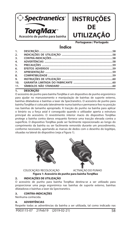



**Portuguese / Português**

### **Índice**

| 1.  |  |
|-----|--|
| 2.  |  |
| 3.  |  |
| 4.  |  |
| 5.  |  |
| 6.  |  |
| 7.  |  |
| 8.  |  |
| 9.  |  |
| 10. |  |
| 11. |  |
|     |  |

#### **1. DESCRIÇÃO**

O acessório de punho para bainha TorqMax é um dispositivo de punho ergonómico para ajudar no manuseamento e manipulação de bainhas de suporte externo, bainhas dilatadoras e bainhas a laser da Spectranetics. O acessório de punho para bainha TorqMax é colocado lateralmente numa bainha e permanece fixo na posição nas bainhas de tamanho apropriado. A tracção do punho na bainha para aplicar o binário ou a força axial é conseguido quando o utilizador aperta a estrutura principal do acessório. O revestimento interior macio do dispositivo TorqMax protege a bainha contra danos enquanto fornece uma tracção elevada contra a superfície. O dispositivo TorqMax pode ser facilmente reposicionado ao longo do comprimento da bainha ou ser facilmente removido durante um procedimento, conforme necessário, apertando as marcas de dedos com o desenho do logótipo, situadas na lateral do dispositivo (veja a Figura 1).





COLOCAÇÃO/ RECOLOCAÇÃO ACTIVAÇÃO DO PUNHO

**Figura 1: Acessório de punho para bainha TorqMax**

#### **2. INDICAÇÕES DE UTILIZAÇÃO**

O acessório de punho para bainha TorqMax destina-se a ser utilizado para proporcionar uma pega ergonómica nas bainhas de suporte externo, bainhas dilatadoras e bainhas a laser da Spectranetics.

#### **3. CONTRA-INDICAÇÕES**

Nenhuma conhecida.

#### **4. ADVERTÊNCIAS**

Respeite todas as advertências da bainha a ser utilizada, tal como indicado nas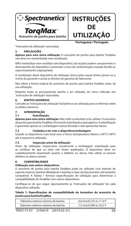



**Portuguese / Português**

"Instruções de utilização" associadas.

#### **5. PRECAUÇÕES**

**Apenas para uma única utilização.** O acessório de punho para bainha TorqMax não deve ser reesterilizado nem reutilizado.

NÃO reesterilizar nem reutilizar este dispositivo; tais acções podem comprometer o desempenho do dispositivo e aumentar o risco de contaminação cruzada devido ao reprocessamento inapropriado.

A reutilização deste dispositivo de utilização única pode causar lesões graves ou a morte do paciente e anula os direitos de garantia do fabricante.

Não altere a forma original do acessório de punho para bainha TorqMax antes da sua utilização.

Respeite todas as precauçõesda bainha a ser utilizada, tal como indicado nas "Instruções de utilização" associadas.

#### **6. EFEITOS ADVERSOS**

Consulte as "Instruções de utilização" da bainha a ser utilizada para se informar sobre os efeitos adversos.

#### **7. APRESENTAÇÃO**

#### **7.1 Esterilização**

**Apenas para uma única utilização.** Não volte a esterilizar e/ou utilizar. O acessório de punho para bainha TorqMax é fornecido esterilizado e apirogénico. A esterilização é garantida apenas se a embalagem estiver fechada e não apresentar danos.

#### **7.2 Cuidados a ter com o dispositivo/embalagem**

Guarde os dispositivos num local seco e fresco (temperatura inferior a 60°C/140°F) até à respectiva utilização.

#### **7.3 Inspecção antes da utilização**

Antes da utilização, inspeccione visualmente a embalagem esterilizada para se certificar de que os selos não foram quebrados. O dispositivo deve ser cuidadosamente examinado quanto a defeitos ou danos. Não utilize se possuir defeitos ou danos visíveis.

#### **8. COMPATIBILIDADE**

#### **Utilização com outros dispositivos**

O acessório de punho para bainha TorqMax pode ser utilizado com bainhas de suporte externo, bainhas dilatadoras e bainhas a laser da Spectranetics de tamanho compatível. A Tabela 1 fornece especificações de utilização para determinar a compatibilidade do TorqMax com outros dispositivos.

Certifique-se de que segue rigorosamente as "Instruções de utilização" de cada dispositivo utilizado.

Tabela 1: Especificações de compatibilidade de tamanhos do acessório de **punho para bainhaTorqMax** 

| Diâmetro externo mínimo da bainha | 4.0 mm/0.155 in./11.9 F |
|-----------------------------------|-------------------------|
| Diâmetro externo máximo da bainha | 7,5 mm/0,296 in./22,5 F |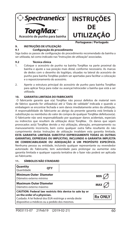



**Portuguese / Português**

#### **9. INSTRUÇÕES DE UTILIZAÇÃO**

#### **9.1 Con guração do procedimento**

Siga todos os passos de configuração do procedimento recomendado da bainha a ser utilizada, tal como indicado nas "Instruções de utilização" associadas.

#### **9.2 Técnica clínica**

- 1. Coloque o acessório de punho na bainha TorqMax na parte proximal da bainha e ajuste a sua posição mais distal, conforme necessário. As marcas de dedos com o desenho do logótipo, situadas na lateral do acessório de punho para bainha TorqMax podem ser apertadas para facilitar a colocação e o reposicionamento do acessório.
- 2. Aperte a estrutura principal do acessório de punho para bainha TorqMax para aplicar força para rodar ou avançar/retroceder a bainha que está a ser utilizada.

#### **10. GARANTIA LIMITADA DO FABRICANTE**

 O fabricante garante que o(a) TorqMax não possui defeitos de material nem de fabrico quando for utilizado(a) até à "Data de validade" indicada e quando a embalagem se encontrar fechada e sem danos imediatamente antes da utilização. A responsabilidade do fabricante ao abrigo da presente garantia está limitada à substituição ou reembolso do valor de compra de qualquer TorqMax defeituoso(a). O fabricante não será responsabilizado por quaisquer danos acidentais, especiais ou indirectos que resultem da utilização do(a) TorqMax. Os danos que sejam provocados ao(à) TorqMax devido a má utilização, alteração, armazenamento ou manuseamento incorrecto, bem como qualquer outra falha resultante do não cumprimento destas Instruções de utilização invalidam esta garantia limitada. **ESTA GARANTIA LIMITADA SUBSTITUI EXPRESSAMENTE TODAS AS OUTRAS GARANTIAS, EXPRESSAS OU IMPLÍCITAS, INCLUINDO A GARANTIA IMPLÍCITA DE COMERCIABILIDADE OU ADEQUAÇÃO A UM PROPÓSITO ESPECÍFICO.** Nenhuma pessoa ou entidade, incluindo qualquer representante ou revendedor autorizado do Fabricante, tem autoridade para prolongar ou aumentar esta garantia limitada e qualquer suposta tentativa de o fazer não poderá ser aplicada ao Fabricante.

| <b>Quantity</b><br>Ouantidade                                                                                                                                                                                         | <b>OTY</b> |  |            |
|-----------------------------------------------------------------------------------------------------------------------------------------------------------------------------------------------------------------------|------------|--|------------|
| Minimum Outer Diameter<br>Diâmetro externo mínimo                                                                                                                                                                     |            |  | <b>MIN</b> |
| l Maximum Outer Diameter<br>Diâmetro externo máximo                                                                                                                                                                   |            |  | <b>MAX</b> |
| CAUTION: Federal law restricts this device to sale by or<br>on the order of a physician.<br><b>Rx ONLY</b><br>Cuidado: A lei federal dos EUA restringe a venda deste<br>dispositivo a médicos ou a pedido dos mesmos. |            |  |            |

#### **11. SÍMBOLOS NÃO STANDARD**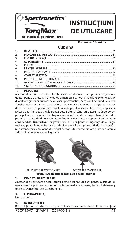

## **INSTRUCȚIUNI DE UTILIZARE**

**Romanian / Română**

### **Cuprins**

| 1.  |  |
|-----|--|
| 2.  |  |
| 3.  |  |
| 4.  |  |
| 5.  |  |
| 6.  |  |
| 7.  |  |
| 8.  |  |
| 9.  |  |
| 10. |  |
| 11. |  |
|     |  |

#### **1. DESCRIERE**

Accesoriul de prindere a tecii TorqMax este un dispozitiv de tip mâner ergonomic utilizat pentru a ajuta la manevrarea şi manipularea tecilor auxiliare externe, tecilor dilatatoare şi tecilor cu transmisie laser Spectranetics. Accesoriul de prindere a tecii TorgMax este aplicat pe o teacă prin partea laterală și rămâne în poziție pe tecile cu dimensiunea corespunzătoare. Tracţiunea de prindere asupra tecii pentru aplicarea forţei de torsiune sau axiale se realizează atunci când utilizatorul strânge corpul principal al accesoriului. Căptuşeala interioară moale a dispozitivului TorqMax protejează teaca de deteriorări, asigurând în acelaşi timp o suprafaţă de tracţiune considerabilă. Dispozitivul TorqMax poate fi repoziționat cu ușurință de-a lungul tecii sau poate fi îndepărtat cu ușurință în timpul unei proceduri, după necesități, prin strângerea clemelor pentru deget cu logo-ul imprimat situate pe partea laterală a dispozitivului (a se vedea Figura 1).





APLICARE / REPOZITIONARE ACTIVAREA MÃNERULUI

**Figura 1: Accesoriu de prindere a tecii TorqMax**

#### **2. INDICAŢII DE UTILIZARE**

Accesoriul de prindere a tecii TorqMax este destinat utilizării pentru a asigura un mecanism de prindere ergonomic la tecile auxiliare externe, tecile dilatatoare şi tecile cu transmisie laser Spectranetics.

#### **3. CONTRAINDICAŢII**

Nu se cunosc.

#### **4. AVERTISMENTE**

Respectați toate avertismentele pentru teaca ce va fi utilizată conform indicațiilor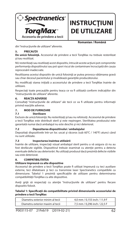

## **INSTRUCŢIUNI DE UTILIZARE**

**Romanian / Română**

din "instrucţiunile de utilizare" aferente.

#### **5. PRECAUŢII**

**De unică folosinţă.** Accesoriul de prindere a tecii TorqMax nu trebuie resterilizat şi/sau reutilizat.

NU resterilizați sau reutilizați acest dispozitiv, întrucât aceste acțiuni pot compromite performanţa dispozitivului sau pot spori riscul de contaminare încrucişată din cauza reprocesării inadecvate.

Reutilizarea acestui dispozitiv de unică folosință ar putea provoca vătămarea gravă sau chiar decesul pacientului şi invalidează garanţiile producătorului.

Nu modificați starea inițială a accesoriului de prindere a tecii TorgMax înainte de utilizare.

Respectați toate precauțiile pentru teaca ce va fi utilizată conform indicațiilor din "instrucţiunile de utilizare" aferente.

#### **6. REACŢII ADVERSE**

Consultați "instrucțiunile de utilizare" ale tecii ce va fi utilizate pentru informații privind reactiile adverse.

#### **7. MOD DE FURNIZARE**

#### **7.1 Sterilizare**

Exclusiv de unică folosinţă. Nu resterilizaţi şi/sau nu refolosiţi. Accesoriul de prindere a tecii TorqMax este distribuit steril şi este nepirogen. Sterilitatea produsului este garantată numai dacă ambalajul nu este deschis şi nici deteriorat.

#### **7.2 Depozitarea dispozitivului / ambalajului**

Depozitaţi dispozitivele într-un loc uscat şi răcoros (sub 60°C / 140°F) atunci când nu sunt utilizate.

#### **7.3 Inspectarea înaintea utilizării**

Înainte de utilizare, inspectați vizual ambalajul steril pentru a vă asigura că nu au fost desfăcute sigiliile. Dispozitivul trebuie examinat cu atenţie pentru a detecta eventuale defecte sau deteriorări. Nu utilizaţi produsul dacă prezintă defecte vizibile sau este deteriorat.

#### **8. COMPATIBILITATEA**

#### **Utilizare împreună cu alte dispozitive**

Accesoriul de prindere a tecii TorqMax poate fi utilizat împreună cu teci auxiliare externe, teci dilatatoare şi teci cu transmisie laser Spectranetics compatibile ca dimensiune. Tabelul 1 prezintă specificațiile de utilizare pentru determinarea compatibilității TorqMax cu alte dispozitive.

Aveți grijă să respectați cu atenție "instrucțiunile de utilizare" pentru fiecare dispozitiv folosit.

Tabelul 1: Specificatii de compatibilitate privind dimensiunile accesoriului de **prindere a tecii TorqMax**

| Diametru exterior minim al tecii | 4,0 mm / 0,155 inch / 11,9 F |
|----------------------------------|------------------------------|
| Diametru exterior maxim al tecii | 7,5 mm / 0,296 inch / 22,5 F |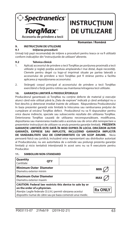

## **INSTRUCŢIUNI DE UTILIZARE**

**Romanian / Română**

#### **9. INSTRUCŢIUNI DE UTILIZARE 9.1 Iniţierea procedurii**

Urmați toți pașii recomandați de inițiere a procedurii pentru teaca ce va fi utilizată conform indicațiilor din "instrucțiunile de utilizare" aferente.

#### **9.2 Tehnica clinică**

- 1. Aplicaţi accesoriul de prindere a tecii TorqMax pe porţiunea proximală a tecii utilizate şi reglaţi poziţia acestuia amplasându-l mai distal, după necesităţi. Clemele pentru deget cu logo-ul imprimat situate pe partea laterală a accesoriului de prindere a tecii TorqMax pot fi strânse pentru a facilita aplicarea şi repoziţionarea accesoriului.
- 2. Strângeți corpul principal al accesoriului de prindere a tecii TorgMax exercitând o forţă pentru rotirea sau înaintarea/retragerea tecii utilizate.

#### **10. GARANŢIA LIMITATĂ A PRODUCĂTORULUI**

Producătorul garantează că TorgMax nu contine defecte de material și executie atunci când este utilizat până la "Data de expirare" indicată și când ambalajul nu a fost deschis şi deteriorat imediat înainte de utilizare. Răspunderea Producătorului în baza prezentei garanții este limitată la înlocuirea sau rambursarea prețului de cumpărare al oricărui TorgMax defect. Producătorul nu va fi răspunzător pentru orice daune indirecte, speciale sau subsecvente rezultate din utilizarea TorqMax. Deteriorarea TorqMax cauzată de utilizarea necorespunzătoare, modificarea, depozitarea sau manevrarea inadecvată a acestuia sau de orice altă nerespectare a prezentelor instrucţiuni de utilizare va anula prezenta garanţie limitată. **PREZENTA GARANŢIE LIMITATĂ ESTE DATĂ ÎN MOD EXPRES ÎN LOCUL ORICĂROR ALTOR GARANŢII, EXPRESE SAU IMPLICITE, INCLUZÂND GARANŢIA IMPLICITĂ DE VANDABILITATE SAU DE CONFORMITATE CU UN SCOP ANUME.** Nicio persoană fizică sau juridică, incluzând orice reprezentant sau distribuitor autorizat al Producătorului, nu are autoritatea de a extinde sau prelungi prezenta garanție limitată și nicio tentativă intenționată în acest sens nu va fi executorie pentru Producător.

#### **Quantity** Cantitate **QTY Minimum Outer Diameter** Diametru exterior minim **Maximum Outer Diameter Diametru exterior maxim CAUTION: Federal law restricts this device to sale by or on the order of a physician. Rx ONI** Atenţie: Legile federale (S.U.A.) permit vânzarea acestui dispozitiv numai de către sau pe baza comenzii unui medic.

#### **11. SIMBOLURI NON-STANDARD**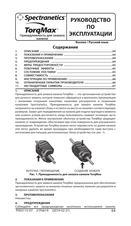

### **РУКОВОДСТВО ПО ЭКСПЛУАТАЦИИ**

**Russian / Pусский язык**

#### **Содержание**

| 1.  |  |
|-----|--|
| 2.  |  |
| 3.  |  |
| 4.  |  |
| 5.  |  |
| 6.  |  |
| 7.  |  |
| 8.  |  |
| 9.  |  |
| 10. |  |
| 11. |  |
|     |  |

#### **1. ОПИСАНИЕ**

Принадлежность для захвата канюли TorqMax — это эргономичное устройство для ручного захвата, которое помогает обращаться и выполнять манипуляции с внешними опорными канюлями, канюлями расширителя и лазерными канюлями Spectranetics. Принадлежность для захвата канюли TorqMax загружается на канюлю сбоку и остается на месте на канюлях соответствующих размеров. Захват для передвижения на канюли для подачи крутящего момента или осевого усилия достигается, когда пользователь сжимает основную часть принадлежности. Мягка внутренняя оболочка устройства TorqMax защищает канюлю от повреждения, обеспечивая при этом поверхность для улучшенного прохождения. Устройство TorqMax можно легко переместить по длине канюли или легко удалить во время процедуры при необходимости, сжав выступы с логотипами для пальцев, расположенные сбоку устройства (см. рис. 1).



ЗАГРУЗКА / ПЕРЕМЕШЕНИЕ СОЗДАНИЕ ЗАХВАТА

**Рис. 1. Принадлежность для захвата канюли TorqMax** 

#### **2. ПОКАЗАНИЯ К ПРИМЕНЕНИЮ**

Принадлежность для захвата канюли TorqMax предназначена для обеспечения эргономичного захвата на внешних опорных канюлях, канюлях расширителя и лазерных канюлях Spectranetics.

#### **3. ПРОТИВОПОКАЗАНИЯ**

Неизвестны.

#### **4. ПРЕДУПРЕЖДЕНИЯ**

P003115-07 21Feb19 (2019-02-21) 64 Соблюдайте все предупреждения касательно используемой канюли,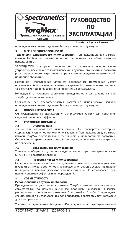



#### **Russian / Pусский язык**

приведенные в соответствующем «Руководстве по эксплуатации».

#### **5. МЕРЫ ПРЕДОСТОРОЖНОСТИ**

**Только для одноразового использования.** Принадлежность для захвата канюли TorqMax не должна повторно стерилизоваться и/или повторно использоваться.

ЗАПРЕЩАЕТСЯ повторная стерилизация и повторное использование устройство, поскольку это может повлечь нарушение его работы и повысить риск перекрестного загрязнения в результате проведения неприемлемой повторной обработки.

Повторное использование устройств однократного применения может повлечь за собой получение пациентом серьезной травмы или его смерть, а также служит причиной для снятия гарантийных обязательств.

Не нарушайте исходного состояния принадлежности для захвата канюли TorqMax до ее использования.

Соблюдайте все предостережения касательно используемой канюли, приведенные в соответствующем «Руководстве по эксплуатации».

#### **6. ПОБОЧНЫЕ ЭФФЕКТЫ**

См. «Руководство по эксплуатации» используемое канюли для получения сведений о побочных эффектах.

#### **7. СОСТОЯНИЕ ПОСТАВКИ**

#### **7.1 Стерилизация**

Только для одноразового использования. Не подвергать повторной стерилизации и/или повторному использованию. Принадлежность для захвата канюли TorqMax поставляется в стерильном и непирогенном состоянии. Стерильность гарантируется только в том случае, если упаковка не вскрыта и не повреждена.

#### **7.2 Уход за прибором/упаковкой**

Хранить приборы в сухом прохладном месте (при температуре ниже 60 °C / 140 °F) до использования.

#### **7.3 Проверка перед использованием**

Перед использованием провести визуальную проверку стерильной упаковки и убедиться, что ее герметичность не нарушена. Устройство следует тщательно проверить на наличие дефектов или повреждения. Не использовать при наличии видимых дефектов или повреждений.

#### **8. СОВМЕСТИМОСТЬ**

#### **Использование с другими приборами**

Принадлежность для захвата канюли TorqMax можно использовать с совместимыми по размеру внешними опорными канюлями, канюлями расширителя и лазерными канюлями Spectranetics. В табл. 1 приведены спецификации по использованию для определения совместимости TorqMax с другими приборами.

Убедитесь в тщательном соблюдении «Руководства по эксплуатации» каждого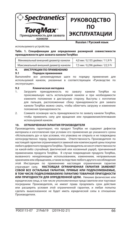



используемого устройства.

**Russian / Pусский язык**

**Табл. 1. Спецификации для определения размерной совместимости принадлежности для захвата канюли TorqMax** 

| Минимальный внешний диаметр канюли  | 4,0 мм / 0,155 дюйма / 11,9 Fr |
|-------------------------------------|--------------------------------|
| Максимальный внешний диаметр канюли | 7,5 мм / 0,296 дюйма / 22,5 Fr |

### **9. ИНСТРУКЦИИ ПО ПРИМЕНЕНИЮ**

**9.1 Порядок применения**

Выполняйте все рекомендуемые шаги по порядку применения для используемой канюли, указанные в соответствующем «Руководстве по эксплуатации».

#### **9.2 Клиническая методика**

- 1. Загрузите принадлежность по захвату канюли TorqMax на проксимальную часть используемой канюли и при необходимости измените положение в дистальную сторону. Выступы с логотипом для пальцев, расположенные сбоку принадлежности для захвата канюли TorqMax можно сжать, чтобы облегчить загрузку и изменение положения принадлежности.
- 2. Сожмите основную часть принадлежности по захвату канюли TorqMax, чтобы применить силу для вращения или продвижения/втягивания используемой канюли.

#### **10. ОГРАНИЧЕННАЯ ГАРАНТИЯ ПРОИЗВОДИТЕЛЯ**

Производитель гарантирует, что продукт TorqMax не содержит дефектов материала и изготовления при условии его применения до указанного срока «Использовать до» и при условии, что упаковка не открыта и не повреждена непосредственно перед применением. Ответственность Производителя по настоящей гарантии ограничивается заменой или компенсацией цены покупки любого дефектного продукта TorqMax. Производитель не несет ответственности за какой-либо случайный, фактический или косвенный ущерб, причиненный применением продукта TorqMax. В случае повреждения продукта TorqMax, вызванного ненадлежащим использованием, изменением, неправильным хранением или обращением, а также вследствие любого другого несоблюдения этой Инструкции по применению настоящая ограниченная гарантия утрачивает силу. **НАСТОЯЩАЯ ОГРАНИЧЕННАЯ ГАРАНТИЯ ЗАМЕНЯЕТ СОБОЙ ВСЕ ОСТАЛЬНЫЕ ГАРАНТИИ, ПРЯМЫЕ ИЛИ ПОДРАЗУМЕВАЕМЫЕ, В ТОМ ЧИСЛЕ ПОДРАЗУМЕВАЕМУЮ ГАРАНТИЮ ТОВАРНОЙ ПРИГОДНОСТИ ИЛИ ПРИГОДНОСТИ ДЛЯ ОПРЕДЕЛЕННОЙ ЦЕЛИ.** Никакие физические или юридические лица, в том числе уполномоченные представители или торговые посредники Производителя, не имеют права продлевать срок действия или расширять условия этой ограниченной гарантии, и любая попытка сделать вышесказанное не будет иметь юридической силы в отношении Производителя.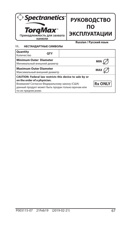

### **РУКОВОДСТВО ПО ЭКСПЛУАТАЦИИ**

#### **11. НЕСТАНДАРТНЫЕ СИМВОЛЫ**

**Russian / Pусский язык**

| <b>OTY</b> |                                                                                                                                                                                                                                                                                                                                                       |  |
|------------|-------------------------------------------------------------------------------------------------------------------------------------------------------------------------------------------------------------------------------------------------------------------------------------------------------------------------------------------------------|--|
|            | MIN                                                                                                                                                                                                                                                                                                                                                   |  |
|            | <b>MAX</b>                                                                                                                                                                                                                                                                                                                                            |  |
|            | <b>Rx ONLY</b>                                                                                                                                                                                                                                                                                                                                        |  |
|            | <b>Minimum Outer Diameter</b><br>Минимальный внешний диаметр<br><b>Maximum Outer Diameter</b><br>Максимальный внешний диаметр<br>CAUTION: Federal law restricts this device to sale by or<br>on the order of a physician.<br>Внимание! Согласно Федеральному закону (США)<br>данный продукт может быть продан только врачам или<br>по их предписанию. |  |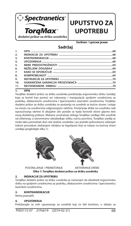

## **UPUTSTVO ZA UPOTREBU**

**Serbian / српски језик**

### **Sadržaj**

| 2.               |  |
|------------------|--|
| $\overline{3}$ . |  |
| 4.               |  |
| 5.               |  |
| 6.               |  |
| $\overline{7}$ . |  |
| 8.               |  |
| 9.               |  |
| 10.              |  |
| 11.              |  |
|                  |  |

#### **1. OPIS**

TorqMax dodatni pribor za dršku uvodnika predstavlja ergonomsku dršku (uređaj) koja se koristi kao pomoć pri rukovanju i manipulaciji spoljnim uvodnicima za podršku, dilatacionim uvodnicima i Spectranetics laserskim uvodnicima. TorqMax dodatni pribor za dršku uvodnika se postavlja na uvodnik sa bočne strane i ostaje na mestu na uvodnicima odgovarajuće veličine. Povlačenje drške na uvodniku radi isporučivanja оbrtne ili aksijalne sile postiže se kada korisnik stisne glavno telo ovog dodatnog pribora. Mekana unutrašnja obloga TorqMax uređaja štiti uvodnik od oštećenja, a istovremeno obezbeđuje veliku vučnu površinu. TorqMax uređaj se može lako premeštati duž cele dužine uvodnika i po potrebi jednostavno uklanjati tokom procedure stiskanjem okidača sa logotipom koji se nalaze na bočnoj strani uređaja (pogledajte sliku 1).





POSTAVLJANJE / PREMEŠTANJE **AKTIVIRANJE DRŠKE Slika 1: TorqMax dodatni pribor za dršku uvodnika**

#### **2. INDIKACIJE ZA UPOTREBU**

TorqMax dodatni pribor za dršku uvodnika je namenjen da obezbedi ergonomsku dršku na spoljnim uvodnicima za podršku, dilatacionim uvodnicima i Spectranetics laserskim uvodnicima.

#### **3. KONTRAINDIKACIJE**

Nema poznatih.

#### **4. UPOZORENJA**

Pridržavajte se svih upozorenja za uvodnik koji će biti korišćen, u skladu sa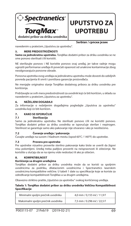

## **UPUTSTVO ZA UPOTREBU**

**Serbian / српски језик**

navedenim u pratećem "Uputstvu za upotrebu".

#### **5. MERE PREDOSTROŽNOSTI**

**Samo za jednokratnu upotrebu.** TorqMax dodatni pribor za dršku uvodnika se ne sme ponovo sterilisati i/ili koristiti.

NE sterilizujte ponovo i NE koristite ponovo ovaj uređaj, jer takve radnje mogu ugroziti performanse uređaja ili povećati opasnost od unakrsne kontaminacije zbog neodgovarajuće ponovne obrade.

Ponovna upotreba ovog uređaja za jednokratnu upotrebu može dovesti do ozbiljnih povreda pacijenta ili smrti i poništava garancije proizvođača.

Ne menjajte originalno stanje TorqMax dodatnog pribora za dršku uvodnika pre korišćenja.

Pridržavajte se svih mera predostrožnosti za uvodnik koji će biti korišćen, u skladu sa navedenim u pratećem "Uputstvu za upotrebu".

#### **6. NEŽELJENI DOGAĐAJI**

Za informacije o neželjenim događajima pogledajte "Uputstva za upotrebu" uvodnika koji će biti korišćen.

#### **7. KAKO SE ISPORUČUJE**

#### **7.1 Sterilizacija**

Samo za jednokratnu upotrebu. Ne sterilisati ponovo i/ili ne koristiti ponovo. TorqMax dodatni pribor za dršku uvodnika se isporučuje sterilan i nepirogen. Sterilnost se garantuje samo ako pakovanje nije otvarano i ako je neoštećeno.

#### **7.2 Čuvanje uređaja / pakovanja**

Čuvajte uređaje na suvom i hladnom mestu (ispod 60°C / 140°F) do upotrebe.

#### **7.3 Provera pre upotrebe**

Pre upotrebe vizuelno proverite sterilno pakovanje kako biste se uverili da žigovi nisu polomljeni. Uređaj treba pažljivo proveriti na neispravnosti ili oštećenje. Ne koristite u slučaju da se na njemu vide nedostaci ili ako je oštećen.

#### **8. KOMPATIBILNOST**

#### **Korišćenje sa drugim uređajima**

TorqMax dodatni pribor za dršku uvodnika može da se koristi sa spoljnim uvodnicima za podršku, dilatacionim uvodnicima i Spectranetics laserskim uvodnicima kompatibilne veličine. U tabeli 1 date su specifikacije koje se koriste za određivanje kompatibilnosti TorqMax-a sa drugim uređajima.

Obavezno striktno pratite "Uputstvo za upotrebu" svakog korišćenog uređaja.

#### **Tabеlа 1: TorqMax dodatni pribor za dršku uvodnika Veličina Kompatibilnost Specifikacije**

| Minimalni spoljni prečnik uvodnika  | 4.0 mm / 0.155 inč / 11.9 F |
|-------------------------------------|-----------------------------|
| Maksimalni spoljni prečnik uvodnika | 7,5 mm / 0.296 inč / 22,5 F |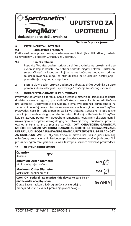

## **UPUTSTVO ZA UPOTREBU**

**Serbian / српски језик**

**9. INSTRUKCIJE ZA UPOTREBU**

#### **9.1 Podešavanje procedure**

Pratite sve korake procedure za podešavanje uvodnika koji će biti korišćen, u skladu sa navedenim u pratećem "Uputstvu za upotrebu".

#### **9.2 Klinička tehnika**

- 1. Postavite TorqMax dodatni pribor za dršku uvodnika na proksimalni deo uvodnikа koji se koristi i po potrebi podesite njegov položaj u distalnom smeru. Okidači sa logotipom koji se nalaze bočno na dodatnom priboru za dršku uvodnika mogu se stisnuti kako bi se olakšalo postavljanje i premeštanje ovog dodatnog pribora.
- 2. Stisnite glavno telo TorqMax dodatnog pribora za dršku uvodnika da biste primenili silu za rotaciju ili napredovanje/uvlačenje korišćenog uvodnika.

#### **10. OGRANIČENA GARANCIJA PROIZVOĐAČA**

Proizvođač garantuje da TorqMax nema grešaka u materijalu i izradi ako se koristi do datuma navedenog pod "Upotrebiti do" i ako pakovanje nije otvoreno i oštećeno pre upotrebe. Odgovornost proizvođača prema ovoj garanciji ograničena je na zamenu ili povraćaj novca u iznosu kupovne cene za bilo koji neispravan TorqMax. Proizvođač neće biti odgovoran ni za kakve slučajne, specijalne ili posledične štete koje su nastale zbog upotrebe TorqMax. U slučaju oštećenja kod TorqMax, koja su izazvana pogrešnom upotrebom, izmenama, nepravilnim skladištenjem ili rukovanjem, ili zbog bilo kakvog drugog nepoštovanja ovog Uputstva za upotrebu, ova ograničena garancija prestaje da važi. **OVA OGRANIČENA GARANCIJA IZRIČITO ODBACUJE SVE DRUGE GARANCIJE, IZRIČITE ILI PODRAZUMEVANE, UKLJUČUJUĆI I PODRAZUMEVANU GARANCIJU UTRŽIVOSTI ILI PRIKLADNOSTI**  ZA ODREĐENU SVRHU. Nijedno fizičko ili pravno lice, uključujući i bilo kog ovlašćenog predstavnika ili distributera proizvođača, nema ovlašćenje da produži ili proširi ovu ograničenu garanciju, a svaki takav pokušaj neće obavezati proizvođača.

#### **11. NESTANDARDNI SIMBOLI**

| Quantity<br>Količina                                                                                                                                                                                    | <b>OTY</b> |                |
|---------------------------------------------------------------------------------------------------------------------------------------------------------------------------------------------------------|------------|----------------|
| <b>Minimum Outer Diameter</b><br>Minimalni spoljni prečnik                                                                                                                                              |            |                |
| <b>Maximum Outer Diameter</b><br>Maksimalni spoljni prečnik                                                                                                                                             | <b>MAX</b> |                |
| CAUTION: Federal law restricts this device to sale by or<br>on the order of a physician.<br>Oprez: Savezni zakon u SAD ograničava ovaj uređaj na<br>prodaju od strane lekara ili prema njegovom nalogu. |            | <b>Rx ONLY</b> |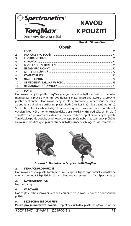

## **NÁVOD K POUŽITÍ**

**Slovak / Slovenčina**

### **Obsah**

| 1.               |                                                                                                                                                                                                                                |  |
|------------------|--------------------------------------------------------------------------------------------------------------------------------------------------------------------------------------------------------------------------------|--|
| $\mathcal{L}$    |                                                                                                                                                                                                                                |  |
| $\overline{3}$ . |                                                                                                                                                                                                                                |  |
| $\overline{4}$   |                                                                                                                                                                                                                                |  |
| 5.               |                                                                                                                                                                                                                                |  |
| 6.               |                                                                                                                                                                                                                                |  |
| 7.               |                                                                                                                                                                                                                                |  |
| 8.               |                                                                                                                                                                                                                                |  |
| 9.               | NÁVOD K POLJŽITÍ (2000) – 22 NÁVOD K POLJŽITÍ (2000) – 23 NÁVOD K POLJŽITÍ (2000) – 23 NÁVOD K POLJŽITÍ (2000) – 23 NÁVOD K POLJŽITÍ (2000) – 23 NÁVOD K POLJŽITÍ (2000) – 23 NÁVOD K POLJŽITÍ (2000) – 23 NÁVOD K POLJŽITÍ (2 |  |
| 10 <sub>1</sub>  |                                                                                                                                                                                                                                |  |
| 11.              |                                                                                                                                                                                                                                |  |

#### **1. POPIS**

Doplňková úchytka pláště TorqMax je ergonomická úchytka určená k usnadnění manipulace a práce s vnějšími doplňujícími plášti, plášti dilatátoru a laserovými plášti Spectranetics. Doplňková úchytka pláště TorqMax je nasazována na plášť ze strany a pokud je použita na plášti vhodné velikosti, zůstává pevně na místě. Stisknutím hlavní části úchytky dosáhnete zvýšení trakce na plášti potřebné k vyvolání kroutivého momentu nebo tlaku v ose. Měkká vnitřní podložka chrání plášť TorqMax před poškozením v důsledku vysoké trakce. Doplňkovou úchytku pláště TorqMax lze podle potřeby snadno posouvat po plášti nebo ji lze sejmout v průběhu zákroku stisknutím výstupků na straně úchytky označených logem (viz Obrázek 1).



**Obrázek 1: Doplňkovou úchytku pláště TorqMax**

#### **2. INDIKACE PRO POUŽITÍ**

Doplňková úchytka pláště TorqMax je určena k použití jako ergonomická úchytka na vnějších doplňujících pláštích, pláštích dilatátorua laserových pláštích Spectranetics.

#### **3. KONTRAINDIKACE**

Nejsou známy.

#### **4. VAROVÁNÍ**

Dodržujte všechna varování uvedená v přiloženém "Návodu k použití" používaného pláště.

#### **5. BEZPEČNOSTNÍ OPATŘENÍ**

**Pouze pro jednorázové použití.** Doplňková úchytka pláště TorqMax se nesmí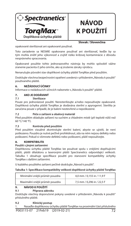

# **NÁVOD K POUŽITÍ**

**Slovak / Slovenčina**

### opakovaně sterilizovat ani opakovaně používat.

Toto zariadenie sa NESMIE opakovane používať ani sterilizovať, keďže by sa tým mohla znížiť jeho výkonnosť a zvýšiť riziko krížovej kontaminácie z dôvodu nesprávneho spracovania.

Opakované použitie tohto jednorazového nástroja by mohlo spôsobiť vážne zranenie pacienta či jeho úmrtie, ako aj zrušenie záruky výrobcu.

Nenarušujte původní stav doplňkové úchytky pláště TorqMax před použitím.

Dodržujte všechna bezpečnostní opatření uvedená v přiloženém "Návodu k použití" používaného pláště.

#### **6. NEŽÁDOUCÍ ÚČINKY**

Informace o nežádoucích účincích naleznete v "Návodu k použití" pláště.

#### **7. AKO JE DODÁVANÝ**

#### **7.1 Sterilizace**

Pouze pro jednorázové použití. Neresterilizujte a/nebo nepoužívejte opakovaně. Doplňková úchytka pláště TorqMax je dodávána sterilní a apyrogenní. Sterilita je zaručena pouze v případě, že je balení neotevřené a nepoškozené.

#### **7.2 Péče o zařízení a obalový materiál**

Před použitím skladujte zařízení na suchém a chladném místě (při teplotě nižší než 60 °C/140 °F).

#### **7.3 Kontrola před použitím**

Před použitím vizuálně zkontrolujte sterilní balení, abyste se ujistili, že není poškozeno. Pouzdro je nutné pečlivě prohlédnout, zda na něm nejsou defekty nebo poškození. Pokud si všimnete defektů nebo poškození, plášť nepoužívejte.

#### **8. KOMPATIBILITA**

#### **Použití s jinými zařízeními**

Doplňkovou úchytku pláště TorqMax lze používat spolu s vnějšími doplňujícími plášti, plášti dilatátoru a laserovými plášti Spectranetics odpovídající velikosti. Tabulka 1 obsahuje specifikace použití pro stanovení kompatibility úchytky TorqMax s dalšími zařízeními.

U každého použitého zařízení pečlivě dodržujte "Návod k použití".

#### Tabulka 1: Specifikace kompatibility velikosti doplňkové úchytky pláště TorqMax

| Minimální vnější průměr pouzdra | 4.0 mm / 0.155 in / 11.9 F |
|---------------------------------|----------------------------|
| Maximální vnější průměr pouzdra | 7.5 mm / 0.296 in / 22.5 F |

#### **9. NÁVOD K POUŽITÍ**

#### **9.1 Příprava zákroku**

Dodržujte všechny doporučené pokyny uvedené v přiloženém "Návodu k použití" příslušného pláště.

#### **9.2 Klinický postup**

P003115-07 21Feb19 (2019-02-21) 72 1. Nasaďte doplňkovou úchytku pláště TorqMax na proximální část příslušného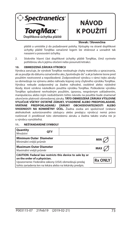

# **NÁVOD K POUŽITÍ**

#### **Slovak / Slovenčina**

pláště a umístěte ji do požadované polohy. Výstupky na straně doplňkové úchytky pláště TorqMax označené logem lze stisknout a usnadnit tak nasazení a posouvání úchytky.

2. Stiskněte hlavní část doplňkové úchytky pláště TorqMax, čímž vyvinete potřebnou sílu k jejímu otočení nebo posunutí/retrakci.

#### **10. OBMEDZENÁ ZÁRUKA VÝROBCU**

Výrobca zaručuje, že výrobok TorqMax neobsahuje chyby materiálu a spracovania, ak sa použije do dátumu označeného ako "Spotrebujte do" a ak je balenie tesne pred použitím neotvorené a nepoškodené. Zodpovednosť výrobcu v rámci tejto záruky sa obmedzuje na výmenu alebo náhradu kúpnej ceny chybného výrobku TorqMax. Výrobca nebude zodpovedný za žiadne náhodné, osobitné alebo následné škody, ktoré vzniknú následkom použitia výrobku TorqMax. Poškodenie výrobku TorqMax spôsobené nevhodným použitím, úpravou, nesprávnym uskladnením, manipuláciou alebo iným nedodržaním tohto návodu na použitie bude znamenať ukončenie platnosti obmedzenej záruky. **TÁTO OBMEDZENÁ ZÁRUKA VÝSLOVNE VYLUČUJE VŠETKY OSTATNÉ ZÁRUKY, VYJADRENÉ ALEBO PREDPOKLADANÉ,**  *OBCHODOVATEĽNOSTI ALEBO* **VHODNOSTI NA KONKRÉTNY ÚČEL.** Žiadna osoba ani spoločnosť (vrátane akéhokoľvek autorizovaného zástupcu alebo predajcu výrobcu) nemá právo rozširovať či predlžovať túto obmedzenú záruku a žiadna takáto snaha nie je u výrobcu vynútiteľná.

#### **11. NEŠTANDARDNÉ SYMBOLY**

| Quantity<br>Množství                                                                                                                                                                                          | <b>OTY</b> |  |                |
|---------------------------------------------------------------------------------------------------------------------------------------------------------------------------------------------------------------|------------|--|----------------|
| <b>Minimum Outer Diameter</b><br>Minimální vnější průměr                                                                                                                                                      |            |  | <b>MIN</b>     |
| <b>Maximum Outer Diameter</b><br>Maximální vnější průměr                                                                                                                                                      |            |  | <b>MAX</b>     |
| CAUTION: Federal law restricts this device to sale by or<br>on the order of a physician.<br>Upozornenie: Federálne zákony (USA) obmedzujú predaj<br>tohto zariadenia len na lekára alebo na lekársky predpis. |            |  | <b>Rx ONLY</b> |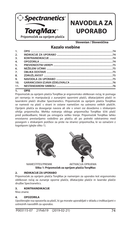

# **NAVODILA ZA UPORABO**

**Slovenian / Slovenščina**

### **Kazalo vsebine**

| 1.  |  |
|-----|--|
| 2.  |  |
| 3.  |  |
| 4.  |  |
| 5.  |  |
| 6.  |  |
| 7.  |  |
| 8.  |  |
| 9.  |  |
| 10. |  |
| 11. |  |

#### **1. OPIS**

Pripomoček za oprijem plašča TorqMax je ergonomsko oblikovan ročaj, ki pomaga pri ravnanju in manipulaciji z zunanjimi opornimi plašči, dilatacijskimi plašči in laserskimi plašči družbe Spectranetics. Pripomoček za oprijem plašča TorqMax se namesti na plašč s strani in ostane nameščen na ustrezno velikih plaščih. Oprijem plašča za doseganje navora ali sile v smeri osi dosežemo s stiskanjem ohišja pripomočka. Mehka notranja obloga pripomočka TorqMax ščiti plašč pred poškodbami, hkrati pa omogoča veliko trenje. Pripomoček TorqMax lahko enostavno prestavljamo vzdolžno po plašču ali po potrebi odstranimo med posegom s stiskanjem jezičkov za prste na stranici pripomočka, ki so označeni z logotipom (glejte sliko 1).





NAMESTITEV/PREMIK AKTIVACIJA OPRIJEMA **Slika 1: Pripomoček za oprijem plašča TorqMax**

#### **2. INDIKACIJE ZA UPORABO**

Pripomoček za oprijem plašča TorqMax je namenjen za uporabo kot ergonomsko oblikovan ročaj za zunanje oporne plašče, dilatacijske plašče in laserske plašče družbe Spectranetics.

#### **3. KONTRAINDIKACIJE**

Niso znane.

#### **4. OPOZORILA**

Upoštevajte vsa opozorila za plašč, ki ga morate uporabljati v skladu z indikacijami v ustreznih navodilih za uporabo.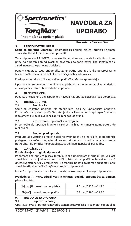

# **NAVODILA ZA UPORABO**

**Slovenian / Slovenščina**

#### **5. PREVIDNOSTNI UKREPI**

**Samo za enkratno uporabo.** Pripomočka za oprijem plašča TorqMax ne smete znova sterilizirati in/ali ponovno uporabiti.

Tega pripomočka NE SMETE znova sterilizirati ali znova uporabiti, saj lahko pri tem pride do ogrožanja zmogljivosti ali povečanja tveganja navzkrižne kontaminacije zaradi neustrezne ponovne obdelave.

Ponovna uporaba tega pripomočka za enkratno uporabo lahko povzroči resne telesne poškodbe ali smrt bolnika ter izniči jamstva izdelovalca.

Pred uporabo pripomočka za oprijem plašča TorqMax ne spreminjajte.

Upoštevajte vse previdnostne ukrepe za plašč, ki ga morate uporabljati v skladu z indikacijami v ustreznih navodilih za uporabo.

#### **6. NEŽELENI UČINKI**

Podatke o neželenih učinkih poiščite v navodilih za uporabo plašča, ki ga uporabljate.

#### **7. OBLIKA DOSTAVE**

#### **7.1 Sterilizacija**

Samo za enkratno uporabo. Ne sterilizirajte in/ali ne uporabljajte ponovno. Pripomoček za oprijem plašča TorqMax je dostavljen sterilen in apirogen. Sterilnost je zajamčena le, če je ovojnina zaprta in nepoškodovana.

#### **7.2 Vzdrževanje pripomočka in ovojnine**

Pripomočke do uporabe hranite na suhem in hladnem mestu (temperatura do 60°C/140°F).

#### **7.3 Pregled pred uporabo**

Pred uporabo vizualno preglejte sterilno ovojnino in se prepričajte, da pečati niso pretrgani. Natančno preglejte, ali so na pripomočku prisotne napake oziroma poškodbe. Pripomočka ne uporabljajte, če odkrijete napake ali poškodbe.

#### **8. ZDRUŽLJIVOST**

#### **Kombiniranje z drugimi pripomočki**

Pripomoček za oprijem plašča TorqMax lahko uporabljate z drugimi po velikosti združljivimi zunanjimi opornimi plašči, dilatacijskimi plašči in laserskimi plašči družbe Spectranetics. V preglednici 1 so tehnični podatki za pomoč pri ugotavljanju združljivosti pripomočka TorqMax z drugimi pripomočki.

Natančno upoštevajte navodila za uporabo vsakega uporabljenega pripomočka.

#### **Preglednica 1: Mere, združljivost in tehnični podatki pripomočka za oprijem plašča TorqMax**

| Najmanjši zunanji premer plašča | 4.0 mm/0.155 in/11.9 F |
|---------------------------------|------------------------|
| Največji zunanji premer plašča  | 7,5 mm/0,296 in/22,5 F |

#### **9. NAVODILA ZA UPORABO**

#### **9.1 Priprava na poseg**

Upoštevajte vsa priporočena navodila za namestitev plašča, ki ga morate uporabljati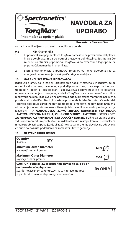

# **NAVODILA ZA UPORABO**

#### **Slovenian / Slovenščina**

v skladu z indikacijami v ustreznih navodilih za uporabo.

#### **9.2 Klinična tehnika**

- 1. Pripomoček za oprijem plašča TorqMax namestite na proksimalni del plašča, ki ga uporabljate, in ga po potrebi prestavite bolj distalno. Stisnite jezičke za prste na stranici pripomočka TorqMax, ki so označeni z logotipom, da pripomoček namestite in premikate.
- 2. Stisnite glavno ohišje pripomočka TorqMax, da lahko uporabite silo za vrtenje ali napredovanje/izvlek plašča, ki ga uporabljate.

#### **10. GARANCIJSKA IZJAVA IZDELOVALCA**

Izdelovalec jamči, da je izdelek TorqMax brez napak v materialu in izdelavi, če ga uporabite do datuma, navedenega pod »Uporabno do«, in če neposredno pred uporabo ni odprt ali poškodovan. Izdelovalčeva odgovornost je s to garancijo omejena na zamenjavo okvarjenega izdelka TorqMax oziroma na povračilo stroškov njegovega nakupa. Izdelovalec ne prevzema odgovornosti za morebitno naključno, posebno ali posledično škodo, ki nastane pri uporabi izdelka TorqMax. Če se izdelek TorqMax poškoduje zaradi nepravilne uporabe, predelave, nepravilnega hranjenja ali ravnanja z njim oziroma neupoštevanja teh navodil za uporabo, se ta garancija razveljavi. **TA GARANCIJSKA IZJAVA IZRECNO NADOMESTI VSA DRUGA JAMSTVA, IZRECNA ALI TIHA, VKLJUČNO S TIHIM JAMSTVOM USTREZNOSTI ZA PRODAJO ALI PRIMERNOSTI ZA DOLOČEN NAMEN.** Fizične ali pravne osebe, vključno z morebitnim pooblaščenim izdelovalčevim zastopnikom ali prodajalcem, nimajo pooblastil za podaljšanje ali razširitev te garancije. Izdelovalec ne odgovarja, če pride do poskusa podaljšanja oziroma razširitve te garancije.

#### **11. NESTANDARDNI SIMBOLI**

| Quantity<br>Količina                                                                                                                                                                                                    | OTY |  |            |
|-------------------------------------------------------------------------------------------------------------------------------------------------------------------------------------------------------------------------|-----|--|------------|
| <b>Minimum Outer Diameter</b><br>Najmanjši zunanji premer                                                                                                                                                               |     |  | <b>MIN</b> |
| <b>Maximum Outer Diameter</b><br>Največji zunanji premer                                                                                                                                                                |     |  | MAX        |
| CAUTION: Federal law restricts this device to sale by or<br>on the order of a physician.<br><b>Rx ONLY</b><br>Svarilo: Po zveznem zakonu (ZDA) je to napravo mogoče<br>kupiti le od zdravnika ali po njegovem naročilu. |     |  |            |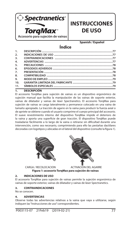

### **INSTRUCCIONES DE USO**

**Spanish / Español**

### **Índice**

| 2.               |  |
|------------------|--|
| $\overline{3}$ . |  |
| 4.               |  |
| 5.               |  |
| 6.               |  |
| $\overline{7}$ . |  |
| 8.               |  |
| 9.               |  |
| 10.              |  |
| 11.              |  |

#### **1. DESCRIPCIÓN**

El accesorio TorqMax para sujeción de vainas es un dispositivo ergonómico de sujeción manual que facilita la manipulación de las vainas de soporte exterior, vainas de dilatador y vainas de láser Spectranetics. El accesorio TorqMax para sujeción de vainas se carga lateralmente y permanece colocado en una vaina de tamaño apropiado. La tracción de agarre en la vaina para producir la fuerza axial o de apriete se obtiene cuando el usuario comprime el cuerpo principal del accesorio. El suave revestimiento interno del dispositivo TorqMax impide el deterioro de la vaina y aporta una superficie de gran tracción. El dispositivo TorqMax puede trasladarse fácilmente a lo largo de la vaina o retirarse sin dificultad durante una intervención, como sea necesario, comprimiendo para ello las pestañas dactilares decoradas con logotipos y ubicadas en el lateral del dispositivo (consulte la figura 1).





 CARGA / RECOLOCACIÓN ACTIVACIÓN DEL AGARRE **Figura 1: accesorio TorqMax para sujeción de vainas** 

#### **2. INDICACIONES DE USO**

El accesorio TorqMax para sujeción de vainas permite la sujeción ergonómica de vainas de soporte exterior, vainas de dilatador y vainas de láser Spectranetics.

#### **3. CONTRAINDICACIONES**

No se conocen.

#### **4. ADVERTENCIAS**

Observe todas las advertencias relativas a la vaina que vaya a utilizarse, según indiquen las "Instrucciones de uso" correspondientes.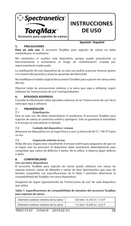

# **INSTRUCCIONES DE USO**

**Spanish / Español**

#### **5. PRECAUCIONES**

**Para un solo uso.** El accesorio TorqMax para sujeción de vainas no debe reesterilizarse ni reutilizarse.

NO reesterilice ni reutilice este dispositivo, porque puede perjudicarse su funcionamiento o aumentarse el riesgo de contaminación cruzada por reprocesamiento inadecuado.

La reutilización de este dispositivo de un solo uso podría ocasionar lesiones graves o la muerte del paciente y anula las garantías del fabricante.

No modifique el estado original del accesorio TorqMax para sujeción de vainas antes del uso.

Observe todas las precauciones relativas a la vaina que vaya a utilizarse, según indiquen las "Instrucciones de uso" correspondientes.

#### **6. EPISODIOS ADVERSOS**

Consulte la información sobre episodios adversos en las "Instrucciones de uso" de la vaina que vaya a utilizarse.

### **7. PRESENTACIÓN**<br>7.1 Fsteriliza

#### **7.1 Esterilización**

Para un solo uso. No debe reesterilizarse ni reutilizarse. El accesorio TorqMax para sujeción de vainas se suministra estéril y apirógeno. Sólo se garantiza la esterilidad si el envase no está abierto ni dañado.

#### **7.2 Cuidado del dispositivo / envase**

Almacene los dispositivos en un lugar fresco y seco (a menos de 60 ºC / 140 ºF) hasta su uso.

#### **7.3 Inspección anterior al uso**

Antes del uso, inspeccione visualmente el envase estéril para asegurarse de que no se hayan roto los precintos. El dispositivo debe examinarse detenidamente para comprobar que carece de defectos o daños. No lo utilice, si observa algún defecto o daño.

#### **8. COMPATIBILIDAD**

#### **Uso con otros dispositivos**

El accesorio TorqMax para sujeción de vainas puede utilizarse con vainas de soporte exterior, vainas de dilatador y vainas de láser Spectranetics que sean de tamaño compatible. Las especificaciones de la Tabla 1 permiten determinar la compatibilidad del TorqMax con otros dispositivos.

Asegúrese de seguir rigurosamente las "Instrucciones de uso" de cada dispositivo que utilice.

Tabla 1: especificaciones de compatibilidad de tamaños del accesorio TorqMax **para sujeción de vainas**

| Diámetro exterior mínimo de la vaina | 4.0 mm / 0.155 in / 11.9 F |
|--------------------------------------|----------------------------|
| Diámetro exterior máximo de la vaina | 7.5 mm / 0.296 in / 22.5 F |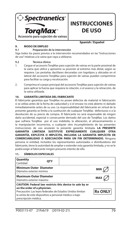

## **INSTRUCCIONES DE USO**

**Spanish / Español**

#### **9. MODO DE EMPLEO**

#### **9.1 Preparación de la intervención**

Siga todos los pasos previos a la intervención recomendados en las "Instrucciones de uso" relativas a la vaina que vaya a utilizarse.

#### **9.2 Técnica clínica**

- 1. Cargue el accesorio TorqMax para sujeción de vainas en la parte proximal de la vaina que utilice y aproxime su posición al extremo más distal, según se requiera. Las pestañas dactilares decoradas con logotipos y ubicadas en el lateral del accesorio TorqMax para sujeción de vainas pueden comprimirse para facilitar su carga y recolocación.
- 2. Comprima el cuerpo principal del accesorio TorqMax para sujeción de vainas para aplicar la fuerza que requiera la rotación, o el avance y la retracción, de la vaina utilizada.

#### **10. GARANTÍA LIMITADA DEL FABRICANTE**

El fabricante garantiza que TorqMax no posee defectos de material ni fabricación si se utiliza antes de la fecha de caducidad y si el envase no está abierto ni dañado inmediatamente antes de su uso. La responsabilidad del fabricante en virtud de la presente garantía se limita a la sustitución de cualquier TorqMax defectuoso o a la devolución de su precio de compra. El fabricante no será responsable de ningún daño accidental, especial o consecuente derivado del uso de TorqMax. Los daños que sufriera TorqMax por el uso indebido, la alteración, el almacenamiento o la manipulación incorrectos, o cualquier otro incumplimiento de las presentes instrucciones de uso anularán la presente garantía limitada. **LA PRESENTE GARANTÍA LIMITADA SUSTITUYE EXPRESAMENTE CUALQUIER OTRA GARANTÍA, EXPLÍCITA O IMPLÍCITA, INCLUIDA LA GARANTÍA IMPLÍCITA DE COMERCIABILIDAD O ADECUACIÓN PARA UN FIN DETERMINADO.** Ninguna persona ni entidad, incluidos los representantes autorizados o distribuidores del fabricante, tiene la autoridad de ampliar o extender esta garantía limitada, y no se le podrá exigir al fabricante ningún presunto intento de ello.

#### **11. SÍMBOLOS ESPECIALES**

| Quantity<br>Cantidad                                                                                                                                                                                                                                     | OTY |            |
|----------------------------------------------------------------------------------------------------------------------------------------------------------------------------------------------------------------------------------------------------------|-----|------------|
| <b>Minimum Outer Diameter</b><br>Diámetro exterior mínimo                                                                                                                                                                                                |     | <b>MIN</b> |
| <b>Maximum Outer Diameter</b><br>Diámetro exterior máximo                                                                                                                                                                                                |     | MA)        |
| CAUTION: Federal law restricts this device to sale by or<br>on the order of a physician.<br><b>Rx ONLY</b><br>Precaución: Las leyes federales de Estados Unidos limitan<br>la venta de este dispositivo a personal médico o bajo<br>prescripción médica. |     |            |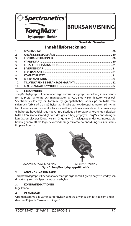

### **BRUKSANVISNING**

**Swedish / Svenska**

### **Innehållsförteckning**

| 1.               |  |
|------------------|--|
| 2.               |  |
| $\overline{3}$ . |  |
| 4.               |  |
| 5.               |  |
| 6.               |  |
| 7.               |  |
| 8.               |  |
| 9.               |  |
| 10 <sub>1</sub>  |  |
| 11.              |  |
|                  |  |

#### **1. BESKRIVNING**

TorqMax hylsgreppstillbehör är en ergonomisk handgreppsanordning som används för hjälp vid hantering och manipulation av yttre stödhylsor, dilatatorhylsor och Spectranetics laserhylsor. TorqMax hylsgreppstillbehör laddas på en hylsa från sidan och förblir på plats på hylsor av lämplig storlek. Greppdragkraften på hylsan för tillförsel av vridmoment eller axialkraft uppnås när användaren klämmer ihop tillbehörets huvuddel. Det mjuka inre skyddet på TorqMax-anordningen skyddar hylsan från skada samtidigt som det ger en hög greppyta. TorqMax-anordningen kan lätt omplaceras längs hylsans längd eller lätt avlägsnas under ett ingrepp vid behov genom att de logo-dekorerade fingerflikarna på anordningens sida kläms ihop (se Figur 1).





 LADDNING / OMPLACERING GREPPAKTIVERING **Figur 1: TorqMax hylsgreppstillbehör** 

#### **2. ANVÄNDNINGSOMRÅDE**

TorqMax hylsgreppstillbehör är avsett att ge ergonomiskt grepp på yttre stödhylsor, dilatatorhylsor och Spectranetics laserhylsor.

#### **3. KONTRAINDIKATIONER**

Inga kända.

#### **4. VARNINGAR**

Uppmärksamma alla varningar för hylsan som ska användas enligt vad som anges i den medföljande "Bruksanvisningen".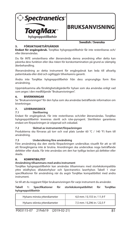

# **Swedish / Svenska**

#### **5. FÖRSIKTIGHETSÅTGÄRDER**

**Endast för engångsbruk.** TorqMax hylsgreppstillbehör får inte resteriliseras och/

eller återanvändas. Du får INTE omsterilisera eller återanvända denna anordning efter detta kan

påverka dess funktion eller öka risken för korskontamination på grund av olämplig återbehandling.

Återanvändning av detta instrument för engångsbruk kan leda till allvarlig patientskada eller död och ogiltiggör tillverkarens garanti.

Ändra inte TorqMax hylsgreppstillbehör från dess ursprungliga form före användning.

Uppmärksamma alla försiktighetsåtgärderför hylsan som ska användas enligt vad som anges i den medföljande "Bruksanvisningen".

#### **6. BIVERKNINGAR**

Se "Bruksanvisningen" för den hylsa som ska användas beträffande information om biverkningar.

### **7. LEVERANSSKICK**<br>7.1 Steriliserin

#### **7.1 Sterilisering**

Endast för engångsbruk. Får inte resteriliseras och/eller återanvändas. TorqMax hylsgreppstillbehör levereras sterilt och icke-pyrogent. Steriliteten garanteras endast om förpackningen är oöppnad och oskadad.

#### **7.2 Skötsel av instrumentet/förpackningen**

Produkterna ska förvaras på torr och sval plats (under 60 °C / 140 °F) fram till användning.

#### **7.3 Undersökning före användning**

Före användning ska den sterila förpackningen undersökas visuellt för att se till att förseglingarna inte är brutna. Anordningen ska undersökas noga beträffande defekter eller skada. Får inte användas om den har tydliga tecken på defekter eller skada.

#### **8. KOMPATIBILITET**

#### **Användning tillsammans med andra instrument**

TorqMax hylsgreppstillbehör kan användas tillsammans med storlekskompatibla yttre stödhylsor, dilatatorhylsor och Spectranetics laserhylsor. Tabell 1 visar specifikationer för användning när du avgör TorqMax kompatibilitet med andra instrument.

Se till att du noggrant följer bruksanvisningen för varje instrument du använder.

#### Tabell 1: Specifikationer för storlekskompatibilitet för TorqMax **hylsgreppstillbehör**

| Hylsans minsta ytterdiameter  | 4.0 mm / 0.155 in / 11.9 F |
|-------------------------------|----------------------------|
| Hylsans största ytterdiameter | 7,5 mm / 0,296 in / 22,5 F |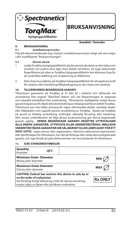

**Swedish / Svenska**

#### **9. BRUKSANVISNING**

#### **9.1 Installationsprocedur**

Följ alla rekommenderade steg i hylsans installationsprocedur enligt vad som anges i den medföljande "Bruksanvisningen".

#### **9.2 Klinisk teknik**

- 1. Ladda TorqMax hylsgreppstillbehör på den proximala delen av den hylsa som används och justera dess läge mera distalt vid behov. De logo-dekorerade nger ikarna på sidan av TorqMax hylsgreppstillbehör kan klämmas ihop för att underlätta laddning och omplacering av tillbehöret.
- 2. Kläm ihop huvuddelen på TorqMax hylsgreppstillbehör för att applicera kraft för rotation eller framföring/tillbakadragning av den hylsa som används.

#### **10. TILLVERKARENS BEGRÄNSADE GARANTI**

Tillverkaren garanterar att TorqMax är fri från fel i material och utförande vid användning före angivet "Bäst-före"-datum och när förpackningen är oöppnad och oskadad omedelbart före användning. Tillverkarens skyldigheter enligt denna garanti begränsas till utbyte eller återbetalning av inköpspriset för en defekt TorqMax. Tillverkaren kan inte hållas ansvarig för några oförutsedda skador, särskilda skador eller följdskador som uppstår genom användning av TorqMax. Skador på TorqMax på grund av felaktig användning, ändringar, olämplig förvaring eller hantering, eller annan underlåtenhet att följa denna bruksanvisning gör denna begränsade garanti ogiltig. **DENNA BEGRÄNSADE GARANTI ERSÄTTER UTTRYCKLIGEN ALLA ANDRA GARANTIER, UTTRYCKTA ELLER UNDERFÖRSTÅDDA, INKLUSIVE UNDERFÖRSTÅDDA GARANTIER OM SÄLJBARHET ELLER LÄMPLIGHET FÖR ETT VISST SYFTE.** Ingen person eller organisation, inklusive auktoriserad representant eller återförsäljare för tillverkaren, har rätt att förlänga eller utöka denna begränsade

garanti, och inga försök att göra detta kommer att vara bindande för tillverkaren.

#### **11. ICKE-STANDARDSYMBOLER**

| Quantity<br>Kvantitet                                                                                                                                                                                           | <b>OTY</b> |            |                |
|-----------------------------------------------------------------------------------------------------------------------------------------------------------------------------------------------------------------|------------|------------|----------------|
| <b>Minimum Outer Diameter</b><br>Minsta ytter-diameter                                                                                                                                                          |            |            | <b>MIN</b>     |
| <b>Maximum Outer Diameter</b><br>Största ytter-diameter                                                                                                                                                         |            | <b>MAX</b> |                |
| CAUTION: Federal law restricts this device to sale by or<br>on the order of a physician.<br>Var försiktig! Enligt federal lag (USA) får denna anordning<br>endast säljas av läkare eller på läkares ordination. |            |            | <b>Rx ONLY</b> |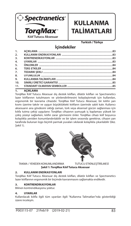

# **KULLANMA TALİMATLARI**

**Turkish / Türkçe**

### **İçindekiler**

| 1.               |  |
|------------------|--|
| 2 <sub>1</sub>   |  |
| $\overline{3}$ . |  |
| 4.               |  |
| 5.               |  |
| 6.               |  |
| 7.               |  |
| 8.               |  |
| 9.               |  |
| 10.              |  |
| 11.              |  |

#### **1. AÇIKLAMA**

TorqMax Kılıf Tutucu Aksesuar dış destek kılıfları, dilatör kılıfları ve Spectranetics lazer kılıflarının tutulmasını ve yönlendirilmesini kolaylaştırmak için kullanılan, ergonomik bir kavrama cihazıdır. TorqMax Kılıf Tutucu Aksesuar, bir kılıfın yan kısmı üzerine takılır ve uygun büyüklükteki kılıfların üzerinde sabit kalır. Kullanıcı aksesuarın ana gövdesini sıktığı zaman, tork veya eksensel gücün sağlanması için kılıfa tutma çekişi uygulanır. TorqMax cihazının yumuşak iç kaplaması yüksek bir çekiş yüzeyi sağlarken, kılıfın zarar görmesini önler. TorqMax cihazı kılıf boyunca kolaylıkla yeniden konumlandırılabilir ve bir işlem sırasında gerekirse, cihazın yan tarafında bulunan logo biçimli parmak yuvaları sıkılarak kolaylıkla çıkarılabilir (bkz. Şekil 1).





 TAKMA / YENİDEN KONUMLANDIRMA TUTUCU ETKİNLEŞTİRİLMESİ **Şekil 1: TorqMax Kılıf Tutucu Aksesuar** 

#### **2. KULLANIM ENDİKASYONLARI**

TorgMax Kılıf Tutucu Aksesuar dış destek kılıfları, dilatör kılıfları ve Spectranetics lazer kılıflarının ergonomik bir biçimde kavranmasını sağlamakta endikedir.

#### **3. KONTRENDİKASYONLAR**

Bilinen kontrendikasyonu yoktur.

#### **4. UYARILAR**

Kullanılacak kılıfla ilgili tüm uyarıları ilgili "Kullanma Talimatları"nda gösterildiği üzere inceleyin.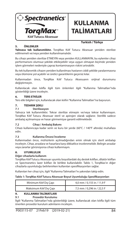

# **KULLANMA TALİMATLARI**

**Turkish / Türkçe**

#### **5. ÖNLEMLER**

**Yalnızca tek kullanımlıktır.** TorqMax Kılıf Tutucu Aksesuar yeniden sterilize edilmemeli ve/veya yeniden kullanılmamalıdır.

Bu cihazı yeniden sterilize ETMEYİN veya yeniden KULLANMAYIN, bu eylemler cihaz performansını olumsuz şekilde etkileyebilir veya uygun olmayan biçimde yeniden işlem görmeleri nedeniyle çapraz kontaminasyon riskini artırabilir.

Bu tek kullanımlık cihazın yeniden kullanılması hastanın ciddi şekilde yaralanmasına veya ölümüne yol açabilir ve üretici garantilerini geçersiz kılar.

Kullanmadan önce, TorqMax Kılıf Tutucu Aksesuarın orijinal durumunu değiştirmeyin.

Kullanılacak olan kılıfla ilgili tüm önlemleri ilgili "Kullanma Talimatları"nda gösterildiği üzere inceleyin.

#### **6. TERS ETKİLER**

Ters etki bilgileri için, kullanılacak olan kılıfın "Kullanma Talimatları"na başvurun.

### **7.** TEDARIK ŞEKLI<br>7.1 Sterilizas

#### **7.1 Sterilizasyon**

Yalnızca tek kullanımlıktır. Tekrar sterilize etmeyin ve/veya tekrar kullanmayın. TorqMax Kılıf Tutucu Aksesuar steril ve apirojen olarak sağlanır. Sterillik sadece ambalaj açılmamışsa ve hasar görmemişse garanti edilmektedir.

#### **7.2 Cihaz / Ambalaj Bakımı**

Cihazı kullanıncaya kadar serin ve kuru bir yerde (60°C / 140°F altında) muhafaza edin.

#### **7.3 Kullanma Öncesi İnceleme**

Kullanmadan önce, mühürlerin açılmadığından emin olmak için steril ambalajı inceleyin. Cihaz, arızalara ve hasarlara karşı dikkatlice incelenmelidir. Belirgin arızalar veya zararlar görünüyorsa cihazı kullanmayın.

#### **8. UYUMLULUK**

#### **Diğer cihazlarla kullanım**

TorqMax Kılıf Tutucu Aksesuar uyumlu boyutlardaki dış destek kılıfları, dilatör kılıfları ve Spectranetics lazer kılıfları ile birlikte kullanılabilir. Tablo 1, TorgMax'ın diğer cihazlarla uyumluluğu belirlenirken kullanılan spesifikasyonları sağlar.

Kullanılan her cihaz için, ilgili "Kullanma Talimatları"nı yakından takip edin.

#### Tablo 1: TorqMax Kılıf Tutucu Aksesuar Boyut Uyumluluğu Spesifikasyonları

| Minimum Kılıf Dış Çapı  | 4,0 mm / 0,155 in / 11,9 F |
|-------------------------|----------------------------|
| Maksimum Kılıf Dış Çapı | 7,5 mm / 0,296 in / 22,5 F |

#### **9. KULLANMA TALİMATLARI**

#### **9.1 Prosedür Kurulumu**

İlgili "Kullanma Talimatları"nda gösterildiği üzere, kullanılacak olan kılıfla ilgili tüm önerilen prosedür kurulum adımlarını inceleyin.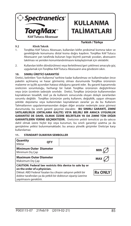

# **KULLANMA TALİMATLARI**

**Turkish / Türkçe**

#### **9.2 Klinik Teknik**

#### 1. TorqMax Kılıf Tutucu Aksesuarı, kullanılan kılıfın proksimal kısmına takın ve gerektiğinde konumunu distal kısma doğru kaydırın. TorqMax Kılıf Tutucu Aksesuarın yan tarafında bulunan logo biçimli parmak yuvaları, aksesuarın takılması ve yeniden konumlandırılmasını kolaylaştırmak için sıkılabilir.

2. Kullanılan kılıfın döndürülmesi veya ilerletilmesi/geri çekilmesi amacıyla güç uygulamak için TorqMax Kılıf Tutucu Aksesuarın ana gövdesini sıkın.

#### **10. SINIRLI ÜRETİCİ GARANTİSİ**

Üretici, belirtilen "Son Kullanma" tarihine kadar kullanılması ve kullanılmadan önce paketin açılmamış ve hasar görmemiş olması durumunda TorqMax ürününün malzeme ve işçilik açısından hatasız olduğunu garanti eder. Bu garanti kapsamında üreticinin sorumluluğu, herhangi bir hatalı TorqMax ürününün değiştirilmesi veya ürün ücretinin iadesiyle sınırlıdır. Üretici, TorqMax ürününün kullanımından kaynaklanan tesadüfi, özel ya da kullanım sonucunda oluşan dolaylı zararlardan sorumlu değildir. TorqMax ürününün yanlış kullanım, değişiklik, uygun olmayan şekilde depolama veya kullanımdan kaynaklanan zararlar ya da bu Kullanım Talimatlarının uygulanmamasından doğan diğer arızalar nedeniyle zarar görmesi durumunda, bu sınırlı garanti geçersiz olacaktır. **BU SINIRLI GARANTİ, ZIMNİ SATILABİLİRLİK (ORTALAMA KALİTE) VEYA BELİRLİ BİR AMACA UYGUNLUK GARANTİSİ DE DAHİL OLMAK ÜZERE BELİRTİLEN YA DA ZIMNİ TÜM DİĞER GARANTİLERİN YERİNE GEÇMEKTEDİR.** Üreticinin yetkili temsilcisi ya da satıcısı dahil olmak üzere hiçbir kişi veya kurumun, bu sınırlı garantiyi uzatma ya da genişletme yetkisi bulunmamaktadır; bu amaca yönelik girişimler Üreticiye karşı kullanılamaz.

| Quantity<br>Miktar                                                                                                                                                                                                                                                      | <b>OTY</b> |  |
|-------------------------------------------------------------------------------------------------------------------------------------------------------------------------------------------------------------------------------------------------------------------------|------------|--|
| <b>Minimum Outer Diameter</b><br><b>MIN</b><br>Minimum Dis Cap                                                                                                                                                                                                          |            |  |
| <b>Maximum Outer Diameter</b><br>Maksimum Dış Çap                                                                                                                                                                                                                       | <b>MAX</b> |  |
| CAUTION: Federal law restricts this device to sale by or<br>on the order of a physician.<br><b>Rx ONLY</b><br>Dikkat: ABD Federal Yasaları bu cihazın satışının yetkili bir<br>doktor tarafından ya da yetkili bir doktorun siparisi üzerine<br>yapılmasını gerektirir. |            |  |

#### **11. STANDART OLMAYAN SEMBOLLER**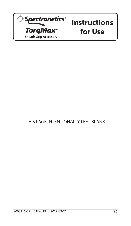

# **Instructions for Use**

### THIS PAGE INTENTIONALLY LEFT BLANK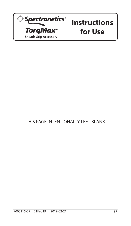

# **Instructions for Use**

### THIS PAGE INTENTIONALLY LEFT BLANK